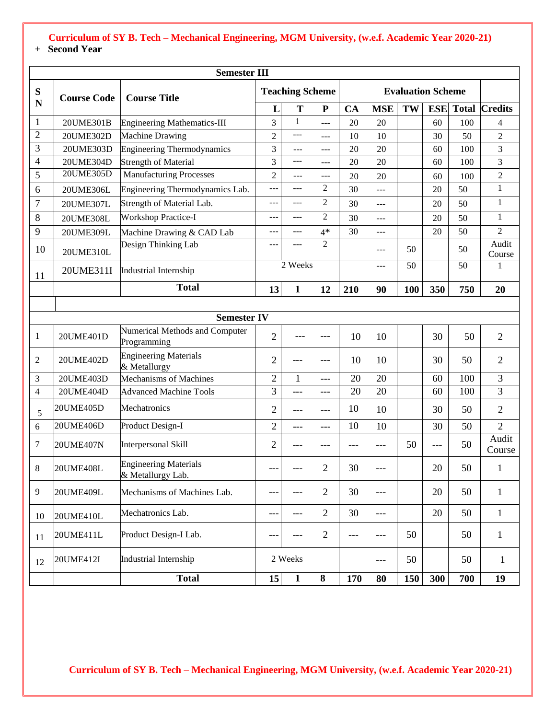|                | <b>Semester III</b> |                                                                           |                |              |                |     |            |     |            |              |                 |
|----------------|---------------------|---------------------------------------------------------------------------|----------------|--------------|----------------|-----|------------|-----|------------|--------------|-----------------|
| ${\bf S}$      | <b>Course Code</b>  | <b>Evaluation Scheme</b><br><b>Teaching Scheme</b><br><b>Course Title</b> |                |              |                |     |            |     |            |              |                 |
| $\mathbf N$    |                     |                                                                           | L              | T            | $\mathbf{P}$   | CA  | <b>MSE</b> | TW  | <b>ESE</b> | <b>Total</b> | <b>Credits</b>  |
| $\mathbf{1}$   | 20UME301B           | <b>Engineering Mathematics-III</b>                                        | $\overline{3}$ | $\mathbf{1}$ | ---            | 20  | 20         |     | 60         | 100          | 4               |
| $\overline{2}$ | 20UME302D           | Machine Drawing                                                           | $\overline{2}$ | $ -$         | ---            | 10  | 10         |     | 30         | 50           | $\overline{2}$  |
| 3              | 20UME303D           | <b>Engineering Thermodynamics</b>                                         | 3              | $---$        | ---            | 20  | 20         |     | 60         | 100          | 3               |
| 4              | 20UME304D           | <b>Strength of Material</b>                                               | 3              | ---          | ---            | 20  | 20         |     | 60         | 100          | 3               |
| 5              | 20UME305D           | <b>Manufacturing Processes</b>                                            | $\overline{2}$ | $---$        | ---            | 20  | 20         |     | 60         | 100          | $\overline{2}$  |
| 6              | 20UME306L           | Engineering Thermodynamics Lab.                                           |                |              | 2              | 30  | $---$      |     | 20         | 50           | 1               |
| $\overline{7}$ | 20UME307L           | Strength of Material Lab.                                                 | ---            | $---$        | $\overline{2}$ | 30  | $---$      |     | 20         | 50           | $\mathbf{1}$    |
| 8              | 20UME308L           | <b>Workshop Practice-I</b>                                                | ---            | ---          | $\overline{2}$ | 30  | $---$      |     | 20         | 50           | $\mathbf{1}$    |
| 9              | 20UME309L           | Machine Drawing & CAD Lab                                                 | ---            | $---$        | $4*$           | 30  | ---        |     | 20         | 50           | $\overline{2}$  |
| 10             | 20UME310L           | Design Thinking Lab                                                       | ---            |              | $\overline{2}$ |     | ---        | 50  |            | 50           | Audit<br>Course |
| 11             | 20UME311I           | Industrial Internship                                                     |                | 2 Weeks      |                |     | $---$      | 50  |            | 50           | 1               |
|                |                     | <b>Total</b>                                                              | 13             | 1            | 12             | 210 | 90         | 100 | 350        | 750          | 20              |
|                |                     |                                                                           |                |              |                |     |            |     |            |              |                 |
|                |                     | <b>Semester IV</b>                                                        |                |              |                |     |            |     |            |              |                 |
| 1              | 20UME401D           | Numerical Methods and Computer<br>Programming                             | $\overline{2}$ |              |                | 10  | 10         |     | 30         | 50           | $\overline{2}$  |
| 2              | 20UME402D           | <b>Engineering Materials</b><br>& Metallurgy                              | $\overline{2}$ | ---          |                | 10  | 10         |     | 30         | 50           | $\mathfrak{2}$  |
| 3              | 20UME403D           | Mechanisms of Machines                                                    | $\overline{2}$ | 1            | ---            | 20  | 20         |     | 60         | 100          | 3               |
| 4              | 20UME404D           | <b>Advanced Machine Tools</b>                                             | 3              | ---          | $---$          | 20  | 20         |     | 60         | 100          | 3               |
| 5              | 20UME405D           | Mechatronics                                                              | $\overline{2}$ |              | $---$          | 10  | 10         |     | 30         | 50           | $\mathfrak{2}$  |
| 6              | 20UME406D           | Product Design-I                                                          | $\overline{2}$ | ---          | $---$          | 10  | 10         |     | 30         | 50           | $\overline{2}$  |
| 7              | 20UME407N           | <b>Interpersonal Skill</b>                                                | $\overline{2}$ | ---          |                | --- | ---        | 50  | ---        | 50           | Audit<br>Course |
| 8              | 20UME408L           | <b>Engineering Materials</b><br>& Metallurgy Lab.                         |                |              | $\overline{2}$ | 30  |            |     | 20         | 50           | 1               |
| 9              | 20UME409L           | Mechanisms of Machines Lab.                                               | ---            | $---$        | $\overline{2}$ | 30  | ---        |     | 20         | 50           | $\mathbf{1}$    |
| 10             | 20UME410L           | Mechatronics Lab.                                                         | ---            | $---$        | $\overline{2}$ | 30  | ---        |     | 20         | 50           | $\mathbf{1}$    |
| 11             | 20UME411L           | Product Design-I Lab.                                                     | ---            | $---$        | $\overline{2}$ | --- | ---        | 50  |            | 50           | $\mathbf{1}$    |
| 12             | 20UME412I           | <b>Industrial Internship</b>                                              |                | 2 Weeks      |                |     | ---        | 50  |            | 50           | $\mathbf{1}$    |
|                |                     | <b>Total</b>                                                              | 15             | $\mathbf{1}$ | $\bf 8$        | 170 | 80         | 150 | 300        | 700          | 19              |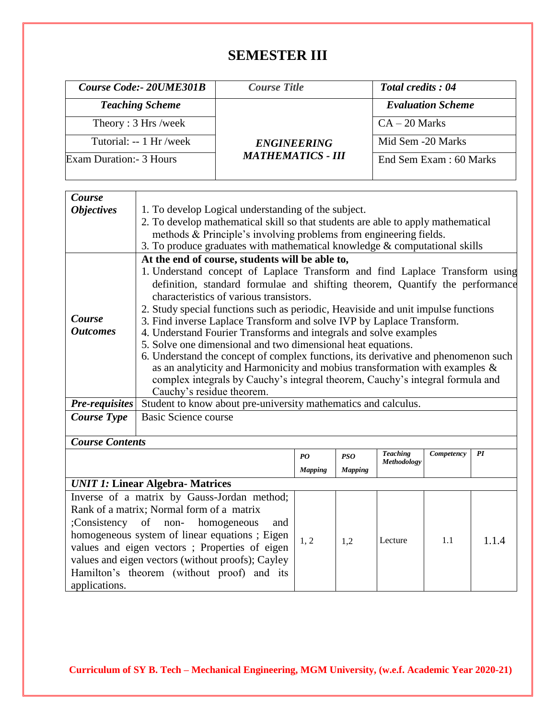# **SEMESTER III**

| <b>Course Code:- 20UME301B</b> | <b>Course Title</b>      | <b>Total credits: 04</b> |  |  |  |
|--------------------------------|--------------------------|--------------------------|--|--|--|
| <b>Teaching Scheme</b>         |                          | <b>Evaluation Scheme</b> |  |  |  |
| Theory: 3 Hrs /week            |                          | $CA - 20$ Marks          |  |  |  |
| Tutorial: -- 1 Hr/week         | <b>ENGINEERING</b>       | Mid Sem -20 Marks        |  |  |  |
| Exam Duration: - 3 Hours       | <b>MATHEMATICS - III</b> | End Sem Exam : 60 Marks  |  |  |  |

| Course                 |                                                                                    |                                                 |                |                                |            |       |  |  |  |
|------------------------|------------------------------------------------------------------------------------|-------------------------------------------------|----------------|--------------------------------|------------|-------|--|--|--|
| <b>Objectives</b>      | 1. To develop Logical understanding of the subject.                                |                                                 |                |                                |            |       |  |  |  |
|                        | 2. To develop mathematical skill so that students are able to apply mathematical   |                                                 |                |                                |            |       |  |  |  |
|                        | methods & Principle's involving problems from engineering fields.                  |                                                 |                |                                |            |       |  |  |  |
|                        | 3. To produce graduates with mathematical knowledge & computational skills         |                                                 |                |                                |            |       |  |  |  |
|                        |                                                                                    | At the end of course, students will be able to, |                |                                |            |       |  |  |  |
|                        | 1. Understand concept of Laplace Transform and find Laplace Transform using        |                                                 |                |                                |            |       |  |  |  |
|                        | definition, standard formulae and shifting theorem, Quantify the performance       |                                                 |                |                                |            |       |  |  |  |
|                        | characteristics of various transistors.                                            |                                                 |                |                                |            |       |  |  |  |
|                        | 2. Study special functions such as periodic, Heaviside and unit impulse functions  |                                                 |                |                                |            |       |  |  |  |
| Course                 | 3. Find inverse Laplace Transform and solve IVP by Laplace Transform.              |                                                 |                |                                |            |       |  |  |  |
| <b>Outcomes</b>        | 4. Understand Fourier Transforms and integrals and solve examples                  |                                                 |                |                                |            |       |  |  |  |
|                        | 5. Solve one dimensional and two dimensional heat equations.                       |                                                 |                |                                |            |       |  |  |  |
|                        | 6. Understand the concept of complex functions, its derivative and phenomenon such |                                                 |                |                                |            |       |  |  |  |
|                        | as an analyticity and Harmonicity and mobius transformation with examples &        |                                                 |                |                                |            |       |  |  |  |
|                        | complex integrals by Cauchy's integral theorem, Cauchy's integral formula and      |                                                 |                |                                |            |       |  |  |  |
|                        | Cauchy's residue theorem.                                                          |                                                 |                |                                |            |       |  |  |  |
| <b>Pre-requisites</b>  | Student to know about pre-university mathematics and calculus.                     |                                                 |                |                                |            |       |  |  |  |
| <b>Course Type</b>     | <b>Basic Science course</b>                                                        |                                                 |                |                                |            |       |  |  |  |
|                        |                                                                                    |                                                 |                |                                |            |       |  |  |  |
| <b>Course Contents</b> |                                                                                    |                                                 |                |                                |            |       |  |  |  |
|                        |                                                                                    | PQ                                              | <b>PSO</b>     | <b>Teaching</b><br>Methodology | Competency | PI    |  |  |  |
|                        |                                                                                    | <b>Mapping</b>                                  | <b>Mapping</b> |                                |            |       |  |  |  |
|                        | <b>UNIT 1: Linear Algebra- Matrices</b>                                            |                                                 |                |                                |            |       |  |  |  |
|                        | Inverse of a matrix by Gauss-Jordan method;                                        |                                                 |                |                                |            |       |  |  |  |
|                        | Rank of a matrix; Normal form of a matrix                                          |                                                 |                |                                |            |       |  |  |  |
| Consistency of non-    | homogeneous<br>and                                                                 |                                                 |                |                                |            |       |  |  |  |
|                        | homogeneous system of linear equations; Eigen                                      |                                                 |                |                                |            |       |  |  |  |
|                        | values and eigen vectors; Properties of eigen                                      | 1, 2                                            | 1,2            | Lecture                        | 1.1        | 1.1.4 |  |  |  |
|                        | values and eigen vectors (without proofs); Cayley                                  |                                                 |                |                                |            |       |  |  |  |
|                        | Hamilton's theorem (without proof) and its                                         |                                                 |                |                                |            |       |  |  |  |
| annlications           |                                                                                    |                                                 |                |                                |            |       |  |  |  |

**Curriculum of SY B. Tech – Mechanical Engineering, MGM University, (w.e.f. Academic Year 2020-21)**

applications.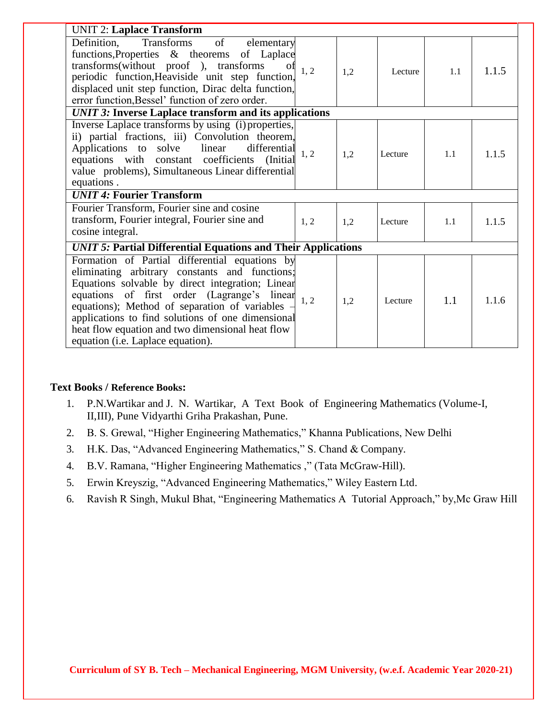| <b>UNIT 2: Laplace Transform</b>                                                                                                                                                                                                                                                                                                                                                                     |      |     |         |     |       |
|------------------------------------------------------------------------------------------------------------------------------------------------------------------------------------------------------------------------------------------------------------------------------------------------------------------------------------------------------------------------------------------------------|------|-----|---------|-----|-------|
| Transforms<br>of<br>Definition,<br>elementary<br>functions, Properties & theorems of Laplace<br>transforms(without proof ), transforms<br>0f<br>periodic function, Heaviside unit step function,<br>displaced unit step function, Dirac delta function,<br>error function, Bessel' function of zero order.                                                                                           | 1, 2 | 1,2 | Lecture | 1.1 | 1.1.5 |
| <b>UNIT 3: Inverse Laplace transform and its applications</b>                                                                                                                                                                                                                                                                                                                                        |      |     |         |     |       |
| Inverse Laplace transforms by using (i) properties,<br>ii) partial fractions, iii) Convolution theorem,<br>Applications to solve linear<br>differential<br>equations with constant coefficients (Initial<br>value problems), Simultaneous Linear differential<br>equations.                                                                                                                          | 1, 2 | 1,2 | Lecture | 1.1 | 1.1.5 |
| <b>UNIT 4: Fourier Transform</b>                                                                                                                                                                                                                                                                                                                                                                     |      |     |         |     |       |
| Fourier Transform, Fourier sine and cosine<br>transform, Fourier integral, Fourier sine and<br>cosine integral.                                                                                                                                                                                                                                                                                      | 1, 2 | 1,2 | Lecture | 1.1 | 1.1.5 |
| <b>UNIT 5: Partial Differential Equations and Their Applications</b>                                                                                                                                                                                                                                                                                                                                 |      |     |         |     |       |
| Formation of Partial differential equations by<br>eliminating arbitrary constants and functions;<br>Equations solvable by direct integration; Linear<br>equations of first order (Lagrange's linear<br>equations); Method of separation of variables -<br>applications to find solutions of one dimensional<br>heat flow equation and two dimensional heat flow<br>equation (i.e. Laplace equation). | 1, 2 | 1,2 | Lecture | 1.1 | 1.1.6 |

#### **Text Books / Reference Books:**

- 1. P.N.Wartikar and J. N. Wartikar, A Text Book of Engineering Mathematics (Volume-I, II,III), Pune Vidyarthi Griha Prakashan, Pune.
- 2. B. S. Grewal, "Higher Engineering Mathematics," Khanna Publications, New Delhi
- 3. H.K. Das, "Advanced Engineering Mathematics," S. Chand & Company.
- 4. B.V. Ramana, "Higher Engineering Mathematics ," (Tata McGraw-Hill).
- 5. Erwin Kreyszig, "Advanced Engineering Mathematics," Wiley Eastern Ltd.
- 6. Ravish R Singh, Mukul Bhat, "Engineering Mathematics A Tutorial Approach," by,Mc Graw Hill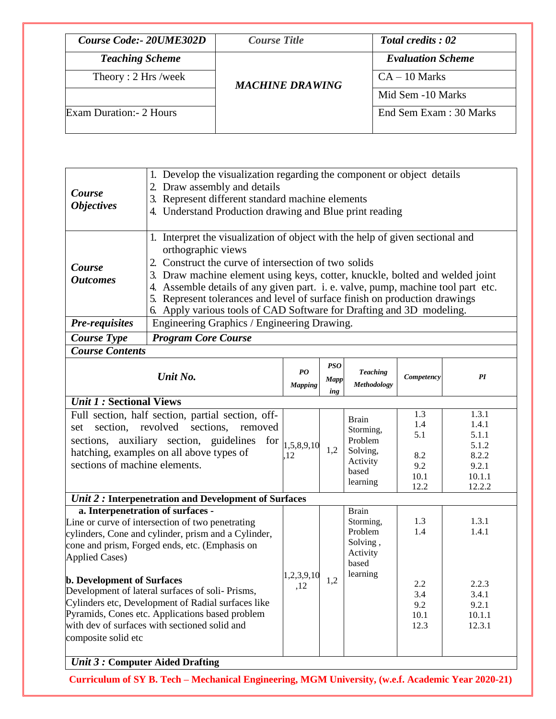| Course Code:- 20UME302D  | <b>Course Title</b>    | <b>Total credits: 02</b> |
|--------------------------|------------------------|--------------------------|
| <b>Teaching Scheme</b>   |                        | <b>Evaluation Scheme</b> |
| Theory: 2 Hrs /week      | <b>MACHINE DRAWING</b> | $CA - 10$ Marks          |
|                          |                        | Mid Sem -10 Marks        |
| Exam Duration: - 2 Hours |                        | End Sem Exam : 30 Marks  |
|                          |                        |                          |

| Course<br><b>Objectives</b> | 1. Develop the visualization regarding the component or object details<br>2. Draw assembly and details<br>3. Represent different standard machine elements<br>4. Understand Production drawing and Blue print reading                                                                                                                                                                                                                                                              |  |  |  |  |
|-----------------------------|------------------------------------------------------------------------------------------------------------------------------------------------------------------------------------------------------------------------------------------------------------------------------------------------------------------------------------------------------------------------------------------------------------------------------------------------------------------------------------|--|--|--|--|
| Course<br><b>Outcomes</b>   | 1. Interpret the visualization of object with the help of given sectional and<br>orthographic views<br>2. Construct the curve of intersection of two solids<br>3. Draw machine element using keys, cotter, knuckle, bolted and welded joint<br>Assemble details of any given part. i. e. valve, pump, machine tool part etc.<br>5. Represent tolerances and level of surface finish on production drawings<br>6. Apply various tools of CAD Software for Drafting and 3D modeling. |  |  |  |  |
| Pre-requisites              | Engineering Graphics / Engineering Drawing.                                                                                                                                                                                                                                                                                                                                                                                                                                        |  |  |  |  |
| Course Type                 | <b>Program Core Course</b>                                                                                                                                                                                                                                                                                                                                                                                                                                                         |  |  |  |  |
| <b>Course Contents</b>      |                                                                                                                                                                                                                                                                                                                                                                                                                                                                                    |  |  |  |  |

| Unit No.                                                                                                                                                                                                                                                                                                                                                                                                                                                                                         | $\overline{P}$<br><b>Mapping</b> | <b>PSO</b><br>Mapp<br>ing | <b>Teaching</b><br>Methodology                                                    | Competency                                      | PI                                                                     |
|--------------------------------------------------------------------------------------------------------------------------------------------------------------------------------------------------------------------------------------------------------------------------------------------------------------------------------------------------------------------------------------------------------------------------------------------------------------------------------------------------|----------------------------------|---------------------------|-----------------------------------------------------------------------------------|-------------------------------------------------|------------------------------------------------------------------------|
| <b><i>Unit 1 :</i> Sectional Views</b>                                                                                                                                                                                                                                                                                                                                                                                                                                                           |                                  |                           |                                                                                   |                                                 |                                                                        |
| Full section, half section, partial section, off-<br>section, revolved sections, removed<br>set<br>sections, auxiliary section, guidelines<br>for<br>hatching, examples on all above types of<br>sections of machine elements.                                                                                                                                                                                                                                                                   | 1,5,8,9,10<br>12                 | 1,2                       | <b>Brain</b><br>Storming,<br>Problem<br>Solving,<br>Activity<br>based<br>learning | 1.3<br>1.4<br>5.1<br>8.2<br>9.2<br>10.1<br>12.2 | 1.3.1<br>1.4.1<br>5.1.1<br>5.1.2<br>8.2.2<br>9.2.1<br>10.1.1<br>12.2.2 |
| Unit 2: Interpenetration and Development of Surfaces                                                                                                                                                                                                                                                                                                                                                                                                                                             |                                  |                           |                                                                                   |                                                 |                                                                        |
| a. Interpenetration of surfaces -<br>Line or curve of intersection of two penetrating<br>cylinders, Cone and cylinder, prism and a Cylinder,<br>cone and prism, Forged ends, etc. (Emphasis on<br><b>Applied Cases)</b><br><b>b. Development of Surfaces</b><br>Development of lateral surfaces of soli-Prisms,<br>Cylinders etc, Development of Radial surfaces like<br>Pyramids, Cones etc. Applications based problem<br>with dev of surfaces with sectioned solid and<br>composite solid etc | 1,2,3,9,10<br>,12                | 1,2                       | <b>Brain</b><br>Storming,<br>Problem<br>Solving,<br>Activity<br>based<br>learning | 1.3<br>1.4<br>2.2<br>3.4<br>9.2<br>10.1<br>12.3 | 1.3.1<br>1.4.1<br>2.2.3<br>3.4.1<br>9.2.1<br>10.1.1<br>12.3.1          |
| Unit 3 : Computer Aided Drafting                                                                                                                                                                                                                                                                                                                                                                                                                                                                 |                                  |                           |                                                                                   |                                                 |                                                                        |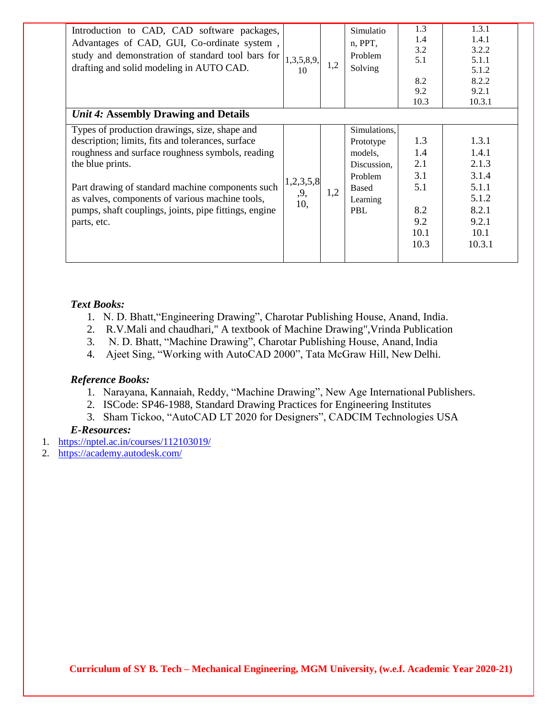| Introduction to CAD, CAD software packages,<br>Advantages of CAD, GUI, Co-ordinate system,<br>study and demonstration of standard tool bars for<br>drafting and solid modeling in AUTO CAD.<br>Unit 4: Assembly Drawing and Details                                                                                                                       | 1,3,5,8,9,<br>10        | 1,2 | Simulatio<br>n, PPT,<br>Problem<br>Solving                                                 | 1.3<br>1.4<br>3.2<br>5.1<br>8.2<br>9.2<br>10.3                | 1.3.1<br>1.4.1<br>3.2.2<br>5.1.1<br>5.1.2<br>8.2.2<br>9.2.1<br>10.3.1                  |
|-----------------------------------------------------------------------------------------------------------------------------------------------------------------------------------------------------------------------------------------------------------------------------------------------------------------------------------------------------------|-------------------------|-----|--------------------------------------------------------------------------------------------|---------------------------------------------------------------|----------------------------------------------------------------------------------------|
| Types of production drawings, size, shape and<br>description; limits, fits and tolerances, surface<br>roughness and surface roughness symbols, reading<br>the blue prints.<br>Part drawing of standard machine components such<br>as valves, components of various machine tools,<br>pumps, shaft couplings, joints, pipe fittings, engine<br>parts, etc. | 1,2,3,5,8<br>,9,<br>10, | 1,2 | Simulations,<br>Prototype<br>models,<br>Discussion,<br>Problem<br>Based<br>Learning<br>PBL | 1.3<br>1.4<br>2.1<br>3.1<br>5.1<br>8.2<br>9.2<br>10.1<br>10.3 | 1.3.1<br>1.4.1<br>2.1.3<br>3.1.4<br>5.1.1<br>5.1.2<br>8.2.1<br>9.2.1<br>10.1<br>10.3.1 |

### *Text Books:*

- 1. N. D. Bhatt,"Engineering Drawing", Charotar Publishing House, Anand, India.
- 2. R.V.Mali and chaudhari," A textbook of Machine Drawing",Vrinda Publication
- 3. N. D. Bhatt, "Machine Drawing", Charotar Publishing House, Anand, India
- 4. Ajeet Sing, "Working with AutoCAD 2000", Tata McGraw Hill, New Delhi.

#### *Reference Books:*

- 1. Narayana, Kannaiah, Reddy, "Machine Drawing", New Age International Publishers.
- 2. ISCode: SP46-1988, Standard Drawing Practices for Engineering Institutes
- 3. Sham Tickoo, "AutoCAD LT 2020 for Designers", CADCIM Technologies USA

#### *E-Resources:*

- 1. <https://nptel.ac.in/courses/112103019/>
- 2. <https://academy.autodesk.com/>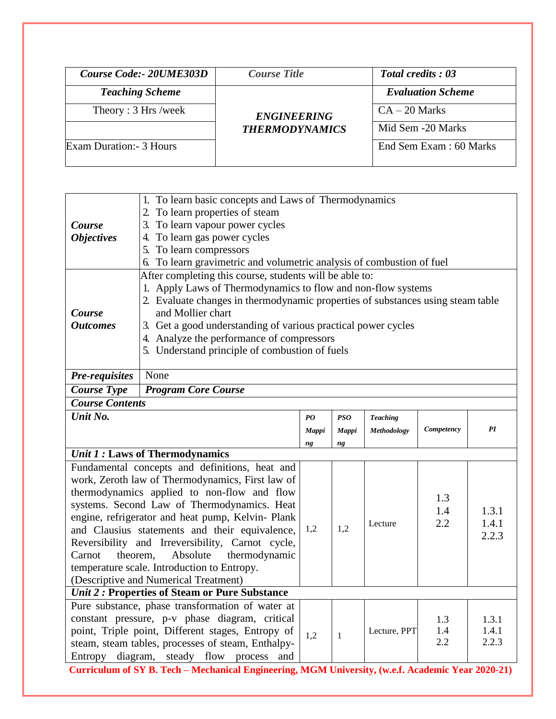| Course Code: - 20UME303D | <b>Course Title</b>   | <b>Total credits: 03</b> |  |  |  |
|--------------------------|-----------------------|--------------------------|--|--|--|
| <b>Teaching Scheme</b>   |                       | <b>Evaluation Scheme</b> |  |  |  |
| Theory: 3 Hrs /week      | <b>ENGINEERING</b>    | $CA - 20$ Marks          |  |  |  |
|                          | <b>THERMODYNAMICS</b> | Mid Sem -20 Marks        |  |  |  |
| Exam Duration: - 3 Hours |                       | End Sem Exam: 60 Marks   |  |  |  |
|                          |                       |                          |  |  |  |

|                                                                                                   | 1. To learn basic concepts and Laws of Thermodynamics                                               |                                                                                                                         |            |                 |            |       |  |  |  |  |
|---------------------------------------------------------------------------------------------------|-----------------------------------------------------------------------------------------------------|-------------------------------------------------------------------------------------------------------------------------|------------|-----------------|------------|-------|--|--|--|--|
|                                                                                                   | To learn properties of steam<br>2.<br>To learn vapour power cycles<br>3.                            |                                                                                                                         |            |                 |            |       |  |  |  |  |
| Course                                                                                            |                                                                                                     |                                                                                                                         |            |                 |            |       |  |  |  |  |
| <b>Objectives</b>                                                                                 | To learn gas power cycles<br>4.                                                                     |                                                                                                                         |            |                 |            |       |  |  |  |  |
|                                                                                                   | 5. To learn compressors<br>To learn gravimetric and volumetric analysis of combustion of fuel<br>6. |                                                                                                                         |            |                 |            |       |  |  |  |  |
|                                                                                                   |                                                                                                     |                                                                                                                         |            |                 |            |       |  |  |  |  |
|                                                                                                   |                                                                                                     | After completing this course, students will be able to:<br>1. Apply Laws of Thermodynamics to flow and non-flow systems |            |                 |            |       |  |  |  |  |
|                                                                                                   | 2. Evaluate changes in thermodynamic properties of substances using steam table                     |                                                                                                                         |            |                 |            |       |  |  |  |  |
| Course                                                                                            | and Mollier chart                                                                                   |                                                                                                                         |            |                 |            |       |  |  |  |  |
| <b>Outcomes</b>                                                                                   | 3. Get a good understanding of various practical power cycles                                       |                                                                                                                         |            |                 |            |       |  |  |  |  |
|                                                                                                   | 4. Analyze the performance of compressors                                                           |                                                                                                                         |            |                 |            |       |  |  |  |  |
|                                                                                                   | 5. Understand principle of combustion of fuels                                                      |                                                                                                                         |            |                 |            |       |  |  |  |  |
|                                                                                                   |                                                                                                     |                                                                                                                         |            |                 |            |       |  |  |  |  |
| <b>Pre-requisites</b>                                                                             | None                                                                                                |                                                                                                                         |            |                 |            |       |  |  |  |  |
| <b>Course Type</b>                                                                                | <b>Program Core Course</b>                                                                          |                                                                                                                         |            |                 |            |       |  |  |  |  |
| <b>Course Contents</b>                                                                            |                                                                                                     |                                                                                                                         |            |                 |            |       |  |  |  |  |
| Unit No.                                                                                          |                                                                                                     | $\boldsymbol{P}\boldsymbol{O}$                                                                                          | <b>PSO</b> | <b>Teaching</b> |            |       |  |  |  |  |
|                                                                                                   |                                                                                                     | Mappi                                                                                                                   | Mappi      | Methodology     | Competency | PI    |  |  |  |  |
|                                                                                                   |                                                                                                     | ng                                                                                                                      | ng         |                 |            |       |  |  |  |  |
|                                                                                                   | <b>Unit 1: Laws of Thermodynamics</b>                                                               |                                                                                                                         |            |                 |            |       |  |  |  |  |
|                                                                                                   | Fundamental concepts and definitions, heat and                                                      |                                                                                                                         |            |                 |            |       |  |  |  |  |
|                                                                                                   | work, Zeroth law of Thermodynamics, First law of                                                    |                                                                                                                         |            |                 |            |       |  |  |  |  |
|                                                                                                   | thermodynamics applied to non-flow and flow                                                         |                                                                                                                         |            |                 | 1.3        |       |  |  |  |  |
|                                                                                                   | systems. Second Law of Thermodynamics. Heat<br>engine, refrigerator and heat pump, Kelvin- Plank    |                                                                                                                         |            |                 | 1.4        | 1.3.1 |  |  |  |  |
|                                                                                                   | and Clausius statements and their equivalence,                                                      | 1,2                                                                                                                     | 1,2        | Lecture         | 2.2        | 1.4.1 |  |  |  |  |
|                                                                                                   | Reversibility and Irreversibility, Carnot cycle,                                                    |                                                                                                                         |            |                 |            | 2.2.3 |  |  |  |  |
| Carnot<br>theorem,                                                                                | Absolute<br>thermodynamic                                                                           |                                                                                                                         |            |                 |            |       |  |  |  |  |
|                                                                                                   | temperature scale. Introduction to Entropy.                                                         |                                                                                                                         |            |                 |            |       |  |  |  |  |
|                                                                                                   | (Descriptive and Numerical Treatment)                                                               |                                                                                                                         |            |                 |            |       |  |  |  |  |
|                                                                                                   | Unit 2: Properties of Steam or Pure Substance                                                       |                                                                                                                         |            |                 |            |       |  |  |  |  |
|                                                                                                   | Pure substance, phase transformation of water at                                                    |                                                                                                                         |            |                 |            |       |  |  |  |  |
|                                                                                                   | constant pressure, p-v phase diagram, critical<br>1.3<br>1.3.1                                      |                                                                                                                         |            |                 |            |       |  |  |  |  |
|                                                                                                   | point, Triple point, Different stages, Entropy of                                                   | 1,2                                                                                                                     | 1          | Lecture, PPT    | 1.4        | 1.4.1 |  |  |  |  |
|                                                                                                   | steam, steam tables, processes of steam, Enthalpy-                                                  |                                                                                                                         |            |                 | 2.2        | 2.2.3 |  |  |  |  |
| Entropy                                                                                           | diagram,<br>steady flow<br>process and                                                              |                                                                                                                         |            |                 |            |       |  |  |  |  |
| Curriculum of SY B. Tech - Mechanical Engineering, MGM University, (w.e.f. Academic Year 2020-21) |                                                                                                     |                                                                                                                         |            |                 |            |       |  |  |  |  |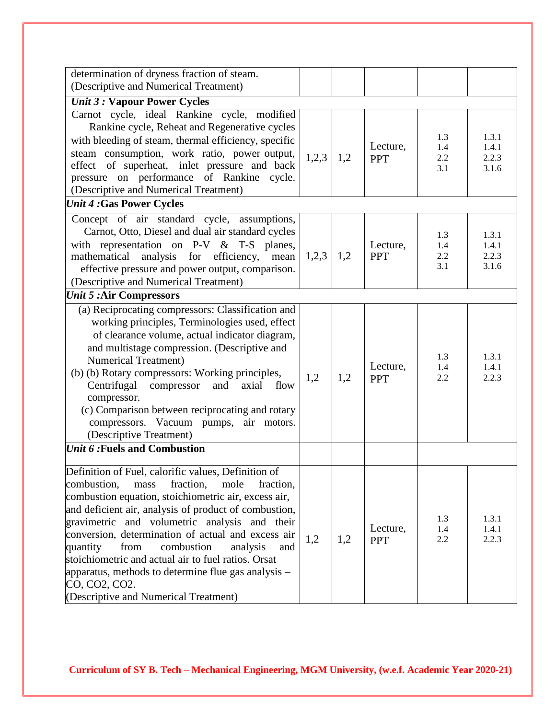| determination of dryness fraction of steam.                                                                                                                                                                                                                                                                                                                                                                                                                                                                                                                       |       |     |                        |                          |                                  |
|-------------------------------------------------------------------------------------------------------------------------------------------------------------------------------------------------------------------------------------------------------------------------------------------------------------------------------------------------------------------------------------------------------------------------------------------------------------------------------------------------------------------------------------------------------------------|-------|-----|------------------------|--------------------------|----------------------------------|
| (Descriptive and Numerical Treatment)                                                                                                                                                                                                                                                                                                                                                                                                                                                                                                                             |       |     |                        |                          |                                  |
| <b><i>Unit 3 : Vapour Power Cycles</i></b>                                                                                                                                                                                                                                                                                                                                                                                                                                                                                                                        |       |     |                        |                          |                                  |
| Carnot cycle, ideal Rankine cycle, modified<br>Rankine cycle, Reheat and Regenerative cycles<br>with bleeding of steam, thermal efficiency, specific<br>steam consumption, work ratio, power output,<br>effect of superheat, inlet pressure and back<br>pressure on performance of Rankine cycle.<br>(Descriptive and Numerical Treatment)                                                                                                                                                                                                                        | 1,2,3 | 1,2 | Lecture,<br><b>PPT</b> | 1.3<br>1.4<br>2.2<br>3.1 | 1.3.1<br>1.4.1<br>2.2.3<br>3.1.6 |
| <b>Unit 4:Gas Power Cycles</b>                                                                                                                                                                                                                                                                                                                                                                                                                                                                                                                                    |       |     |                        |                          |                                  |
| Concept of air standard cycle, assumptions,<br>Carnot, Otto, Diesel and dual air standard cycles<br>with representation on P-V & T-S planes,<br>mathematical<br>analysis for efficiency,<br>mean<br>effective pressure and power output, comparison.<br>(Descriptive and Numerical Treatment)                                                                                                                                                                                                                                                                     | 1,2,3 | 1,2 | Lecture,<br><b>PPT</b> | 1.3<br>1.4<br>2.2<br>3.1 | 1.3.1<br>1.4.1<br>2.2.3<br>3.1.6 |
| <b>Unit 5:Air Compressors</b>                                                                                                                                                                                                                                                                                                                                                                                                                                                                                                                                     |       |     |                        |                          |                                  |
| (a) Reciprocating compressors: Classification and<br>working principles, Terminologies used, effect<br>of clearance volume, actual indicator diagram,<br>and multistage compression. (Descriptive and<br><b>Numerical Treatment</b> )<br>(b) (b) Rotary compressors: Working principles,<br>Centrifugal<br>compressor<br>and<br>axial<br>flow<br>compressor.<br>(c) Comparison between reciprocating and rotary<br>compressors. Vacuum pumps, air motors.<br>(Descriptive Treatment)                                                                              | 1,2   | 1,2 | Lecture,<br><b>PPT</b> | 1.3<br>1.4<br>2.2        | 1.3.1<br>1.4.1<br>2.2.3          |
| <i>Unit 6:</i> Fuels and Combustion                                                                                                                                                                                                                                                                                                                                                                                                                                                                                                                               |       |     |                        |                          |                                  |
| Definition of Fuel, calorific values, Definition of<br>combustion,<br>fraction,<br>mass<br>mole<br>fraction,<br>combustion equation, stoichiometric air, excess air,<br>and deficient air, analysis of product of combustion,<br>gravimetric and volumetric analysis and their<br>conversion, determination of actual and excess air<br>combustion<br>from<br>quantity<br>analysis<br>and<br>stoichiometric and actual air to fuel ratios. Orsat<br>apparatus, methods to determine flue gas analysis –<br>CO, CO2, CO2.<br>(Descriptive and Numerical Treatment) | 1,2   | 1,2 | Lecture,<br><b>PPT</b> | 1.3<br>1.4<br>2.2        | 1.3.1<br>1.4.1<br>2.2.3          |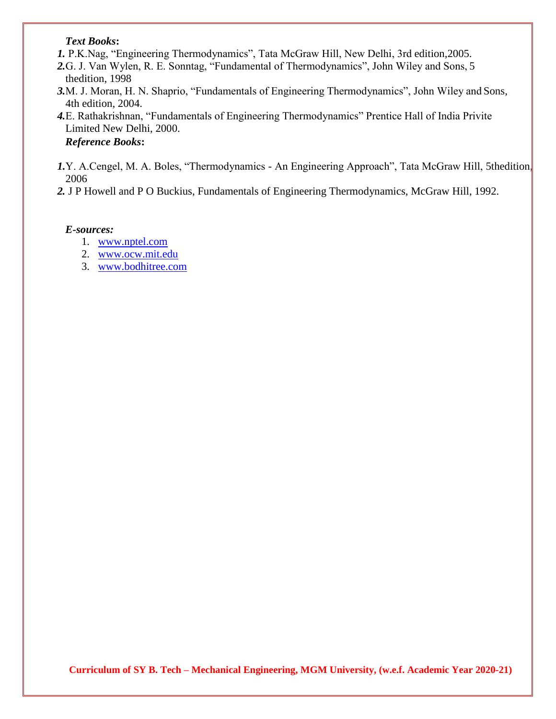#### *Text Books***:**

- *1.* P.K.Nag, "Engineering Thermodynamics", Tata McGraw Hill, New Delhi, 3rd edition,2005.
- *2.*G. J. Van Wylen, R. E. Sonntag, "Fundamental of Thermodynamics", John Wiley and Sons, 5 thedition, 1998
- *3.*M. J. Moran, H. N. Shaprio, "Fundamentals of Engineering Thermodynamics", John Wiley and Sons, 4th edition, 2004.
- *4.*E. Rathakrishnan, "Fundamentals of Engineering Thermodynamics" Prentice Hall of India Privite Limited New Delhi, 2000.
	- *Reference Books***:**
- *1.*Y. A.Cengel, M. A. Boles, "Thermodynamics An Engineering Approach", Tata McGraw Hill, 5thedition, 2006
- *2.* J P Howell and P O Buckius, Fundamentals of Engineering Thermodynamics, McGraw Hill, 1992.

#### *E-sources:*

- 1. [www.nptel.com](http://www.nptel.com/)
- 2. [www.ocw.mit.edu](http://www.ocw.mit.edu/)
- 3. [www.bodhitree.com](http://www.bodhitree.com/)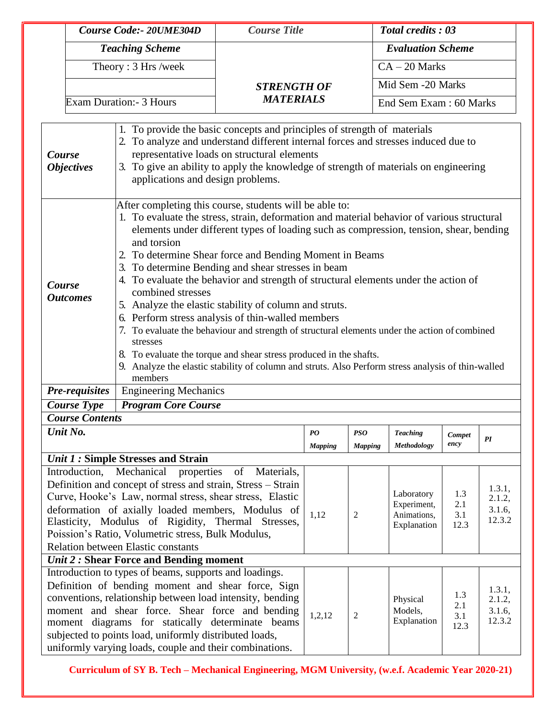|                                                                                                                                                                                                                                                                                                                                                                                                                                                                | Course Code:- 20UME304D                                                                                                                                                                                                                                                                                                                                                                                                                                                                                                                                                                                                                                                                                                                                                                                                                                                                                                                     |                                     | <b>Course Title</b> |                                                  |                                    | <b>Total credits: 03</b>                                |                                      |                                      |  |
|----------------------------------------------------------------------------------------------------------------------------------------------------------------------------------------------------------------------------------------------------------------------------------------------------------------------------------------------------------------------------------------------------------------------------------------------------------------|---------------------------------------------------------------------------------------------------------------------------------------------------------------------------------------------------------------------------------------------------------------------------------------------------------------------------------------------------------------------------------------------------------------------------------------------------------------------------------------------------------------------------------------------------------------------------------------------------------------------------------------------------------------------------------------------------------------------------------------------------------------------------------------------------------------------------------------------------------------------------------------------------------------------------------------------|-------------------------------------|---------------------|--------------------------------------------------|------------------------------------|---------------------------------------------------------|--------------------------------------|--------------------------------------|--|
|                                                                                                                                                                                                                                                                                                                                                                                                                                                                | <b>Teaching Scheme</b><br>Theory: 3 Hrs /week                                                                                                                                                                                                                                                                                                                                                                                                                                                                                                                                                                                                                                                                                                                                                                                                                                                                                               |                                     |                     |                                                  |                                    | <b>Evaluation Scheme</b>                                |                                      |                                      |  |
|                                                                                                                                                                                                                                                                                                                                                                                                                                                                |                                                                                                                                                                                                                                                                                                                                                                                                                                                                                                                                                                                                                                                                                                                                                                                                                                                                                                                                             |                                     |                     |                                                  |                                    | $CA - 20$ Marks                                         |                                      |                                      |  |
|                                                                                                                                                                                                                                                                                                                                                                                                                                                                |                                                                                                                                                                                                                                                                                                                                                                                                                                                                                                                                                                                                                                                                                                                                                                                                                                                                                                                                             |                                     | <b>STRENGTH OF</b>  |                                                  |                                    | Mid Sem -20 Marks                                       |                                      |                                      |  |
|                                                                                                                                                                                                                                                                                                                                                                                                                                                                |                                                                                                                                                                                                                                                                                                                                                                                                                                                                                                                                                                                                                                                                                                                                                                                                                                                                                                                                             | Exam Duration:- 3 Hours             | <b>MATERIALS</b>    |                                                  |                                    | End Sem Exam: 60 Marks                                  |                                      |                                      |  |
| 1. To provide the basic concepts and principles of strength of materials<br>2. To analyze and understand different internal forces and stresses induced due to<br>representative loads on structural elements<br>Course<br>3. To give an ability to apply the knowledge of strength of materials on engineering<br><b>Objectives</b><br>applications and design problems.                                                                                      |                                                                                                                                                                                                                                                                                                                                                                                                                                                                                                                                                                                                                                                                                                                                                                                                                                                                                                                                             |                                     |                     |                                                  |                                    |                                                         |                                      |                                      |  |
|                                                                                                                                                                                                                                                                                                                                                                                                                                                                | After completing this course, students will be able to:<br>1. To evaluate the stress, strain, deformation and material behavior of various structural<br>elements under different types of loading such as compression, tension, shear, bending<br>and torsion<br>2. To determine Shear force and Bending Moment in Beams<br>3. To determine Bending and shear stresses in beam<br>4. To evaluate the behavior and strength of structural elements under the action of<br>Course<br>combined stresses<br><b>Outcomes</b><br>5. Analyze the elastic stability of column and struts.<br>6. Perform stress analysis of thin-walled members<br>7. To evaluate the behaviour and strength of structural elements under the action of combined<br>stresses<br>8. To evaluate the torque and shear stress produced in the shafts.<br>9. Analyze the elastic stability of column and struts. Also Perform stress analysis of thin-walled<br>members |                                     |                     |                                                  |                                    |                                                         |                                      |                                      |  |
|                                                                                                                                                                                                                                                                                                                                                                                                                                                                | Pre-requisites                                                                                                                                                                                                                                                                                                                                                                                                                                                                                                                                                                                                                                                                                                                                                                                                                                                                                                                              | <b>Engineering Mechanics</b>        |                     |                                                  |                                    |                                                         |                                      |                                      |  |
|                                                                                                                                                                                                                                                                                                                                                                                                                                                                | <b>Course Type</b>                                                                                                                                                                                                                                                                                                                                                                                                                                                                                                                                                                                                                                                                                                                                                                                                                                                                                                                          | <b>Program Core Course</b>          |                     |                                                  |                                    |                                                         |                                      |                                      |  |
|                                                                                                                                                                                                                                                                                                                                                                                                                                                                | <b>Course Contents</b><br>Unit No.                                                                                                                                                                                                                                                                                                                                                                                                                                                                                                                                                                                                                                                                                                                                                                                                                                                                                                          |                                     |                     | $\boldsymbol{P}\boldsymbol{O}$<br><b>Mapping</b> | PSO<br><b>Mapping</b>              | <b>Teaching</b><br>Methodology                          | Compet<br>ency                       | PI                                   |  |
|                                                                                                                                                                                                                                                                                                                                                                                                                                                                |                                                                                                                                                                                                                                                                                                                                                                                                                                                                                                                                                                                                                                                                                                                                                                                                                                                                                                                                             | Unit 1 : Simple Stresses and Strain |                     |                                                  |                                    |                                                         |                                      |                                      |  |
|                                                                                                                                                                                                                                                                                                                                                                                                                                                                | Mechanical<br>properties<br>of<br>Materials,<br>Introduction,<br>Definition and concept of stress and strain, Stress – Strain<br>Curve, Hooke's Law, normal stress, shear stress, Elastic<br>deformation of axially loaded members, Modulus of<br>Elasticity, Modulus of Rigidity, Thermal Stresses,<br>Poission's Ratio, Volumetric stress, Bulk Modulus,<br><b>Relation between Elastic constants</b>                                                                                                                                                                                                                                                                                                                                                                                                                                                                                                                                     |                                     |                     |                                                  | 2                                  | Laboratory<br>Experiment,<br>Animations,<br>Explanation | 1.3<br>2.1<br>3.1<br>12.3            | 1.3.1,<br>2.1.2,<br>3.1.6,<br>12.3.2 |  |
|                                                                                                                                                                                                                                                                                                                                                                                                                                                                |                                                                                                                                                                                                                                                                                                                                                                                                                                                                                                                                                                                                                                                                                                                                                                                                                                                                                                                                             |                                     |                     |                                                  |                                    |                                                         |                                      |                                      |  |
| <b><i>Unit 2</i></b> : Shear Force and Bending moment<br>Introduction to types of beams, supports and loadings.<br>Definition of bending moment and shear force, Sign<br>conventions, relationship between load intensity, bending<br>moment and shear force. Shear force and bending<br>moment diagrams for statically determinate beams<br>subjected to points load, uniformly distributed loads,<br>uniformly varying loads, couple and their combinations. |                                                                                                                                                                                                                                                                                                                                                                                                                                                                                                                                                                                                                                                                                                                                                                                                                                                                                                                                             |                                     | 1,2,12              | 2                                                | Physical<br>Models,<br>Explanation | 1.3<br>2.1<br>3.1<br>12.3                               | 1.3.1,<br>2.1.2,<br>3.1.6,<br>12.3.2 |                                      |  |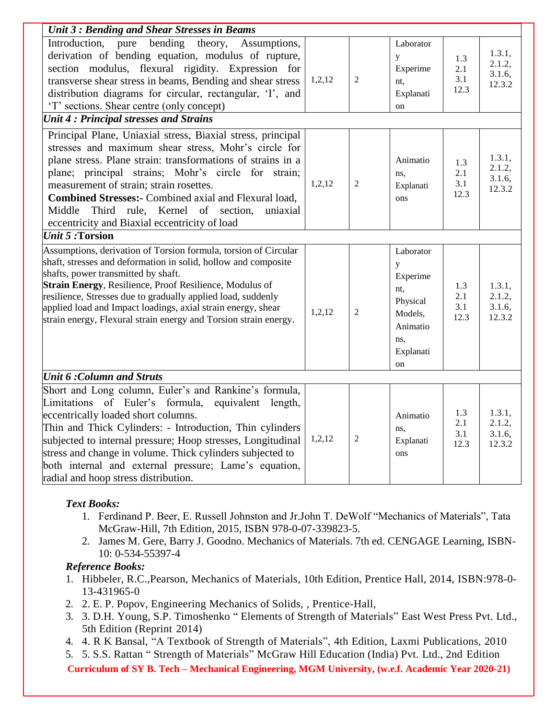| Unit 3: Bending and Shear Stresses in Beams                                                                                                                                                                                                                                                                                                                                                                                                         |        |                |                                                                                                |                           |                                      |
|-----------------------------------------------------------------------------------------------------------------------------------------------------------------------------------------------------------------------------------------------------------------------------------------------------------------------------------------------------------------------------------------------------------------------------------------------------|--------|----------------|------------------------------------------------------------------------------------------------|---------------------------|--------------------------------------|
| pure bending theory, Assumptions,<br>Introduction,<br>derivation of bending equation, modulus of rupture,<br>section modulus, flexural rigidity. Expression for<br>transverse shear stress in beams, Bending and shear stress<br>distribution diagrams for circular, rectangular, 'I', and<br>'T' sections. Shear centre (only concept)                                                                                                             | 1,2,12 | $\overline{2}$ | Laborator<br>y<br>Experime<br>nt.<br>Explanati<br>on                                           | 1.3<br>2.1<br>3.1<br>12.3 | 1.3.1,<br>2.1.2,<br>3.1.6,<br>12.3.2 |
| <b>Unit 4: Principal stresses and Strains</b>                                                                                                                                                                                                                                                                                                                                                                                                       |        |                |                                                                                                |                           |                                      |
| Principal Plane, Uniaxial stress, Biaxial stress, principal<br>stresses and maximum shear stress, Mohr's circle for<br>plane stress. Plane strain: transformations of strains in a<br>plane; principal strains; Mohr's circle for strain;<br>measurement of strain; strain rosettes.<br>Combined Stresses:- Combined axial and Flexural load,<br>Middle Third rule, Kernel of section,<br>uniaxial<br>eccentricity and Biaxial eccentricity of load | 1,2,12 | $\overline{2}$ | Animatio<br>ns,<br>Explanati<br>ons                                                            | 1.3<br>2.1<br>3.1<br>12.3 | 1.3.1,<br>2.1.2,<br>3.1.6,<br>12.3.2 |
| <b><i>Unit 5:</i> Torsion</b>                                                                                                                                                                                                                                                                                                                                                                                                                       |        |                |                                                                                                |                           |                                      |
| Assumptions, derivation of Torsion formula, torsion of Circular<br>shaft, stresses and deformation in solid, hollow and composite<br>shafts, power transmitted by shaft.<br>Strain Energy, Resilience, Proof Resilience, Modulus of<br>resilience, Stresses due to gradually applied load, suddenly<br>applied load and Impact loadings, axial strain energy, shear<br>strain energy, Flexural strain energy and Torsion strain energy.             | 1,2,12 | $\overline{2}$ | Laborator<br>y<br>Experime<br>nt.<br>Physical<br>Models,<br>Animatio<br>ns,<br>Explanati<br>on | 1.3<br>2.1<br>3.1<br>12.3 | 1.3.1,<br>2.1.2,<br>3.1.6,<br>12.3.2 |
| <b>Unit 6: Column and Struts</b>                                                                                                                                                                                                                                                                                                                                                                                                                    |        |                |                                                                                                |                           |                                      |
| Short and Long column, Euler's and Rankine's formula,<br>Limitations of Euler's formula, equivalent length,<br>eccentrically loaded short columns.<br>Thin and Thick Cylinders: - Introduction, Thin cylinders<br>subjected to internal pressure; Hoop stresses, Longitudinal<br>stress and change in volume. Thick cylinders subjected to<br>both internal and external pressure; Lame's equation,<br>radial and hoop stress distribution.         | 1,2,12 | $\overline{2}$ | Animatio<br>ns,<br>Explanati<br>ons                                                            | 1.3<br>2.1<br>3.1<br>12.3 | 1.3.1,<br>2.1.2,<br>3.1.6,<br>12.3.2 |

## *Text Books:*

- 1. Ferdinand P. Beer, E. Russell Johnston and Jr.John T. DeWolf "Mechanics of Materials", Tata McGraw-Hill, 7th Edition, 2015, ISBN 978-0-07-339823-5.
- 2. James M. Gere, Barry J. Goodno. Mechanics of Materials. 7th ed. CENGAGE Learning, ISBN-10: 0-534-55397-4

## *Reference Books:*

- 1. Hibbeler, R.C.,Pearson, Mechanics of Materials, 10th Edition, Prentice Hall, 2014, ISBN:978-0- 13-431965-0
- 2. 2. E. P. Popov, Engineering Mechanics of Solids, , Prentice-Hall,
- 3. 3. D.H. Young, S.P. Timoshenko " Elements of Strength of Materials" East West Press Pvt. Ltd., 5th Edition (Reprint 2014)
- 4. 4. R K Bansal, "A Textbook of Strength of Materials", 4th Edition, Laxmi Publications, 2010
- 5. 5. S.S. Rattan " Strength of Materials" McGraw Hill Education (India) Pvt. Ltd., 2nd Edition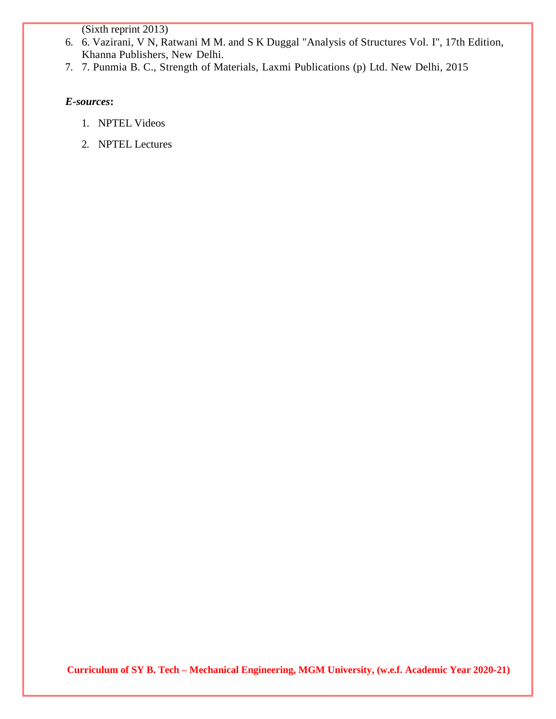(Sixth reprint 2013)

- 6. 6. Vazirani, V N, Ratwani M M. and S K Duggal "Analysis of Structures Vol. I", 17th Edition, Khanna Publishers, New Delhi.
- 7. 7. Punmia B. C., Strength of Materials, Laxmi Publications (p) Ltd. New Delhi, 2015

## *E-sources***:**

- 1. NPTEL Videos
- 2. NPTEL Lectures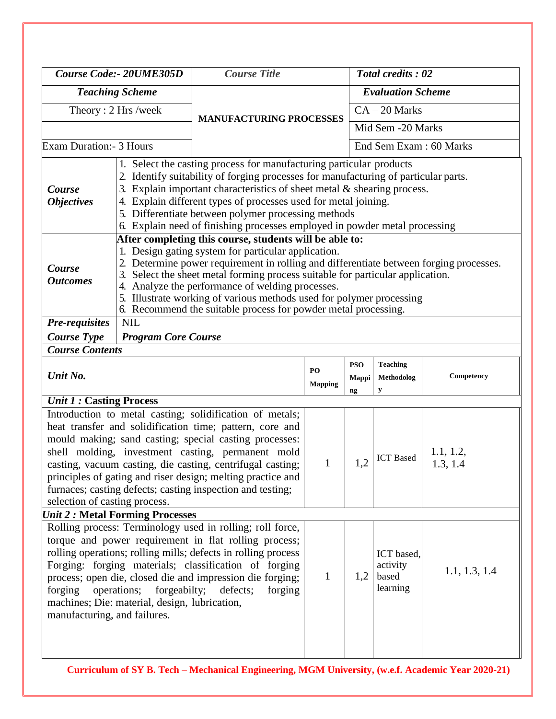| Course Code:- 20UME305D                                                                                                                                                                                                                                                                                                                                                                                                                                                                                  |                                                                              | <b>Course Title</b>                                                                                                                                                                                                                                                                                                                                                                                                                                                                      |                      | Total credits: 02         |                                             |                       |  |
|----------------------------------------------------------------------------------------------------------------------------------------------------------------------------------------------------------------------------------------------------------------------------------------------------------------------------------------------------------------------------------------------------------------------------------------------------------------------------------------------------------|------------------------------------------------------------------------------|------------------------------------------------------------------------------------------------------------------------------------------------------------------------------------------------------------------------------------------------------------------------------------------------------------------------------------------------------------------------------------------------------------------------------------------------------------------------------------------|----------------------|---------------------------|---------------------------------------------|-----------------------|--|
| <b>Teaching Scheme</b>                                                                                                                                                                                                                                                                                                                                                                                                                                                                                   |                                                                              |                                                                                                                                                                                                                                                                                                                                                                                                                                                                                          |                      |                           | <b>Evaluation Scheme</b>                    |                       |  |
|                                                                                                                                                                                                                                                                                                                                                                                                                                                                                                          | Theory: 2 Hrs /week                                                          |                                                                                                                                                                                                                                                                                                                                                                                                                                                                                          |                      |                           | $CA - 20$ Marks                             |                       |  |
|                                                                                                                                                                                                                                                                                                                                                                                                                                                                                                          |                                                                              | <b>MANUFACTURING PROCESSES</b>                                                                                                                                                                                                                                                                                                                                                                                                                                                           |                      |                           | Mid Sem -20 Marks                           |                       |  |
| Exam Duration: - 3 Hours                                                                                                                                                                                                                                                                                                                                                                                                                                                                                 |                                                                              |                                                                                                                                                                                                                                                                                                                                                                                                                                                                                          |                      |                           | End Sem Exam: 60 Marks                      |                       |  |
| Course<br><i><b>Objectives</b></i>                                                                                                                                                                                                                                                                                                                                                                                                                                                                       | 2.<br>3.<br>4.                                                               | 1. Select the casting process for manufacturing particular products<br>Identify suitability of forging processes for manufacturing of particular parts.<br>Explain important characteristics of sheet metal $\&$ shearing process.<br>Explain different types of processes used for metal joining.<br>5. Differentiate between polymer processing methods<br>6. Explain need of finishing processes employed in powder metal processing                                                  |                      |                           |                                             |                       |  |
| Course<br><b>Outcomes</b>                                                                                                                                                                                                                                                                                                                                                                                                                                                                                |                                                                              | After completing this course, students will be able to:<br>1. Design gating system for particular application.<br>2. Determine power requirement in rolling and differentiate between forging processes.<br>3. Select the sheet metal forming process suitable for particular application.<br>4. Analyze the performance of welding processes.<br>5. Illustrate working of various methods used for polymer processing<br>6. Recommend the suitable process for powder metal processing. |                      |                           |                                             |                       |  |
| <b>Pre-requisites</b>                                                                                                                                                                                                                                                                                                                                                                                                                                                                                    | <b>NIL</b>                                                                   |                                                                                                                                                                                                                                                                                                                                                                                                                                                                                          |                      |                           |                                             |                       |  |
| <b>Course Type</b><br><b>Course Contents</b>                                                                                                                                                                                                                                                                                                                                                                                                                                                             | <b>Program Core Course</b>                                                   |                                                                                                                                                                                                                                                                                                                                                                                                                                                                                          |                      |                           |                                             |                       |  |
| Unit No.                                                                                                                                                                                                                                                                                                                                                                                                                                                                                                 |                                                                              |                                                                                                                                                                                                                                                                                                                                                                                                                                                                                          | PO<br><b>Mapping</b> | <b>PSO</b><br>Mappi<br>ng | <b>Teaching</b><br>Methodolog<br>y          | Competency            |  |
|                                                                                                                                                                                                                                                                                                                                                                                                                                                                                                          |                                                                              |                                                                                                                                                                                                                                                                                                                                                                                                                                                                                          |                      |                           |                                             |                       |  |
| <b><i>Unit 1:</i></b> Casting Process<br>Introduction to metal casting; solidification of metals;<br>heat transfer and solidification time; pattern, core and<br>mould making; sand casting; special casting processes:<br>shell molding, investment casting, permanent mold<br>casting, vacuum casting, die casting, centrifugal casting;<br>principles of gating and riser design; melting practice and<br>furnaces; casting defects; casting inspection and testing;<br>selection of casting process. |                                                                              |                                                                                                                                                                                                                                                                                                                                                                                                                                                                                          | $\mathbf{1}$         | 1,2                       | <b>ICT</b> Based                            | 1.1, 1.2,<br>1.3, 1.4 |  |
|                                                                                                                                                                                                                                                                                                                                                                                                                                                                                                          | <b>Unit 2: Metal Forming Processes</b>                                       |                                                                                                                                                                                                                                                                                                                                                                                                                                                                                          |                      |                           |                                             |                       |  |
| forging                                                                                                                                                                                                                                                                                                                                                                                                                                                                                                  | operations;<br>forgeabilty;<br>machines; Die: material, design, lubrication, | Rolling process: Terminology used in rolling; roll force,<br>torque and power requirement in flat rolling process;<br>rolling operations; rolling mills; defects in rolling process<br>Forging: forging materials; classification of forging<br>process; open die, closed die and impression die forging;<br>defects;<br>forging                                                                                                                                                         | $\mathbf{1}$         | 1,2                       | ICT based,<br>activity<br>based<br>learning | 1.1, 1.3, 1.4         |  |

1 . 1 . 1 , 1 .  $\parallel$ . 1 , 1 .  $\parallel$ . 1 ,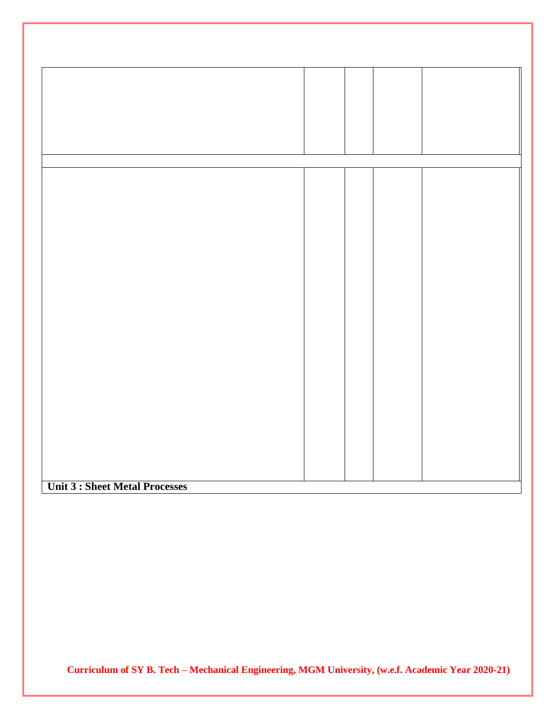| Unit 2 . Choot Motel Dreasons |  |  |
|-------------------------------|--|--|

 $\mathbb{I}$ .  $\parallel$ .  $\mathbb{I}$ 

1 . 1 . 1 , 1 .  $\parallel$ . 1 , 1 .  $\parallel$ .  $\parallel$ ,  $\mathbb{I}$ .  $\parallel$ .  $\mathbb{I}$ 

**Unit 3 : Sheet Metal Processes**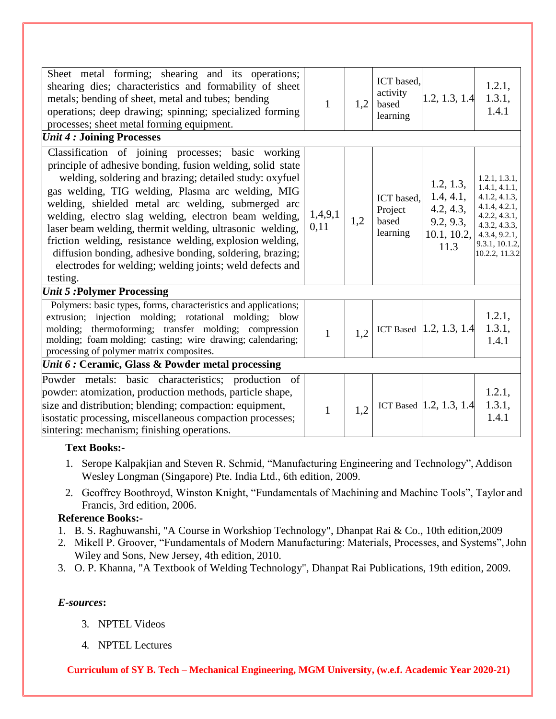| Sheet metal forming; shearing and its operations;<br>shearing dies; characteristics and formability of sheet<br>metals; bending of sheet, metal and tubes; bending<br>operations; deep drawing; spinning; specialized forming<br>processes; sheet metal forming equipment.                                                                                                                                                                                                                                                                                                                                  | $\mathbf{1}$    | 1,2 | ICT based,<br>activity<br>based<br>learning | 1.2, 1.3, 1.4                                                           | 1.2.1,<br>1.3.1,<br>1.4.1                                                                                                                               |
|-------------------------------------------------------------------------------------------------------------------------------------------------------------------------------------------------------------------------------------------------------------------------------------------------------------------------------------------------------------------------------------------------------------------------------------------------------------------------------------------------------------------------------------------------------------------------------------------------------------|-----------------|-----|---------------------------------------------|-------------------------------------------------------------------------|---------------------------------------------------------------------------------------------------------------------------------------------------------|
| <b><i>Unit 4 : Joining Processes</i></b>                                                                                                                                                                                                                                                                                                                                                                                                                                                                                                                                                                    |                 |     |                                             |                                                                         |                                                                                                                                                         |
| Classification of joining processes; basic working<br>principle of adhesive bonding, fusion welding, solid state<br>welding, soldering and brazing; detailed study: oxyfuel<br>gas welding, TIG welding, Plasma arc welding, MIG<br>welding, shielded metal arc welding, submerged arc<br>welding, electro slag welding, electron beam welding,<br>laser beam welding, thermit welding, ultrasonic welding,<br>friction welding, resistance welding, explosion welding,<br>diffusion bonding, adhesive bonding, soldering, brazing;<br>electrodes for welding; welding joints; weld defects and<br>testing. | 1,4,9,1<br>0,11 | 1,2 | ICT based.<br>Project<br>based<br>learning  | 1.2, 1.3,<br>1.4, 4.1,<br>4.2, 4.3,<br>9.2, 9.3,<br>10.1, 10.2,<br>11.3 | 1.2.1, 1.3.1,<br>1.4.1, 4.1.1,<br>4.1.2, 4.1.3,<br>4.1.4, 4.2.1,<br>4.2.2, 4.3.1,<br>4.3.2, 4.3.3,<br>4.3.4, 9.2.1,<br>9.3.1, 10.1.2,<br>10.2.2, 11.3.2 |
| <b><i>Unit 5 : Polymer Processing</i></b>                                                                                                                                                                                                                                                                                                                                                                                                                                                                                                                                                                   |                 |     |                                             |                                                                         |                                                                                                                                                         |
| Polymers: basic types, forms, characteristics and applications;<br>extrusion; injection molding; rotational molding; blow<br>molding; thermoforming; transfer molding; compression<br>molding; foam molding; casting; wire drawing; calendaring;<br>processing of polymer matrix composites.                                                                                                                                                                                                                                                                                                                | $\mathbf{1}$    | 1,2 |                                             | ICT Based $[1.2, 1.3, 1.4]$                                             | 1.2.1,<br>1.3.1,<br>1.4.1                                                                                                                               |
| Unit 6 : Ceramic, Glass & Powder metal processing                                                                                                                                                                                                                                                                                                                                                                                                                                                                                                                                                           |                 |     |                                             |                                                                         |                                                                                                                                                         |
| Powder metals: basic characteristics; production of<br>powder: atomization, production methods, particle shape,<br>size and distribution; blending; compaction: equipment,<br>isostatic processing, miscellaneous compaction processes;<br>sintering: mechanism; finishing operations.                                                                                                                                                                                                                                                                                                                      | $\mathbf{1}$    | 1,2 |                                             | ICT Based $[1.2, 1.3, 1.4]$                                             | 1.2.1,<br>1.3.1,<br>1.4.1                                                                                                                               |

## **Text Books:-**

- 1. Serope Kalpakjian and Steven R. Schmid, "Manufacturing Engineering and Technology", Addison Wesley Longman (Singapore) Pte. India Ltd., 6th edition, 2009.
- 2. Geoffrey Boothroyd, Winston Knight, "Fundamentals of Machining and Machine Tools", Taylor and Francis, 3rd edition, 2006.

## **Reference Books:-**

- 1. B. S. Raghuwanshi, "A Course in Workshiop Technology", Dhanpat Rai & Co., 10th edition,2009
- 2. Mikell P. Groover, "Fundamentals of Modern Manufacturing: Materials, Processes, and Systems",John Wiley and Sons, New Jersey, 4th edition, 2010.
- 3. O. P. Khanna, "A Textbook of Welding Technology", Dhanpat Rai Publications, 19th edition, 2009.

## *E-sources***:**

- 3. NPTEL Videos
- 4. NPTEL Lectures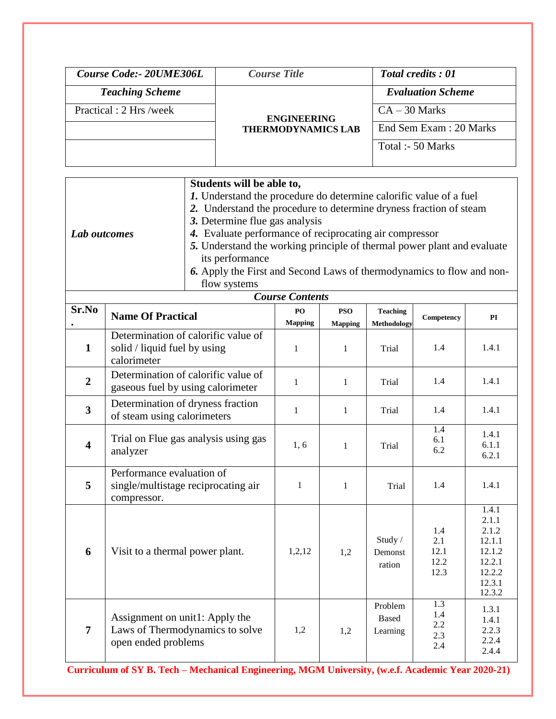| Course Code: - 20UME306L | <b>Course Title</b>                             | <b>Total credits: 01</b> |
|--------------------------|-------------------------------------------------|--------------------------|
| <b>Teaching Scheme</b>   |                                                 | <b>Evaluation Scheme</b> |
| Practical : 2 Hrs /week  | <b>ENGINEERING</b><br><b>THERMODYNAMICS LAB</b> | $CA - 30$ Marks          |
|                          |                                                 | End Sem Exam : 20 Marks  |
|                          |                                                 | Total :- 50 Marks        |
|                          |                                                 |                          |

|                                                                    |                                                                         | Students will be able to,                                             |                        |                |                 |            |                 |
|--------------------------------------------------------------------|-------------------------------------------------------------------------|-----------------------------------------------------------------------|------------------------|----------------|-----------------|------------|-----------------|
|                                                                    |                                                                         | 1. Understand the procedure do determine calorific value of a fuel    |                        |                |                 |            |                 |
| 2. Understand the procedure to determine dryness fraction of steam |                                                                         |                                                                       |                        |                |                 |            |                 |
|                                                                    | 3. Determine flue gas analysis                                          |                                                                       |                        |                |                 |            |                 |
|                                                                    | 4. Evaluate performance of reciprocating air compressor<br>Lab outcomes |                                                                       |                        |                |                 |            |                 |
|                                                                    | 5. Understand the working principle of thermal power plant and evaluate |                                                                       |                        |                |                 |            |                 |
|                                                                    |                                                                         | its performance                                                       |                        |                |                 |            |                 |
|                                                                    |                                                                         | 6. Apply the First and Second Laws of thermodynamics to flow and non- |                        |                |                 |            |                 |
|                                                                    |                                                                         | flow systems                                                          |                        |                |                 |            |                 |
|                                                                    |                                                                         |                                                                       | <b>Course Contents</b> |                |                 |            |                 |
| Sr.No                                                              | <b>Name Of Practical</b>                                                |                                                                       | PO                     | <b>PSO</b>     | <b>Teaching</b> |            |                 |
|                                                                    |                                                                         |                                                                       | <b>Mapping</b>         | <b>Mapping</b> | Methodology     | Competency | PI              |
|                                                                    |                                                                         | Determination of calorific value of                                   |                        |                |                 |            |                 |
| $\mathbf{1}$                                                       | solid / liquid fuel by using                                            |                                                                       | $\mathbf{1}$           | 1              | Trial           | 1.4        | 1.4.1           |
|                                                                    | calorimeter                                                             |                                                                       |                        |                |                 |            |                 |
| $\overline{2}$                                                     |                                                                         | Determination of calorific value of                                   | $\mathbf{1}$           |                | Trial           | 1.4        | 1.4.1           |
|                                                                    |                                                                         | gaseous fuel by using calorimeter                                     |                        | 1              |                 |            |                 |
|                                                                    |                                                                         | Determination of dryness fraction                                     |                        |                |                 |            |                 |
| $\mathbf{3}$                                                       | of steam using calorimeters                                             |                                                                       | 1                      | 1              | Trial           | 1.4        | 1.4.1           |
|                                                                    |                                                                         |                                                                       |                        |                |                 | 1.4        | 1.4.1           |
| $\overline{\mathbf{4}}$                                            |                                                                         | Trial on Flue gas analysis using gas                                  | 1, 6                   | 1              | Trial           | 6.1        | 6.1.1           |
|                                                                    | analyzer                                                                |                                                                       |                        |                |                 | 6.2        | 6.2.1           |
|                                                                    | Performance evaluation of                                               |                                                                       |                        |                |                 |            |                 |
| 5                                                                  |                                                                         | single/multistage reciprocating air                                   | $\mathbf{1}$           | 1              | Trial           | 1.4        | 1.4.1           |
|                                                                    | compressor.                                                             |                                                                       |                        |                |                 |            |                 |
|                                                                    |                                                                         |                                                                       |                        |                |                 |            | 1.4.1           |
|                                                                    |                                                                         |                                                                       |                        |                |                 |            | 2.1.1           |
|                                                                    |                                                                         |                                                                       |                        |                | Study /         | 1.4<br>2.1 | 2.1.2<br>12.1.1 |
| 6                                                                  | Visit to a thermal power plant.                                         |                                                                       | 1,2,12                 | 1,2            | Demonst         | 12.1       | 12.1.2          |
|                                                                    |                                                                         |                                                                       |                        |                |                 | 12.2       | 12.2.1          |
|                                                                    |                                                                         |                                                                       |                        |                | ration          | 12.3       | 12.2.2          |
|                                                                    |                                                                         |                                                                       |                        |                |                 |            | 12.3.1          |
|                                                                    |                                                                         |                                                                       |                        |                |                 |            | 12.3.2          |
|                                                                    |                                                                         |                                                                       |                        |                | Problem         | 1.3        | 1.3.1           |
|                                                                    | Assignment on unit1: Apply the                                          |                                                                       |                        |                | <b>Based</b>    | 1.4        | 1.4.1           |
| $\overline{7}$                                                     |                                                                         | Laws of Thermodynamics to solve                                       | 1,2                    | 1,2            | Learning        | 2.2<br>2.3 | 2.2.3           |
|                                                                    | open ended problems                                                     |                                                                       |                        |                |                 | 2.4        | 2.2.4           |
|                                                                    |                                                                         |                                                                       |                        |                |                 |            | 2.4.4           |
|                                                                    |                                                                         |                                                                       |                        |                |                 |            |                 |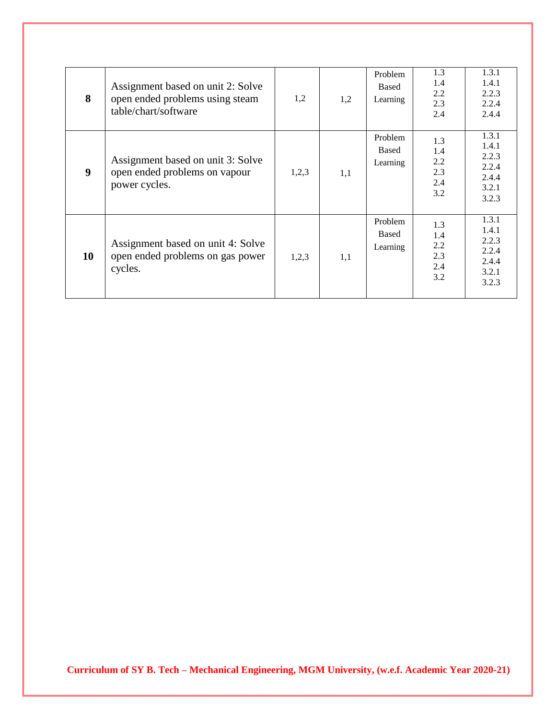| 8  | Assignment based on unit 2: Solve<br>open ended problems using steam<br>table/chart/software | 1,2   | 1,2 | Problem<br>Based<br>Learning | 1.3<br>1.4<br>2.2<br>2.3<br>2.4        | 1.3.1<br>1.4.1<br>2.2.3<br>2.2.4<br>2.4.4                   |
|----|----------------------------------------------------------------------------------------------|-------|-----|------------------------------|----------------------------------------|-------------------------------------------------------------|
| 9  | Assignment based on unit 3: Solve<br>open ended problems on vapour<br>power cycles.          | 1,2,3 | 1,1 | Problem<br>Based<br>Learning | 1.3<br>1.4<br>2.2<br>2.3<br>2.4<br>3.2 | 1.3.1<br>1.4.1<br>2.2.3<br>2.2.4<br>2.4.4<br>3.2.1<br>3.2.3 |
| 10 | Assignment based on unit 4: Solve<br>open ended problems on gas power<br>cycles.             | 1,2,3 | 1,1 | Problem<br>Based<br>Learning | 1.3<br>1.4<br>2.2<br>2.3<br>2.4<br>3.2 | 1.3.1<br>1.4.1<br>2.2.3<br>2.2.4<br>2.4.4<br>3.2.1<br>3.2.3 |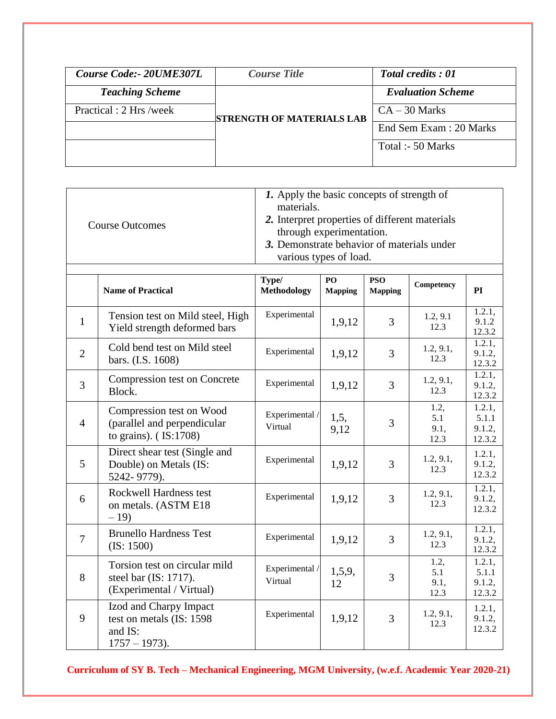| Course Code: 20UME307L  | <b>Course Title</b>              | <b>Total credits: 01</b> |
|-------------------------|----------------------------------|--------------------------|
| <b>Teaching Scheme</b>  |                                  | <b>Evaluation Scheme</b> |
| Practical : 2 Hrs /week | <b>STRENGTH OF MATERIALS LAB</b> | $CA - 30$ Marks          |
|                         |                                  | End Sem Exam : 20 Marks  |
|                         |                                  | Total :- 50 Marks        |
|                         |                                  |                          |

|                | <b>Course Outcomes</b>                                                                 | 1. Apply the basic concepts of strength of<br>materials.<br>2. Interpret properties of different materials<br>through experimentation.<br>3. Demonstrate behavior of materials under<br>various types of load. |                      |                              |                             |                                     |
|----------------|----------------------------------------------------------------------------------------|----------------------------------------------------------------------------------------------------------------------------------------------------------------------------------------------------------------|----------------------|------------------------------|-----------------------------|-------------------------------------|
|                | <b>Name of Practical</b>                                                               | Type/<br><b>Methodology</b>                                                                                                                                                                                    | PO<br><b>Mapping</b> | <b>PSO</b><br><b>Mapping</b> | Competency                  | PI                                  |
| $\mathbf{1}$   | Tension test on Mild steel, High<br>Yield strength deformed bars                       | Experimental                                                                                                                                                                                                   | 1,9,12               | 3                            | 1.2, 9.1<br>12.3            | 1.2.1,<br>9.1.2<br>12.3.2           |
| $\overline{2}$ | Cold bend test on Mild steel<br>bars. (I.S. 1608)                                      | Experimental                                                                                                                                                                                                   | 1,9,12               | 3                            | 1.2, 9.1,<br>12.3           | 1.2.1,<br>9.1.2,<br>12.3.2          |
| $\overline{3}$ | Compression test on Concrete<br>Block.                                                 | Experimental                                                                                                                                                                                                   | 1,9,12               | 3                            | 1.2, 9.1,<br>12.3           | 1.2.1,<br>9.1.2,<br>12.3.2          |
| $\overline{4}$ | Compression test on Wood<br>(parallel and perpendicular<br>to grains). $($ IS:1708 $)$ | Experimental /<br>Virtual                                                                                                                                                                                      | 1, 5,<br>9,12        | 3                            | 1.2,<br>5.1<br>9.1,<br>12.3 | 1.2.1,<br>5.1.1<br>9.1.2,<br>12.3.2 |
| 5              | Direct shear test (Single and<br>Double) on Metals (IS:<br>5242-9779).                 | Experimental                                                                                                                                                                                                   | 1,9,12               | 3                            | 1.2, 9.1,<br>12.3           | 1.2.1,<br>9.1.2,<br>12.3.2          |
| 6              | Rockwell Hardness test<br>on metals. (ASTM E18<br>$-19$                                | Experimental                                                                                                                                                                                                   | 1,9,12               | 3                            | 1.2, 9.1,<br>12.3           | 1.2.1,<br>9.1.2,<br>12.3.2          |
| $\overline{7}$ | <b>Brunello Hardness Test</b><br>(IS: 1500)                                            | Experimental                                                                                                                                                                                                   | 1,9,12               | 3                            | 1.2, 9.1,<br>12.3           | 1.2.1,<br>9.1.2,<br>12.3.2          |
| 8              | Torsion test on circular mild<br>steel bar (IS: 1717).<br>(Experimental / Virtual)     | Experimental /<br>Virtual                                                                                                                                                                                      | 1,5,9,<br>12         | 3                            | 1.2,<br>5.1<br>9.1,<br>12.3 | 1.2.1,<br>5.1.1<br>9.1.2,<br>12.3.2 |
| 9              | Izod and Charpy Impact<br>test on metals (IS: 1598)<br>and IS:<br>$1757 - 1973$ ).     | Experimental                                                                                                                                                                                                   | 1,9,12               | 3                            | 1.2, 9.1,<br>12.3           | 1.2.1,<br>9.1.2,<br>12.3.2          |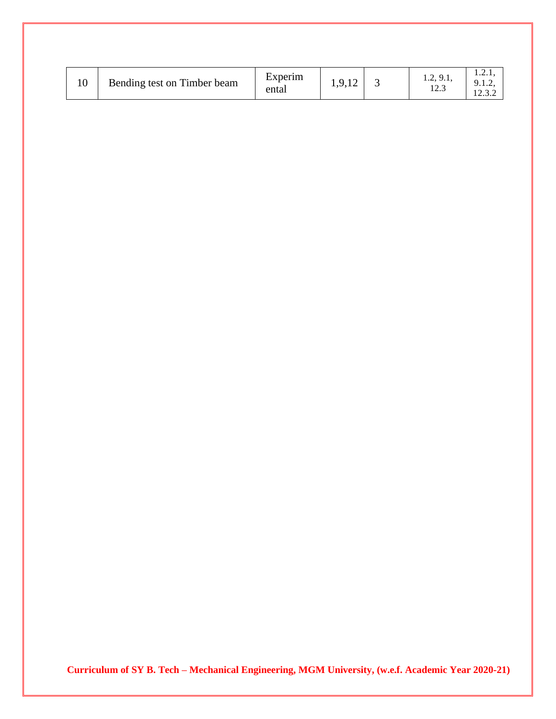|  | Bending test on Timber beam | Experim<br>ental | $1,7,14$ . |  | $2 \Omega$<br>1.4, 7.1,<br>ר הו<br>ن ۱۷٬۰ | .<br>. <u>.</u> .<br>$1 \cap 2$<br>12.3.2 |
|--|-----------------------------|------------------|------------|--|-------------------------------------------|-------------------------------------------|
|--|-----------------------------|------------------|------------|--|-------------------------------------------|-------------------------------------------|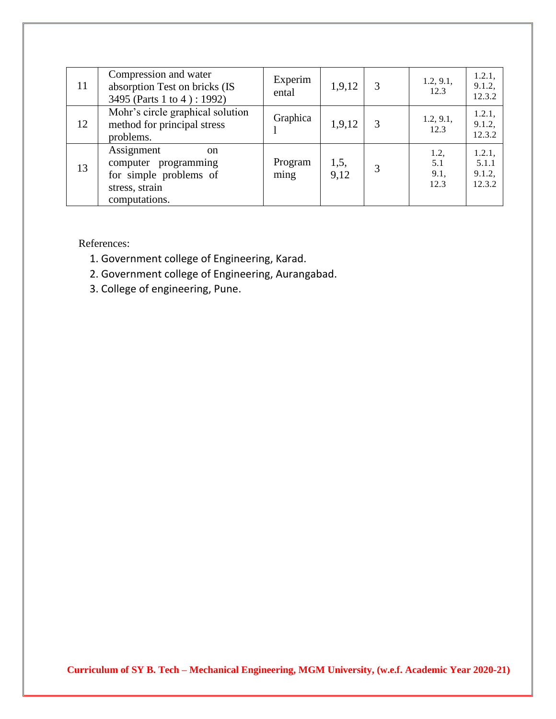| 11 | Compression and water<br>absorption Test on bricks (IS<br>3495 (Parts 1 to 4): 1992)                             | Experim<br>ental | 1,9,12       | 1.2, 9.1,<br>12.3           | 1.2.1,<br>9.1.2,<br>12.3.2          |
|----|------------------------------------------------------------------------------------------------------------------|------------------|--------------|-----------------------------|-------------------------------------|
| 12 | Mohr's circle graphical solution<br>method for principal stress<br>problems.                                     | Graphica         | 1,9,12       | 1.2, 9.1,<br>12.3           | 1.2.1,<br>9.1.2,<br>12.3.2          |
| 13 | Assignment<br><sub>on</sub><br>computer programming<br>for simple problems of<br>stress, strain<br>computations. | Program<br>ming  | 1,5,<br>9,12 | 1.2,<br>5.1<br>9.1,<br>12.3 | 1.2.1,<br>5.1.1<br>9.1.2,<br>12.3.2 |

References:

- 1. Government college of Engineering, Karad.
- 2. Government college of Engineering, Aurangabad.
- 3. College of engineering, Pune.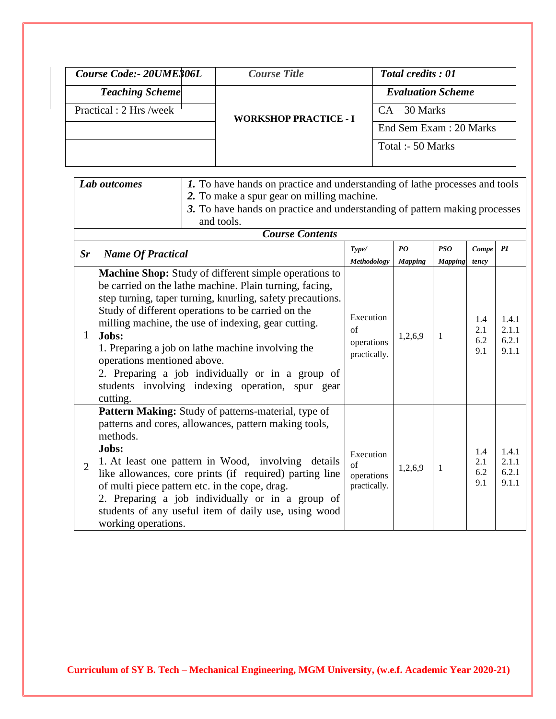| Course Code: 20UME306L  | <i>Course Title</i>          | <b>Total credits: 01</b> |
|-------------------------|------------------------------|--------------------------|
| <b>Teaching Scheme</b>  |                              | <b>Evaluation Scheme</b> |
| Practical : 2 Hrs /week | <b>WORKSHOP PRACTICE - I</b> | $CA - 30$ Marks          |
|                         |                              | End Sem Exam : 20 Marks  |
|                         |                              | Total :- 50 Marks        |
|                         |                              |                          |

|                | Lab outcomes                                     | 1. To have hands on practice and understanding of lathe processes and tools<br>2. To make a spur gear on milling machine.<br>3. To have hands on practice and understanding of pattern making processes<br>and tools.                                                                                                                                                                                                                                    |                                                       |                              |                |                          |                                  |
|----------------|--------------------------------------------------|----------------------------------------------------------------------------------------------------------------------------------------------------------------------------------------------------------------------------------------------------------------------------------------------------------------------------------------------------------------------------------------------------------------------------------------------------------|-------------------------------------------------------|------------------------------|----------------|--------------------------|----------------------------------|
|                |                                                  | <b>Course Contents</b>                                                                                                                                                                                                                                                                                                                                                                                                                                   |                                                       |                              |                |                          |                                  |
| $S_{r}$        | <b>Name Of Practical</b>                         | Type/<br>Methodology                                                                                                                                                                                                                                                                                                                                                                                                                                     | PQ<br><b>Mapping</b>                                  | <b>PSO</b><br><b>Mapping</b> | Compe<br>tency | PI                       |                                  |
| 1              | Jobs:<br>operations mentioned above.<br>cutting. | Machine Shop: Study of different simple operations to<br>be carried on the lathe machine. Plain turning, facing,<br>step turning, taper turning, knurling, safety precautions.<br>Study of different operations to be carried on the<br>milling machine, the use of indexing, gear cutting.<br>1. Preparing a job on lathe machine involving the<br>2. Preparing a job individually or in a group of<br>students involving indexing operation, spur gear | Execution<br>of<br>operations<br>practically.         | 1,2,6,9                      | 1              | 1.4<br>2.1<br>6.2<br>9.1 | 1.4.1<br>2.1.1<br>6.2.1<br>9.1.1 |
| $\overline{2}$ | methods.<br>Jobs:<br>working operations.         | Pattern Making: Study of patterns-material, type of<br>patterns and cores, allowances, pattern making tools,<br>1. At least one pattern in Wood, involving<br>details<br>like allowances, core prints (if required) parting line<br>of multi piece pattern etc. in the cope, drag.<br>2. Preparing a job individually or in a group of<br>students of any useful item of daily use, using wood                                                           | Execution<br>$\sigma$ f<br>operations<br>practically. | 1,2,6,9                      | 1              | 1.4<br>2.1<br>6.2<br>9.1 | 1.4.1<br>2.1.1<br>6.2.1<br>9.1.1 |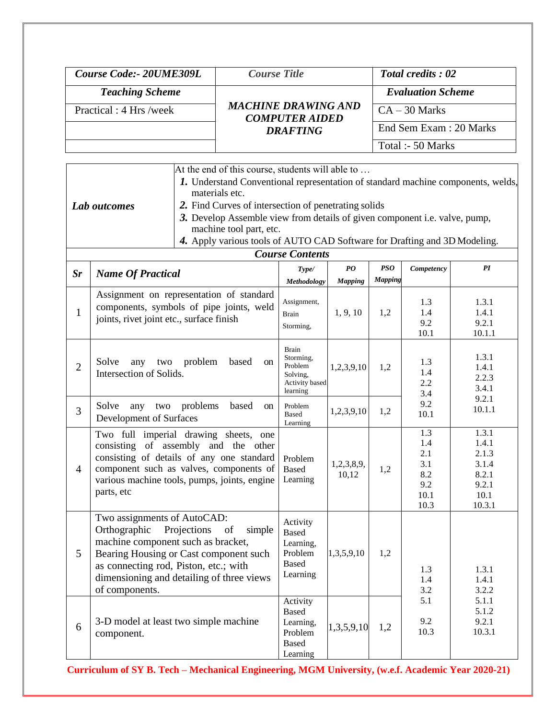| Course Code: - 20UME309L | <i>Course Title</i>                                 | <b>Total credits: 02</b> |
|--------------------------|-----------------------------------------------------|--------------------------|
| <b>Teaching Scheme</b>   |                                                     | <b>Evaluation Scheme</b> |
| Practical: 4 Hrs /week   | <b>MACHINE DRAWING AND</b><br><b>COMPUTER AIDED</b> | $CA - 30$ Marks          |
|                          | <b>DRAFTING</b>                                     | End Sem Exam : 20 Marks  |
|                          |                                                     | Total :- 50 Marks        |

|              | At the end of this course, students will able to                                                             |
|--------------|--------------------------------------------------------------------------------------------------------------|
|              | <b>1.</b> Understand Conventional representation of standard machine components, welds,                      |
|              | materials etc.                                                                                               |
| Lab outcomes | 2. Find Curves of intersection of penetrating solids                                                         |
|              | 3. Develop Assemble view from details of given component <i>i.e.</i> valve, pump,<br>machine tool part, etc. |
|              | 4. Apply various tools of AUTO CAD Software for Drafting and 3D Modeling.                                    |

|                        | 4. Apply various tools of AUTO CAD Software for Drafting and 3D Modeling. |
|------------------------|---------------------------------------------------------------------------|
| <b>Course Contents</b> |                                                                           |

| $S_{r}$        | <b>Name Of Practical</b>                                                                                                                                                                                                                                           | Type/<br>Methodology                                                           | $\boldsymbol{P}\boldsymbol{O}$<br><b>Mapping</b> | PSO<br><b>Mapping</b> | Competency                                             | PI                                                                   |
|----------------|--------------------------------------------------------------------------------------------------------------------------------------------------------------------------------------------------------------------------------------------------------------------|--------------------------------------------------------------------------------|--------------------------------------------------|-----------------------|--------------------------------------------------------|----------------------------------------------------------------------|
| $\mathbf{1}$   | Assignment on representation of standard<br>components, symbols of pipe joints, weld<br>joints, rivet joint etc., surface finish                                                                                                                                   | Assignment,<br><b>Brain</b><br>Storming,                                       | 1, 9, 10                                         | 1,2                   | 1.3<br>1.4<br>9.2<br>10.1                              | 1.3.1<br>1.4.1<br>9.2.1<br>10.1.1                                    |
| $\overline{2}$ | Solve<br>problem<br>based<br>any<br>two<br><sub>on</sub><br>Intersection of Solids.                                                                                                                                                                                | <b>Brain</b><br>Storming,<br>Problem<br>Solving,<br>Activity based<br>learning | 1,2,3,9,10                                       | 1,2                   | 1.3<br>1.4<br>2.2<br>3.4                               | 1.3.1<br>1.4.1<br>2.2.3<br>3.4.1                                     |
| 3              | Solve<br>problems<br>based<br>any two<br><sub>on</sub><br>Development of Surfaces                                                                                                                                                                                  | Problem<br><b>Based</b><br>Learning                                            | 1,2,3,9,10                                       | 1,2                   | 9.2<br>10.1                                            | 9.2.1<br>10.1.1                                                      |
| $\overline{4}$ | Two full imperial drawing sheets, one<br>consisting of assembly and the other<br>consisting of details of any one standard<br>component such as valves, components of<br>various machine tools, pumps, joints, engine<br>parts, etc                                | Problem<br><b>Based</b><br>Learning                                            | 1,2,3,8,9,<br>10,12                              | 1,2                   | 1.3<br>1.4<br>2.1<br>3.1<br>8.2<br>9.2<br>10.1<br>10.3 | 1.3.1<br>1.4.1<br>2.1.3<br>3.1.4<br>8.2.1<br>9.2.1<br>10.1<br>10.3.1 |
| 5              | Two assignments of AutoCAD:<br>Orthographic<br>Projections<br>of<br>simple<br>machine component such as bracket,<br>Bearing Housing or Cast component such<br>as connecting rod, Piston, etc.; with<br>dimensioning and detailing of three views<br>of components. | Activity<br><b>Based</b><br>Learning,<br>Problem<br><b>Based</b><br>Learning   | 1,3,5,9,10                                       | 1,2                   | 1.3<br>1.4<br>3.2                                      | 1.3.1<br>1.4.1<br>3.2.2                                              |
| 6              | 3-D model at least two simple machine<br>component.                                                                                                                                                                                                                | Activity<br><b>Based</b><br>Learning,<br>Problem<br><b>Based</b><br>Learning   | 1,3,5,9,10                                       | 1,2                   | 5.1<br>9.2<br>10.3                                     | 5.1.1<br>5.1.2<br>9.2.1<br>10.3.1                                    |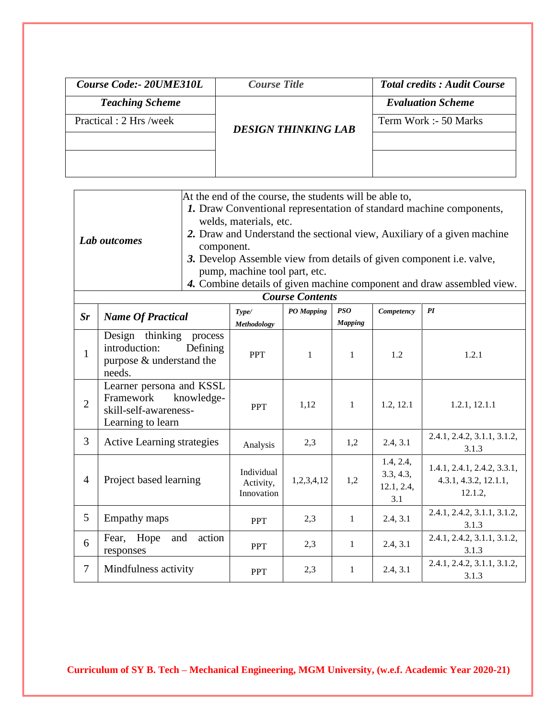| Course Code:- 20UME310L | <b>Course Title</b>        | <b>Total credits: Audit Course</b> |
|-------------------------|----------------------------|------------------------------------|
| <b>Teaching Scheme</b>  |                            | <b>Evaluation Scheme</b>           |
| Practical : 2 Hrs /week | <b>DESIGN THINKING LAB</b> | Term Work :- 50 Marks              |
|                         |                            |                                    |
|                         |                            |                                    |
|                         |                            |                                    |

|                |                                   |            | At the end of the course, the students will be able to, |                        |                |            |                                                                         |
|----------------|-----------------------------------|------------|---------------------------------------------------------|------------------------|----------------|------------|-------------------------------------------------------------------------|
|                |                                   |            |                                                         |                        |                |            | 1. Draw Conventional representation of standard machine components,     |
|                |                                   |            | welds, materials, etc.                                  |                        |                |            |                                                                         |
|                | Lab outcomes                      |            |                                                         |                        |                |            | 2. Draw and Understand the sectional view, Auxiliary of a given machine |
|                |                                   | component. |                                                         |                        |                |            |                                                                         |
|                |                                   |            |                                                         |                        |                |            | 3. Develop Assemble view from details of given component i.e. valve,    |
|                |                                   |            | pump, machine tool part, etc.                           |                        |                |            |                                                                         |
|                |                                   |            |                                                         | <b>Course Contents</b> |                |            | 4. Combine details of given machine component and draw assembled view.  |
|                |                                   |            | Type/                                                   |                        | PSO            |            | PI                                                                      |
| $S_{r}$        | <b>Name Of Practical</b>          |            | <b>Methodology</b>                                      | PO Mapping             | <b>Mapping</b> | Competency |                                                                         |
|                | Design thinking                   | process    |                                                         |                        |                |            |                                                                         |
| $\mathbf{1}$   | introduction:                     | Defining   |                                                         |                        |                |            |                                                                         |
|                | purpose & understand the          |            | <b>PPT</b>                                              | $\mathbf{1}$           | $\mathbf{1}$   | 1.2        | 1.2.1                                                                   |
|                | needs.                            |            |                                                         |                        |                |            |                                                                         |
|                | Learner persona and KSSL          |            |                                                         |                        |                |            |                                                                         |
| $\overline{2}$ | Framework knowledge-              |            | <b>PPT</b>                                              | 1,12                   | $\mathbf{1}$   | 1.2, 12.1  | 1.2.1, 12.1.1                                                           |
|                | skill-self-awareness-             |            |                                                         |                        |                |            |                                                                         |
|                | Learning to learn                 |            |                                                         |                        |                |            | 2.4.1, 2.4.2, 3.1.1, 3.1.2,                                             |
| 3              | <b>Active Learning strategies</b> |            | Analysis                                                | 2,3                    | 1,2            | 2.4, 3.1   | 3.1.3                                                                   |
|                |                                   |            |                                                         |                        |                | 1.4, 2.4,  |                                                                         |
|                |                                   |            | Individual                                              |                        |                | 3.3, 4.3,  | 1.4.1, 2.4.1, 2.4.2, 3.3.1,                                             |
| $\overline{4}$ | Project based learning            |            | Activity,                                               | 1,2,3,4,12             | 1,2            | 12.1, 2.4, | 4.3.1, 4.3.2, 12.1.1,                                                   |
|                |                                   |            | Innovation                                              |                        |                | 3.1        | 12.1.2,                                                                 |
| 5              | Empathy maps                      |            |                                                         | 2,3                    | $\mathbf{1}$   | 2.4, 3.1   | 2.4.1, 2.4.2, 3.1.1, 3.1.2,                                             |
|                |                                   |            | <b>PPT</b>                                              |                        |                |            | 3.1.3                                                                   |
| 6              | Hope<br>Fear,<br>and              | action     | <b>PPT</b>                                              | 2,3                    | $\mathbf{1}$   | 2.4, 3.1   | 2.4.1, 2.4.2, 3.1.1, 3.1.2,                                             |
|                | responses                         |            |                                                         |                        |                |            | 3.1.3                                                                   |
| $\tau$         | Mindfulness activity              |            | <b>PPT</b>                                              | 2,3                    | $\mathbf{1}$   | 2.4, 3.1   | 2.4.1, 2.4.2, 3.1.1, 3.1.2,                                             |
|                |                                   |            |                                                         |                        |                |            | 3.1.3                                                                   |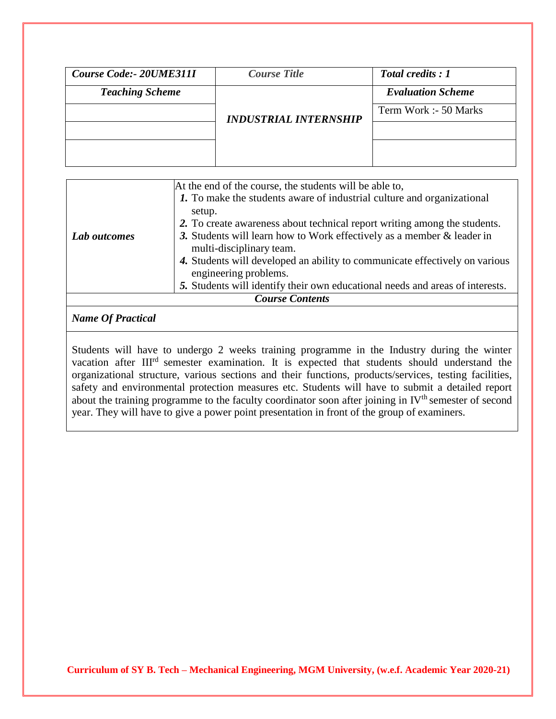| Course Code:- 20UME311I | <b>Course Title</b>          | Total credits : 1        |
|-------------------------|------------------------------|--------------------------|
| <b>Teaching Scheme</b>  |                              | <b>Evaluation Scheme</b> |
|                         | <b>INDUSTRIAL INTERNSHIP</b> | Term Work :- 50 Marks    |
|                         |                              |                          |
|                         |                              |                          |
|                         |                              |                          |

|              | At the end of the course, the students will be able to,<br>1. To make the students aware of industrial culture and organizational<br>setup.<br>2. To create awareness about technical report writing among the students. |
|--------------|--------------------------------------------------------------------------------------------------------------------------------------------------------------------------------------------------------------------------|
| Lab outcomes | 3. Students will learn how to Work effectively as a member $\&$ leader in<br>multi-disciplinary team.                                                                                                                    |
|              | 4. Students will developed an ability to communicate effectively on various<br>engineering problems.                                                                                                                     |
|              | 5. Students will identify their own educational needs and areas of interests.                                                                                                                                            |
|              | <b>Course Contents</b>                                                                                                                                                                                                   |

## *Name Of Practical*

Students will have to undergo 2 weeks training programme in the Industry during the winter vacation after III<sup>rd</sup> semester examination. It is expected that students should understand the organizational structure, various sections and their functions, products/services, testing facilities, safety and environmental protection measures etc. Students will have to submit a detailed report about the training programme to the faculty coordinator soon after joining in IV<sup>th</sup> semester of second year. They will have to give a power point presentation in front of the group of examiners.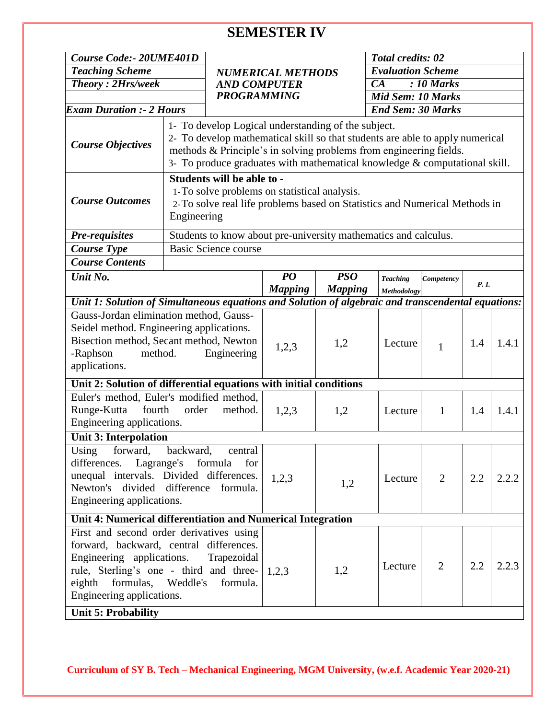# **SEMESTER IV**

| Course Code:- 20UME401D                                                                                                                                                                            |                                                 |                                                                                                                                                                                                                                                                                            |                |                                                      | <b>Total credits: 02</b> |                |       |       |  |
|----------------------------------------------------------------------------------------------------------------------------------------------------------------------------------------------------|-------------------------------------------------|--------------------------------------------------------------------------------------------------------------------------------------------------------------------------------------------------------------------------------------------------------------------------------------------|----------------|------------------------------------------------------|--------------------------|----------------|-------|-------|--|
| <b>Teaching Scheme</b>                                                                                                                                                                             | <b>NUMERICAL METHODS</b><br><b>AND COMPUTER</b> |                                                                                                                                                                                                                                                                                            |                | <b>Evaluation Scheme</b><br>CA<br>$: 10$ Marks       |                          |                |       |       |  |
| <b>Theory: 2Hrs/week</b>                                                                                                                                                                           |                                                 |                                                                                                                                                                                                                                                                                            |                |                                                      |                          |                |       |       |  |
|                                                                                                                                                                                                    |                                                 |                                                                                                                                                                                                                                                                                            |                |                                                      |                          |                |       |       |  |
| <b>Exam Duration :- 2 Hours</b>                                                                                                                                                                    | <b>PROGRAMMING</b>                              |                                                                                                                                                                                                                                                                                            |                | <b>Mid Sem: 10 Marks</b><br><b>End Sem: 30 Marks</b> |                          |                |       |       |  |
|                                                                                                                                                                                                    |                                                 |                                                                                                                                                                                                                                                                                            |                |                                                      |                          |                |       |       |  |
| <b>Course Objectives</b>                                                                                                                                                                           |                                                 | 1- To develop Logical understanding of the subject.<br>2- To develop mathematical skill so that students are able to apply numerical<br>methods & Principle's in solving problems from engineering fields.<br>3- To produce graduates with mathematical knowledge $&$ computational skill. |                |                                                      |                          |                |       |       |  |
| <b>Course Outcomes</b>                                                                                                                                                                             | Engineering                                     | Students will be able to -<br>1-To solve problems on statistical analysis.<br>2-To solve real life problems based on Statistics and Numerical Methods in                                                                                                                                   |                |                                                      |                          |                |       |       |  |
| <b>Pre-requisites</b>                                                                                                                                                                              |                                                 | Students to know about pre-university mathematics and calculus.                                                                                                                                                                                                                            |                |                                                      |                          |                |       |       |  |
| <b>Course Type</b>                                                                                                                                                                                 |                                                 | <b>Basic Science course</b>                                                                                                                                                                                                                                                                |                |                                                      |                          |                |       |       |  |
| <b>Course Contents</b>                                                                                                                                                                             |                                                 |                                                                                                                                                                                                                                                                                            |                |                                                      |                          |                |       |       |  |
| Unit No.                                                                                                                                                                                           |                                                 |                                                                                                                                                                                                                                                                                            | PO             | <b>PSO</b>                                           | <b>Teaching</b>          | Competency     |       |       |  |
|                                                                                                                                                                                                    |                                                 |                                                                                                                                                                                                                                                                                            | <b>Mapping</b> | <b>Mapping</b>                                       | Methodology              |                | P. I. |       |  |
| Unit 1: Solution of Simultaneous equations and Solution of algebraic and transcendental equations:                                                                                                 |                                                 |                                                                                                                                                                                                                                                                                            |                |                                                      |                          |                |       |       |  |
| Gauss-Jordan elimination method, Gauss-<br>Seidel method. Engineering applications.<br>Bisection method, Secant method, Newton<br>-Raphson<br>method.<br>applications.                             |                                                 | Engineering                                                                                                                                                                                                                                                                                | 1,2,3          | 1,2                                                  | Lecture                  | $\mathbf{1}$   | 1.4   | 1.4.1 |  |
| Unit 2: Solution of differential equations with initial conditions                                                                                                                                 |                                                 |                                                                                                                                                                                                                                                                                            |                |                                                      |                          |                |       |       |  |
| Euler's method, Euler's modified method,<br>Runge-Kutta<br>fourth<br>Engineering applications.                                                                                                     | order                                           | method.                                                                                                                                                                                                                                                                                    | 1,2,3          | 1,2                                                  | Lecture                  | $\mathbf{1}$   | 1.4   | 1.4.1 |  |
| <b>Unit 3: Interpolation</b>                                                                                                                                                                       |                                                 |                                                                                                                                                                                                                                                                                            |                |                                                      |                          |                |       |       |  |
| Using forward, backward,<br>differences.<br>unequal intervals. Divided differences.<br>Newton's divided difference formula.<br>Engineering applications.                                           | Lagrange's formula                              | central<br>for                                                                                                                                                                                                                                                                             | 1,2,3          | 1,2                                                  | Lecture                  | $\overline{2}$ | 2.2   | 2.2.2 |  |
|                                                                                                                                                                                                    |                                                 |                                                                                                                                                                                                                                                                                            |                |                                                      |                          |                |       |       |  |
| First and second order derivatives using<br>forward, backward, central differences.<br>Engineering applications.<br>rule, Sterling's one - third and three-<br>eighth<br>Engineering applications. |                                                 | Trapezoidal<br>formulas, Weddle's formula.                                                                                                                                                                                                                                                 | 1,2,3          | 1,2                                                  | Lecture                  | 2              | 2.2   | 2.2.3 |  |
| Unit 4: Numerical differentiation and Numerical Integration<br><b>Unit 5: Probability</b>                                                                                                          |                                                 |                                                                                                                                                                                                                                                                                            |                |                                                      |                          |                |       |       |  |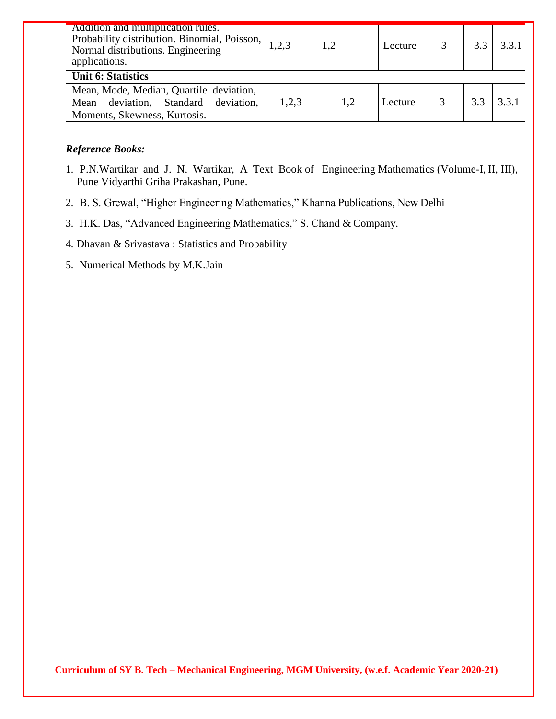| Addition and multiplication rules.<br>Probability distribution. Binomial, Poisson,<br>Normal distributions. Engineering<br>applications. | 1,2,3 | 1,2 | Lecture |     | 3.3.1 |
|------------------------------------------------------------------------------------------------------------------------------------------|-------|-----|---------|-----|-------|
| <b>Unit 6: Statistics</b>                                                                                                                |       |     |         |     |       |
| Mean, Mode, Median, Quartile deviation,<br>Mean deviation, Standard deviation,<br>Moments, Skewness, Kurtosis.                           | 1,2,3 | 1,2 | Lecture | 3.3 | 3.3.1 |

### *Reference Books:*

- 1. P.N.Wartikar and J. N. Wartikar, A Text Book of Engineering Mathematics (Volume-I, II, III), Pune Vidyarthi Griha Prakashan, Pune.
- 2. B. S. Grewal, "Higher Engineering Mathematics," Khanna Publications, New Delhi
- 3. H.K. Das, "Advanced Engineering Mathematics," S. Chand & Company.
- 4. Dhavan & Srivastava : Statistics and Probability
- 5. Numerical Methods by M.K.Jain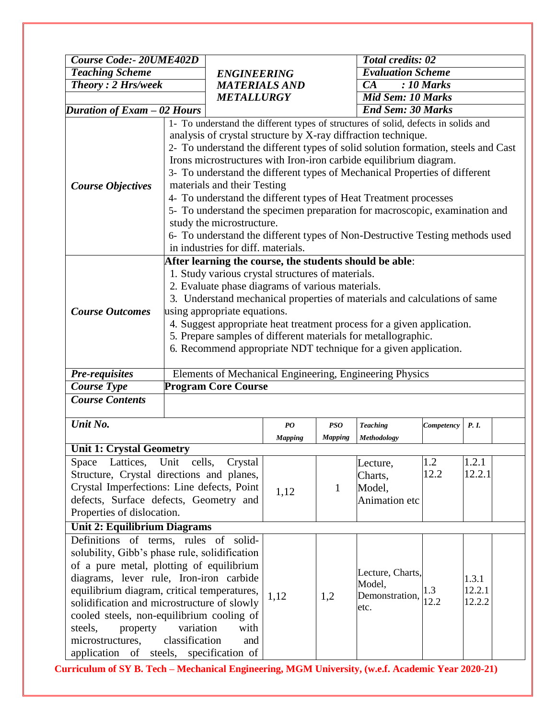|                                               | <b>Course Code:- 20UME402D</b>                                                                                                |                                                   |                |                | <b>Total credits: 02</b>                                                           |            |        |  |  |
|-----------------------------------------------|-------------------------------------------------------------------------------------------------------------------------------|---------------------------------------------------|----------------|----------------|------------------------------------------------------------------------------------|------------|--------|--|--|
| <b>Teaching Scheme</b>                        |                                                                                                                               | <b>ENGINEERING</b>                                |                |                | <b>Evaluation Scheme</b>                                                           |            |        |  |  |
| <b>Theory: 2 Hrs/week</b>                     |                                                                                                                               | <b>MATERIALS AND</b>                              |                |                | $\overline{CA}$<br>$\overline{10 \text{ Marks}}$                                   |            |        |  |  |
|                                               |                                                                                                                               | <b>METALLURGY</b>                                 |                |                | <b>Mid Sem: 10 Marks</b>                                                           |            |        |  |  |
| Duration of Exam - 02 Hours                   |                                                                                                                               |                                                   |                |                | <b>End Sem: 30 Marks</b>                                                           |            |        |  |  |
|                                               |                                                                                                                               |                                                   |                |                | 1- To understand the different types of structures of solid, defects in solids and |            |        |  |  |
|                                               |                                                                                                                               |                                                   |                |                | analysis of crystal structure by X-ray diffraction technique.                      |            |        |  |  |
|                                               | 2- To understand the different types of solid solution formation, steels and Cast                                             |                                                   |                |                |                                                                                    |            |        |  |  |
| <b>Course Objectives</b>                      | Irons microstructures with Iron-iron carbide equilibrium diagram.                                                             |                                                   |                |                |                                                                                    |            |        |  |  |
|                                               | 3- To understand the different types of Mechanical Properties of different                                                    |                                                   |                |                |                                                                                    |            |        |  |  |
|                                               | materials and their Testing                                                                                                   |                                                   |                |                |                                                                                    |            |        |  |  |
|                                               | 4- To understand the different types of Heat Treatment processes                                                              |                                                   |                |                |                                                                                    |            |        |  |  |
|                                               | 5- To understand the specimen preparation for macroscopic, examination and                                                    |                                                   |                |                |                                                                                    |            |        |  |  |
|                                               | study the microstructure.                                                                                                     |                                                   |                |                |                                                                                    |            |        |  |  |
|                                               | 6- To understand the different types of Non-Destructive Testing methods used                                                  |                                                   |                |                |                                                                                    |            |        |  |  |
|                                               |                                                                                                                               | in industries for diff. materials.                |                |                |                                                                                    |            |        |  |  |
|                                               |                                                                                                                               |                                                   |                |                | After learning the course, the students should be able:                            |            |        |  |  |
|                                               |                                                                                                                               | 1. Study various crystal structures of materials. |                |                |                                                                                    |            |        |  |  |
|                                               |                                                                                                                               |                                                   |                |                |                                                                                    |            |        |  |  |
|                                               | 2. Evaluate phase diagrams of various materials.<br>3. Understand mechanical properties of materials and calculations of same |                                                   |                |                |                                                                                    |            |        |  |  |
|                                               | using appropriate equations.                                                                                                  |                                                   |                |                |                                                                                    |            |        |  |  |
| <b>Course Outcomes</b>                        | 4. Suggest appropriate heat treatment process for a given application.                                                        |                                                   |                |                |                                                                                    |            |        |  |  |
|                                               | 5. Prepare samples of different materials for metallographic.                                                                 |                                                   |                |                |                                                                                    |            |        |  |  |
|                                               | 6. Recommend appropriate NDT technique for a given application.                                                               |                                                   |                |                |                                                                                    |            |        |  |  |
|                                               |                                                                                                                               |                                                   |                |                |                                                                                    |            |        |  |  |
|                                               |                                                                                                                               |                                                   |                |                |                                                                                    |            |        |  |  |
|                                               |                                                                                                                               |                                                   |                |                | Elements of Mechanical Engineering, Engineering Physics                            |            |        |  |  |
| <b>Pre-requisites</b><br><b>Course Type</b>   |                                                                                                                               | <b>Program Core Course</b>                        |                |                |                                                                                    |            |        |  |  |
| <b>Course Contents</b>                        |                                                                                                                               |                                                   |                |                |                                                                                    |            |        |  |  |
|                                               |                                                                                                                               |                                                   |                |                |                                                                                    |            |        |  |  |
| Unit No.                                      |                                                                                                                               |                                                   | PO             | PSO            | <b>Teaching</b>                                                                    | Competency | P. I.  |  |  |
| <b>Unit 1: Crystal Geometry</b>               |                                                                                                                               |                                                   | <b>Mapping</b> | <b>Mapping</b> | Methodology                                                                        |            |        |  |  |
| Lattices, Unit cells,                         |                                                                                                                               |                                                   |                |                |                                                                                    | 1.2        | 1.2.1  |  |  |
| Space                                         | Crystal                                                                                                                       |                                                   |                | Lecture,       | 12.2                                                                               | 12.2.1     |        |  |  |
| Structure, Crystal directions and planes,     |                                                                                                                               |                                                   |                |                | Charts,                                                                            |            |        |  |  |
| Crystal Imperfections: Line defects, Point    |                                                                                                                               |                                                   | 1,12           | $\mathbf{1}$   | Model,                                                                             |            |        |  |  |
| defects, Surface defects, Geometry and        |                                                                                                                               |                                                   |                |                | Animation etc                                                                      |            |        |  |  |
| Properties of dislocation.                    |                                                                                                                               |                                                   |                |                |                                                                                    |            |        |  |  |
| <b>Unit 2: Equilibrium Diagrams</b>           |                                                                                                                               |                                                   |                |                |                                                                                    |            |        |  |  |
| Definitions of terms, rules of solid-         |                                                                                                                               |                                                   |                |                |                                                                                    |            |        |  |  |
| solubility, Gibb's phase rule, solidification |                                                                                                                               |                                                   |                |                |                                                                                    |            |        |  |  |
| of a pure metal, plotting of equilibrium      |                                                                                                                               |                                                   |                |                | Lecture, Charts,                                                                   |            |        |  |  |
| diagrams, lever rule, Iron-iron carbide       |                                                                                                                               |                                                   |                |                | Model,                                                                             |            | 1.3.1  |  |  |
| equilibrium diagram, critical temperatures,   |                                                                                                                               |                                                   | 1,12           | 1,2            | Demonstration,                                                                     | 1.3        | 12.2.1 |  |  |
| solidification and microstructure of slowly   |                                                                                                                               |                                                   |                |                | etc.                                                                               | 12.2       | 12.2.2 |  |  |
| cooled steels, non-equilibrium cooling of     |                                                                                                                               |                                                   |                |                |                                                                                    |            |        |  |  |
| steels,<br>property                           | variation                                                                                                                     | with                                              |                |                |                                                                                    |            |        |  |  |
| microstructures,<br>application               | classification                                                                                                                | and<br>of steels, specification of                |                |                |                                                                                    |            |        |  |  |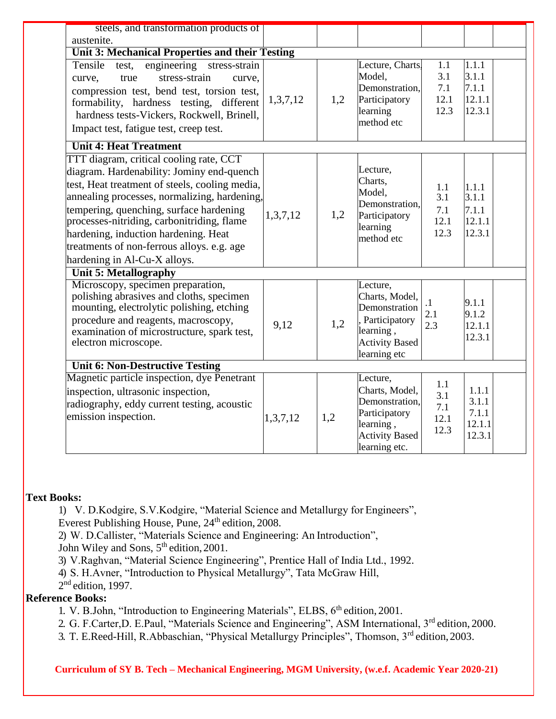| steels, and transformation products of                                                                                                                                                                                                                                                                                                                                                                |          |     |                                                                                                                      |                                   |                                             |  |
|-------------------------------------------------------------------------------------------------------------------------------------------------------------------------------------------------------------------------------------------------------------------------------------------------------------------------------------------------------------------------------------------------------|----------|-----|----------------------------------------------------------------------------------------------------------------------|-----------------------------------|---------------------------------------------|--|
| austenite.                                                                                                                                                                                                                                                                                                                                                                                            |          |     |                                                                                                                      |                                   |                                             |  |
| Unit 3: Mechanical Properties and their Testing                                                                                                                                                                                                                                                                                                                                                       |          |     |                                                                                                                      |                                   |                                             |  |
| engineering stress-strain<br>Tensile<br>test,<br>stress-strain<br>true<br>curve,<br>curve,<br>compression test, bend test, torsion test,<br>formability, hardness testing, different<br>hardness tests-Vickers, Rockwell, Brinell,<br>Impact test, fatigue test, creep test.                                                                                                                          | 1,3,7,12 | 1,2 | Lecture, Charts.<br>Model,<br>Demonstration,<br>Participatory<br>learning<br>method etc                              | 1.1<br>3.1<br>7.1<br>12.1<br>12.3 | 1.1.1<br>3.1.1<br>7.1.1<br>12.1.1<br>12.3.1 |  |
| <b>Unit 4: Heat Treatment</b>                                                                                                                                                                                                                                                                                                                                                                         |          |     |                                                                                                                      |                                   |                                             |  |
| TTT diagram, critical cooling rate, CCT<br>diagram. Hardenability: Jominy end-quench<br>test, Heat treatment of steels, cooling media,<br>annealing processes, normalizing, hardening,<br>tempering, quenching, surface hardening<br>processes-nitriding, carbonitriding, flame<br>hardening, induction hardening. Heat<br>treatments of non-ferrous alloys. e.g. age<br>hardening in Al-Cu-X alloys. | 1,3,7,12 | 1,2 | Lecture,<br>Charts,<br>Model,<br>Demonstration,<br>Participatory<br>learning<br>method etc                           | 1.1<br>3.1<br>7.1<br>12.1<br>12.3 | 1.1.1<br>3.1.1<br>7.1.1<br>12.1.1<br>12.3.1 |  |
| <b>Unit 5: Metallography</b>                                                                                                                                                                                                                                                                                                                                                                          |          |     |                                                                                                                      |                                   |                                             |  |
| Microscopy, specimen preparation,<br>polishing abrasives and cloths, specimen<br>mounting, electrolytic polishing, etching<br>procedure and reagents, macroscopy,<br>examination of microstructure, spark test,<br>electron microscope.                                                                                                                                                               | 9,12     | 1,2 | Lecture,<br>Charts, Model,<br>Demonstration<br>, Participatory<br>learning,<br><b>Activity Based</b><br>learning etc | $\cdot$ 1<br>2.1<br>2.3           | 9.1.1<br>9.1.2<br>12.1.1<br>12.3.1          |  |
| <b>Unit 6: Non-Destructive Testing</b>                                                                                                                                                                                                                                                                                                                                                                |          |     |                                                                                                                      |                                   |                                             |  |
| Magnetic particle inspection, dye Penetrant<br>inspection, ultrasonic inspection,<br>radiography, eddy current testing, acoustic<br>emission inspection.                                                                                                                                                                                                                                              | 1,3,7,12 | 1,2 | Lecture,<br>Charts, Model,<br>Demonstration,<br>Participatory<br>learning,<br><b>Activity Based</b><br>learning etc. | 1.1<br>3.1<br>7.1<br>12.1<br>12.3 | 1.1.1<br>3.1.1<br>7.1.1<br>12.1.1<br>12.3.1 |  |

#### **Text Books:**

1) V. D.Kodgire, S.V.Kodgire, "Material Science and Metallurgy for Engineers",

Everest Publishing House, Pune, 24<sup>th</sup> edition, 2008.

2) W. D.Callister, "Materials Science and Engineering: An Introduction",

John Wiley and Sons,  $5<sup>th</sup>$  edition, 2001.

3) V.Raghvan, "Material Science Engineering", Prentice Hall of India Ltd., 1992.

4) S. H.Avner, "Introduction to Physical Metallurgy", Tata McGraw Hill,

 $2<sup>nd</sup>$  edition, 1997.

## **Reference Books:**

1. V. B.John, "Introduction to Engineering Materials", ELBS, 6<sup>th</sup> edition, 2001.

2. G. F.Carter, D. E.Paul, "Materials Science and Engineering", ASM International, 3<sup>rd</sup> edition, 2000.

3. T. E.Reed-Hill, R.Abbaschian, "Physical Metallurgy Principles", Thomson, 3rd edition,2003.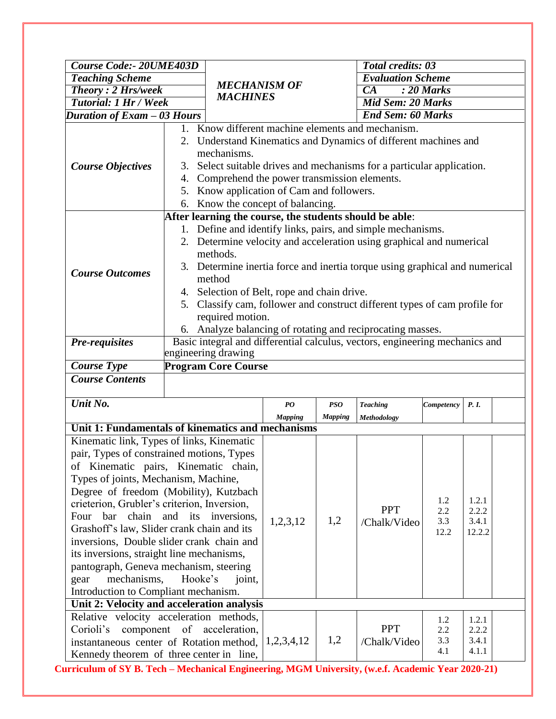| <b>Course Code:- 20UME403D</b>                         |                                                                                                                                            |                                                                                |                                                   |                | <b>Total credits: 03</b>                                                    |             |                 |  |
|--------------------------------------------------------|--------------------------------------------------------------------------------------------------------------------------------------------|--------------------------------------------------------------------------------|---------------------------------------------------|----------------|-----------------------------------------------------------------------------|-------------|-----------------|--|
| <b>Teaching Scheme</b>                                 |                                                                                                                                            |                                                                                |                                                   |                | <b>Evaluation Scheme</b>                                                    |             |                 |  |
| <b>Theory: 2 Hrs/week</b>                              |                                                                                                                                            | <b>MECHANISM OF</b>                                                            |                                                   |                | $\overline{CA}$<br>$: 20$ Marks                                             |             |                 |  |
| <b>Tutorial: 1 Hr / Week</b>                           |                                                                                                                                            | <b>MACHINES</b>                                                                |                                                   |                | <b>Mid Sem: 20 Marks</b>                                                    |             |                 |  |
| <b>Duration of Exam - 03 Hours</b>                     |                                                                                                                                            |                                                                                |                                                   |                | <b>End Sem: 60 Marks</b>                                                    |             |                 |  |
|                                                        |                                                                                                                                            |                                                                                | 1. Know different machine elements and mechanism. |                |                                                                             |             |                 |  |
|                                                        |                                                                                                                                            |                                                                                |                                                   |                | 2. Understand Kinematics and Dynamics of different machines and             |             |                 |  |
|                                                        |                                                                                                                                            | mechanisms.                                                                    |                                                   |                |                                                                             |             |                 |  |
| <b>Course Objectives</b>                               |                                                                                                                                            |                                                                                |                                                   |                | 3. Select suitable drives and mechanisms for a particular application.      |             |                 |  |
|                                                        |                                                                                                                                            | 4. Comprehend the power transmission elements.                                 |                                                   |                |                                                                             |             |                 |  |
|                                                        |                                                                                                                                            |                                                                                |                                                   |                |                                                                             |             |                 |  |
|                                                        |                                                                                                                                            | 5. Know application of Cam and followers.<br>6. Know the concept of balancing. |                                                   |                |                                                                             |             |                 |  |
|                                                        |                                                                                                                                            |                                                                                |                                                   |                | After learning the course, the students should be able:                     |             |                 |  |
|                                                        |                                                                                                                                            |                                                                                |                                                   |                | 1. Define and identify links, pairs, and simple mechanisms.                 |             |                 |  |
|                                                        |                                                                                                                                            |                                                                                |                                                   |                | 2. Determine velocity and acceleration using graphical and numerical        |             |                 |  |
|                                                        |                                                                                                                                            | methods.                                                                       |                                                   |                |                                                                             |             |                 |  |
|                                                        |                                                                                                                                            |                                                                                |                                                   |                | 3. Determine inertia force and inertia torque using graphical and numerical |             |                 |  |
| <b>Course Outcomes</b>                                 |                                                                                                                                            | method                                                                         |                                                   |                |                                                                             |             |                 |  |
| 4. Selection of Belt, rope and chain drive.            |                                                                                                                                            |                                                                                |                                                   |                |                                                                             |             |                 |  |
|                                                        |                                                                                                                                            |                                                                                |                                                   |                |                                                                             |             |                 |  |
|                                                        | 5. Classify cam, follower and construct different types of cam profile for<br>required motion.                                             |                                                                                |                                                   |                |                                                                             |             |                 |  |
|                                                        |                                                                                                                                            |                                                                                |                                                   |                |                                                                             |             |                 |  |
| Pre-requisites                                         | 6. Analyze balancing of rotating and reciprocating masses.<br>Basic integral and differential calculus, vectors, engineering mechanics and |                                                                                |                                                   |                |                                                                             |             |                 |  |
|                                                        |                                                                                                                                            |                                                                                |                                                   |                |                                                                             |             |                 |  |
| <b>Course Type</b>                                     |                                                                                                                                            | engineering drawing<br><b>Program Core Course</b>                              |                                                   |                |                                                                             |             |                 |  |
| <b>Course Contents</b>                                 |                                                                                                                                            |                                                                                |                                                   |                |                                                                             |             |                 |  |
|                                                        |                                                                                                                                            |                                                                                |                                                   |                |                                                                             |             |                 |  |
| Unit No.                                               |                                                                                                                                            |                                                                                | $\boldsymbol{P}\boldsymbol{O}$                    | <b>PSO</b>     | <b>Teaching</b>                                                             | Competency  | P. I.           |  |
|                                                        |                                                                                                                                            |                                                                                | <b>Mapping</b>                                    | <b>Mapping</b> | Methodology                                                                 |             |                 |  |
| Unit 1: Fundamentals of kinematics and mechanisms      |                                                                                                                                            |                                                                                |                                                   |                |                                                                             |             |                 |  |
| Kinematic link, Types of links, Kinematic              |                                                                                                                                            |                                                                                |                                                   |                |                                                                             |             |                 |  |
| pair, Types of constrained motions, Types              |                                                                                                                                            |                                                                                |                                                   |                |                                                                             |             |                 |  |
| of Kinematic pairs, Kinematic chain,                   |                                                                                                                                            |                                                                                |                                                   |                |                                                                             |             |                 |  |
| Types of joints, Mechanism, Machine,                   |                                                                                                                                            |                                                                                |                                                   |                |                                                                             |             |                 |  |
| Degree of freedom (Mobility), Kutzbach                 |                                                                                                                                            |                                                                                |                                                   |                |                                                                             |             |                 |  |
| crieterion, Grubler's criterion, Inversion,            |                                                                                                                                            |                                                                                |                                                   |                |                                                                             | 1.2         | 1.2.1           |  |
| bar<br>Four                                            |                                                                                                                                            | chain and its inversions,                                                      |                                                   | 1,2            | <b>PPT</b>                                                                  | 2.2         | 2.2.2           |  |
| Grashoff's law, Slider crank chain and its             |                                                                                                                                            |                                                                                | 1,2,3,12                                          |                | /Chalk/Video                                                                | 3.3<br>12.2 | 3.4.1<br>12.2.2 |  |
| inversions, Double slider crank chain and              |                                                                                                                                            |                                                                                |                                                   |                |                                                                             |             |                 |  |
| its inversions, straight line mechanisms,              |                                                                                                                                            |                                                                                |                                                   |                |                                                                             |             |                 |  |
| pantograph, Geneva mechanism, steering                 |                                                                                                                                            |                                                                                |                                                   |                |                                                                             |             |                 |  |
| mechanisms,<br>gear                                    | Hooke's                                                                                                                                    | joint,                                                                         |                                                   |                |                                                                             |             |                 |  |
|                                                        | Introduction to Compliant mechanism.                                                                                                       |                                                                                |                                                   |                |                                                                             |             |                 |  |
| Unit 2: Velocity and acceleration analysis             |                                                                                                                                            |                                                                                |                                                   |                |                                                                             |             |                 |  |
| Relative velocity acceleration methods,                |                                                                                                                                            |                                                                                |                                                   |                |                                                                             | 1.2         | 1.2.1           |  |
| Corioli's                                              |                                                                                                                                            | component of acceleration,                                                     |                                                   |                | <b>PPT</b>                                                                  | 2.2         | 2.2.2           |  |
| instantaneous center of Rotation method, $ 1,2,3,4,12$ |                                                                                                                                            |                                                                                |                                                   | 1,2            | /Chalk/Video                                                                | 3.3         | 3.4.1           |  |
| Kennedy theorem of three center in line,               |                                                                                                                                            |                                                                                |                                                   |                |                                                                             | 4.1         | 4.1.1           |  |
|                                                        |                                                                                                                                            |                                                                                |                                                   |                |                                                                             |             |                 |  |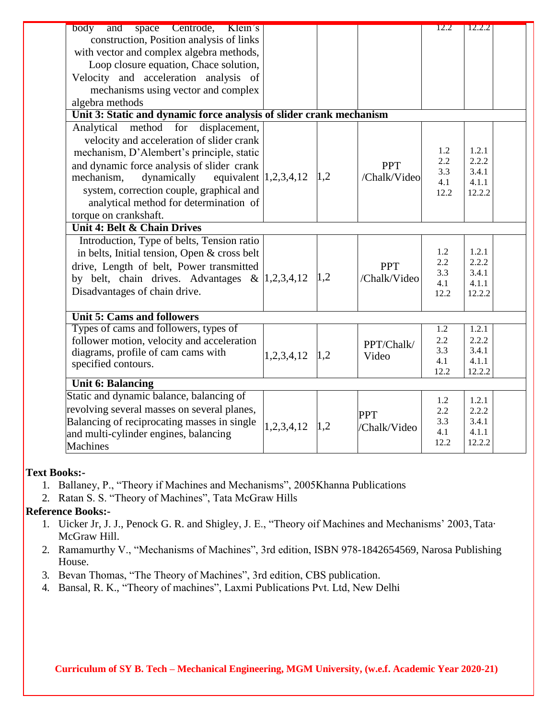| body<br>and space Centrode, Klein's                                 |                  |     |              | 12.2        | 12.2.2          |
|---------------------------------------------------------------------|------------------|-----|--------------|-------------|-----------------|
| construction, Position analysis of links                            |                  |     |              |             |                 |
| with vector and complex algebra methods,                            |                  |     |              |             |                 |
| Loop closure equation, Chace solution,                              |                  |     |              |             |                 |
| Velocity and acceleration analysis of                               |                  |     |              |             |                 |
| mechanisms using vector and complex                                 |                  |     |              |             |                 |
| algebra methods                                                     |                  |     |              |             |                 |
| Unit 3: Static and dynamic force analysis of slider crank mechanism |                  |     |              |             |                 |
| for<br>Analytical<br>method<br>displacement,                        |                  |     |              |             |                 |
| velocity and acceleration of slider crank                           |                  |     |              |             |                 |
| mechanism, D'Alembert's principle, static                           |                  |     |              | 1.2         | 1.2.1           |
| and dynamic force analysis of slider crank                          |                  |     | <b>PPT</b>   | 2.2<br>3.3  | 2.2.2<br>3.4.1  |
| equivalent $\vert 1,2,3,4,12 \rangle$<br>mechanism,<br>dynamically  |                  | 1,2 | /Chalk/Video | 4.1         | 4.1.1           |
| system, correction couple, graphical and                            |                  |     |              | 12.2        | 12.2.2          |
| analytical method for determination of                              |                  |     |              |             |                 |
| torque on crankshaft.                                               |                  |     |              |             |                 |
| <b>Unit 4: Belt &amp; Chain Drives</b>                              |                  |     |              |             |                 |
| Introduction, Type of belts, Tension ratio                          |                  |     |              |             |                 |
| in belts, Initial tension, Open & cross belt                        |                  |     |              | 1.2         | 1.2.1           |
| drive, Length of belt, Power transmitted                            |                  |     | <b>PPT</b>   | 2.2         | 2.2.2<br>3.4.1  |
| by belt, chain drives. Advantages & $ 1,2,3,4,12 \rangle  1,2$      |                  |     | /Chalk/Video | 3.3<br>4.1  | 4.1.1           |
| Disadvantages of chain drive.                                       |                  |     |              | 12.2        | 12.2.2          |
|                                                                     |                  |     |              |             |                 |
| <b>Unit 5: Cams and followers</b>                                   |                  |     |              |             |                 |
| Types of cams and followers, types of                               |                  |     |              | 1.2         | 1.2.1           |
| follower motion, velocity and acceleration                          |                  |     | PPT/Chalk/   | 2.2         | 2.2.2           |
| diagrams, profile of cam cams with                                  | $1,2,3,4,12$ 1,2 |     | Video        | 3.3         | 3.4.1           |
| specified contours.                                                 |                  |     |              | 4.1<br>12.2 | 4.1.1<br>12.2.2 |
| <b>Unit 6: Balancing</b>                                            |                  |     |              |             |                 |
| Static and dynamic balance, balancing of                            |                  |     |              |             | 1.2.1           |
| revolving several masses on several planes,                         |                  |     |              | 1.2<br>2.2  | 2.2.2           |
| Balancing of reciprocating masses in single                         |                  |     | <b>PPT</b>   | 3.3         | 3.4.1           |
| and multi-cylinder engines, balancing                               | 1,2,3,4,12       | 1,2 | /Chalk/Video | 4.1         | 4.1.1           |
| <b>Machines</b>                                                     |                  |     |              | 12.2        | 12.2.2          |

#### **Text Books:-**

- 1. Ballaney, P., "Theory if Machines and Mechanisms", 2005Khanna Publications
- 2. Ratan S. S. "Theory of Machines", Tata McGraw Hills

## **Reference Books:-**

- 1. Uicker Jr, J. J., Penock G. R. and Shigley, J. E., "Theory oif Machines and Mechanisms' 2003, Tata· McGraw Hill.
- 2. Ramamurthy V., "Mechanisms of Machines", 3rd edition, ISBN 978-1842654569, Narosa Publishing House.
- 3. Bevan Thomas, "The Theory of Machines", 3rd edition, CBS publication.
- 4. Bansal, R. K., "Theory of machines", Laxmi Publications Pvt. Ltd, New Delhi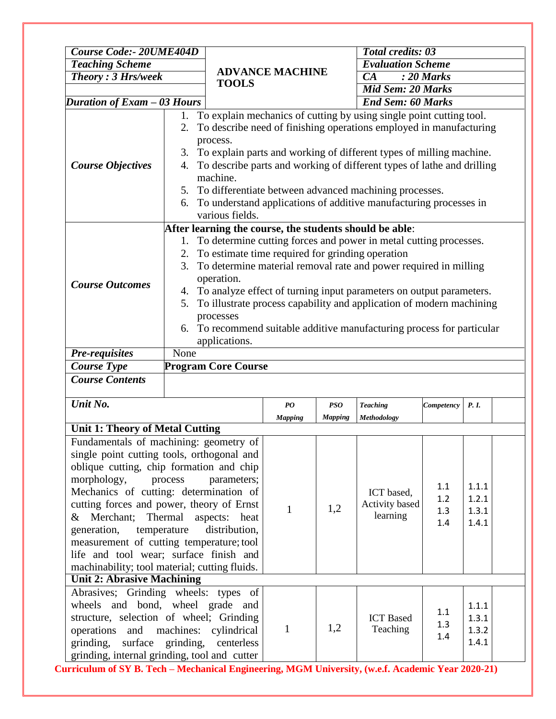| <b>Course Code:- 20UME404D</b>                                                                    |             |                                                                                      |                                                           | <b>Total credits: 03</b> |                                                                        |                          |                |  |  |
|---------------------------------------------------------------------------------------------------|-------------|--------------------------------------------------------------------------------------|-----------------------------------------------------------|--------------------------|------------------------------------------------------------------------|--------------------------|----------------|--|--|
| <b>Teaching Scheme</b>                                                                            |             |                                                                                      |                                                           |                          | <b>Evaluation Scheme</b>                                               |                          |                |  |  |
| <b>Theory: 3 Hrs/week</b>                                                                         |             |                                                                                      | <b>ADVANCE MACHINE</b>                                    |                          | CA                                                                     | $: 20$ Marks             |                |  |  |
|                                                                                                   |             | <b>TOOLS</b>                                                                         |                                                           |                          |                                                                        | <b>Mid Sem: 20 Marks</b> |                |  |  |
| Duration of Exam - 03 Hours                                                                       |             |                                                                                      |                                                           |                          | <b>End Sem: 60 Marks</b>                                               |                          |                |  |  |
|                                                                                                   |             |                                                                                      |                                                           |                          | 1. To explain mechanics of cutting by using single point cutting tool. |                          |                |  |  |
|                                                                                                   | 2.          |                                                                                      |                                                           |                          | To describe need of finishing operations employed in manufacturing     |                          |                |  |  |
|                                                                                                   |             | process.                                                                             |                                                           |                          |                                                                        |                          |                |  |  |
|                                                                                                   |             |                                                                                      |                                                           |                          | 3. To explain parts and working of different types of milling machine. |                          |                |  |  |
| <b>Course Objectives</b>                                                                          | 4.          |                                                                                      |                                                           |                          | To describe parts and working of different types of lathe and drilling |                          |                |  |  |
|                                                                                                   |             | machine.                                                                             |                                                           |                          |                                                                        |                          |                |  |  |
|                                                                                                   |             |                                                                                      | 5. To differentiate between advanced machining processes. |                          |                                                                        |                          |                |  |  |
|                                                                                                   | 6.          | To understand applications of additive manufacturing processes in                    |                                                           |                          |                                                                        |                          |                |  |  |
|                                                                                                   |             | various fields.                                                                      |                                                           |                          |                                                                        |                          |                |  |  |
|                                                                                                   |             |                                                                                      |                                                           |                          | After learning the course, the students should be able:                |                          |                |  |  |
|                                                                                                   |             |                                                                                      |                                                           |                          | 1. To determine cutting forces and power in metal cutting processes.   |                          |                |  |  |
|                                                                                                   |             | 2. To estimate time required for grinding operation                                  |                                                           |                          |                                                                        |                          |                |  |  |
|                                                                                                   | 3.          | To determine material removal rate and power required in milling                     |                                                           |                          |                                                                        |                          |                |  |  |
| <b>Course Outcomes</b>                                                                            |             | operation.                                                                           |                                                           |                          |                                                                        |                          |                |  |  |
|                                                                                                   |             | 4. To analyze effect of turning input parameters on output parameters.               |                                                           |                          |                                                                        |                          |                |  |  |
|                                                                                                   | 5.          | To illustrate process capability and application of modern machining                 |                                                           |                          |                                                                        |                          |                |  |  |
|                                                                                                   | 6.          | processes                                                                            |                                                           |                          |                                                                        |                          |                |  |  |
|                                                                                                   |             | To recommend suitable additive manufacturing process for particular<br>applications. |                                                           |                          |                                                                        |                          |                |  |  |
| Pre-requisites                                                                                    | None        |                                                                                      |                                                           |                          |                                                                        |                          |                |  |  |
| <b>Course Type</b>                                                                                |             | <b>Program Core Course</b>                                                           |                                                           |                          |                                                                        |                          |                |  |  |
| <b>Course Contents</b>                                                                            |             |                                                                                      |                                                           |                          |                                                                        |                          |                |  |  |
|                                                                                                   |             |                                                                                      |                                                           |                          |                                                                        |                          |                |  |  |
| Unit No.                                                                                          |             |                                                                                      | PO                                                        | <b>PSO</b>               | <b>Teaching</b>                                                        | Competency               | P. I.          |  |  |
|                                                                                                   |             |                                                                                      | <b>Mapping</b>                                            | <b>Mapping</b>           | Methodology                                                            |                          |                |  |  |
| <b>Unit 1: Theory of Metal Cutting</b>                                                            |             |                                                                                      |                                                           |                          |                                                                        |                          |                |  |  |
| Fundamentals of machining: geometry of                                                            |             |                                                                                      |                                                           |                          |                                                                        |                          |                |  |  |
| single point cutting tools, orthogonal and                                                        |             |                                                                                      |                                                           |                          |                                                                        |                          |                |  |  |
| oblique cutting, chip formation and chip                                                          |             |                                                                                      |                                                           |                          |                                                                        |                          |                |  |  |
| morphology,                                                                                       | process     | parameters;                                                                          |                                                           |                          |                                                                        | 1.1                      | 1.1.1          |  |  |
| Mechanics of cutting: determination of                                                            |             |                                                                                      |                                                           |                          | ICT based,                                                             | 1.2                      | 1.2.1          |  |  |
| cutting forces and power, theory of Ernst                                                         |             |                                                                                      | 1                                                         | 1,2                      | Activity based                                                         | 1.3                      | 1.3.1          |  |  |
| Merchant;<br>&                                                                                    | Thermal     | aspects:<br>heat                                                                     |                                                           |                          | learning                                                               | 1.4                      | 1.4.1          |  |  |
| generation,                                                                                       | temperature | distribution,                                                                        |                                                           |                          |                                                                        |                          |                |  |  |
| measurement of cutting temperature; tool                                                          |             |                                                                                      |                                                           |                          |                                                                        |                          |                |  |  |
| life and tool wear; surface finish and                                                            |             |                                                                                      |                                                           |                          |                                                                        |                          |                |  |  |
| machinability; tool material; cutting fluids.<br><b>Unit 2: Abrasive Machining</b>                |             |                                                                                      |                                                           |                          |                                                                        |                          |                |  |  |
|                                                                                                   |             |                                                                                      |                                                           |                          |                                                                        |                          |                |  |  |
| Abrasives; Grinding wheels: types of<br>wheels and bond, wheel grade and                          |             |                                                                                      |                                                           |                          |                                                                        |                          |                |  |  |
| structure, selection of wheel; Grinding                                                           |             |                                                                                      |                                                           |                          | <b>ICT</b> Based                                                       | 1.1                      | 1.1.1<br>1.3.1 |  |  |
| operations<br>and                                                                                 |             | machines: cylindrical                                                                | 1                                                         | 1,2                      | Teaching                                                               | 1.3                      | 1.3.2          |  |  |
| surface<br>grinding,                                                                              | grinding,   | centerless                                                                           |                                                           |                          |                                                                        | 1.4                      | 1.4.1          |  |  |
| grinding, internal grinding, tool and cutter                                                      |             |                                                                                      |                                                           |                          |                                                                        |                          |                |  |  |
| 'urriculum of SV B. Tech – Mechanical Engineering, MGM Huiversity, (w.e.f. Academic Vear 2020-21) |             |                                                                                      |                                                           |                          |                                                                        |                          |                |  |  |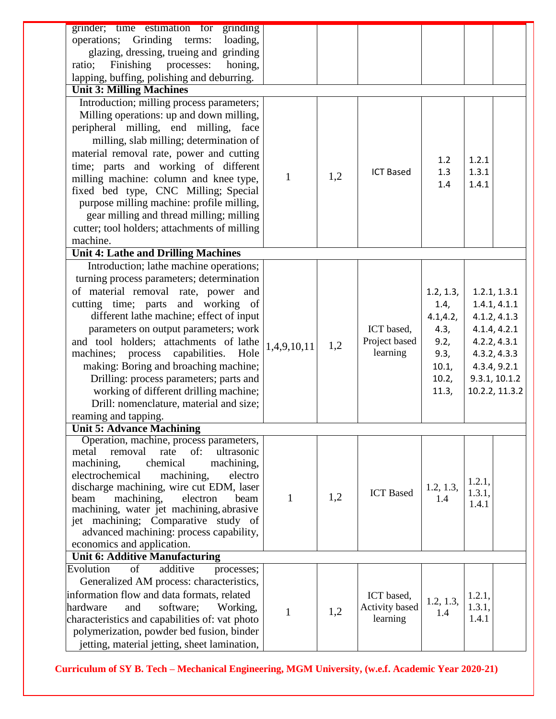| grinder; time estimation for grinding<br>operations; Grinding<br>terms:<br>loading, |              |     |                  |           |                 |                |
|-------------------------------------------------------------------------------------|--------------|-----|------------------|-----------|-----------------|----------------|
| glazing, dressing, trueing and grinding                                             |              |     |                  |           |                 |                |
| Finishing processes:<br>ratio;<br>honing,                                           |              |     |                  |           |                 |                |
| lapping, buffing, polishing and deburring.                                          |              |     |                  |           |                 |                |
| <b>Unit 3: Milling Machines</b>                                                     |              |     |                  |           |                 |                |
|                                                                                     |              |     |                  |           |                 |                |
| Introduction; milling process parameters;                                           |              |     |                  |           |                 |                |
| Milling operations: up and down milling,                                            |              |     |                  |           |                 |                |
| peripheral milling, end milling, face                                               |              |     |                  |           |                 |                |
| milling, slab milling; determination of                                             |              |     |                  |           |                 |                |
| material removal rate, power and cutting                                            |              |     |                  | 1.2       | 1.2.1           |                |
| time; parts and working of different                                                |              |     | <b>ICT Based</b> | 1.3       | 1.3.1           |                |
| milling machine: column and knee type,                                              | $\mathbf{1}$ | 1,2 |                  | 1.4       | 1.4.1           |                |
| fixed bed type, CNC Milling; Special                                                |              |     |                  |           |                 |                |
| purpose milling machine: profile milling,                                           |              |     |                  |           |                 |                |
| gear milling and thread milling; milling                                            |              |     |                  |           |                 |                |
| cutter; tool holders; attachments of milling                                        |              |     |                  |           |                 |                |
| machine.                                                                            |              |     |                  |           |                 |                |
| <b>Unit 4: Lathe and Drilling Machines</b>                                          |              |     |                  |           |                 |                |
| Introduction; lathe machine operations;                                             |              |     |                  |           |                 |                |
| turning process parameters; determination                                           |              |     |                  |           |                 |                |
| of material removal rate, power and                                                 |              |     |                  | 1.2, 1.3, |                 | 1.2.1, 1.3.1   |
| cutting time; parts and working of                                                  |              |     |                  | 1.4,      |                 | 1.4.1, 4.1.1   |
| different lathe machine; effect of input                                            |              |     |                  | 4.1, 4.2, |                 | 4.1.2, 4.1.3   |
| parameters on output parameters; work                                               |              |     | ICT based,       | 4.3,      |                 | 4.1.4, 4.2.1   |
| and tool holders; attachments of lathe                                              | 1,4,9,10,11  | 1,2 | Project based    | 9.2,      |                 | 4.2.2, 4.3.1   |
| machines; process capabilities.<br>Hole                                             |              |     | learning         | 9.3,      |                 | 4.3.2, 4.3.3   |
| making: Boring and broaching machine;                                               |              |     |                  | 10.1,     |                 | 4.3.4, 9.2.1   |
| Drilling: process parameters; parts and                                             |              |     |                  | 10.2,     |                 | 9.3.1, 10.1.2  |
| working of different drilling machine;                                              |              |     |                  | 11.3,     |                 | 10.2.2, 11.3.2 |
| Drill: nomenclature, material and size;                                             |              |     |                  |           |                 |                |
| reaming and tapping.                                                                |              |     |                  |           |                 |                |
| <b>Unit 5: Advance Machining</b>                                                    |              |     |                  |           |                 |                |
| Operation, machine, process parameters,                                             |              |     |                  |           |                 |                |
| of:<br>ultrasonic<br>rate<br>metal<br>removal                                       |              |     |                  |           |                 |                |
| machining,<br>machining,<br>chemical                                                |              |     |                  |           |                 |                |
| electrochemical<br>machining,<br>electro                                            |              |     |                  |           | 1.2.1,          |                |
| discharge machining, wire cut EDM, laser                                            |              |     | <b>ICT</b> Based | 1.2, 1.3, | 1.3.1,          |                |
| electron<br>machining,<br>beam<br>beam                                              | $\mathbf{1}$ | 1,2 |                  | 1.4       | 1.4.1           |                |
| machining, water jet machining, abrasive                                            |              |     |                  |           |                 |                |
| jet machining; Comparative study of<br>advanced machining: process capability,      |              |     |                  |           |                 |                |
| economics and application.                                                          |              |     |                  |           |                 |                |
| Unit 6: Additive Manufacturing                                                      |              |     |                  |           |                 |                |
| Evolution<br>additive<br>of<br>processes;                                           |              |     |                  |           |                 |                |
| Generalized AM process: characteristics,                                            |              |     |                  |           |                 |                |
|                                                                                     |              |     |                  |           |                 |                |
| information flow and data formats, related                                          |              |     | ICT based,       | 1.2, 1.3, | 1.2.1,          |                |
| hardware<br>software;<br>and<br>Working,                                            | $\mathbf{1}$ | 1,2 | Activity based   | 1.4       | 1.3.1,<br>1.4.1 |                |
| characteristics and capabilities of: vat photo                                      |              |     | learning         |           |                 |                |
| polymerization, powder bed fusion, binder                                           |              |     |                  |           |                 |                |
| jetting, material jetting, sheet lamination,                                        |              |     |                  |           |                 |                |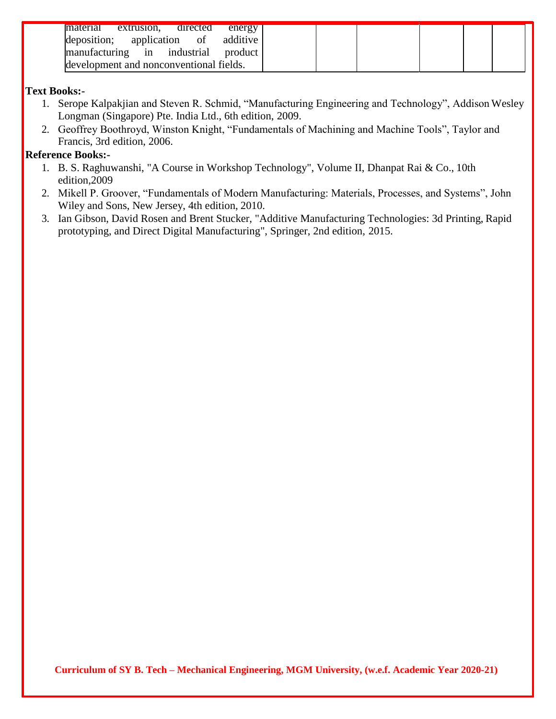| material<br>extrusion.                  | directed | energy  |
|-----------------------------------------|----------|---------|
| deposition; application of additive     |          |         |
| manufacturing in industrial             |          | product |
| development and nonconventional fields. |          |         |

### **Text Books:-**

- 1. Serope Kalpakjian and Steven R. Schmid, "Manufacturing Engineering and Technology", Addison Wesley Longman (Singapore) Pte. India Ltd., 6th edition, 2009.
- 2. Geoffrey Boothroyd, Winston Knight, "Fundamentals of Machining and Machine Tools", Taylor and Francis, 3rd edition, 2006.

## **Reference Books:-**

- 1. B. S. Raghuwanshi, "A Course in Workshop Technology", Volume II, Dhanpat Rai & Co., 10th edition,2009
- 2. Mikell P. Groover, "Fundamentals of Modern Manufacturing: Materials, Processes, and Systems", John Wiley and Sons, New Jersey, 4th edition, 2010.
- 3. Ian Gibson, David Rosen and Brent Stucker, "Additive Manufacturing Technologies: 3d Printing, Rapid prototyping, and Direct Digital Manufacturing", Springer, 2nd edition, 2015.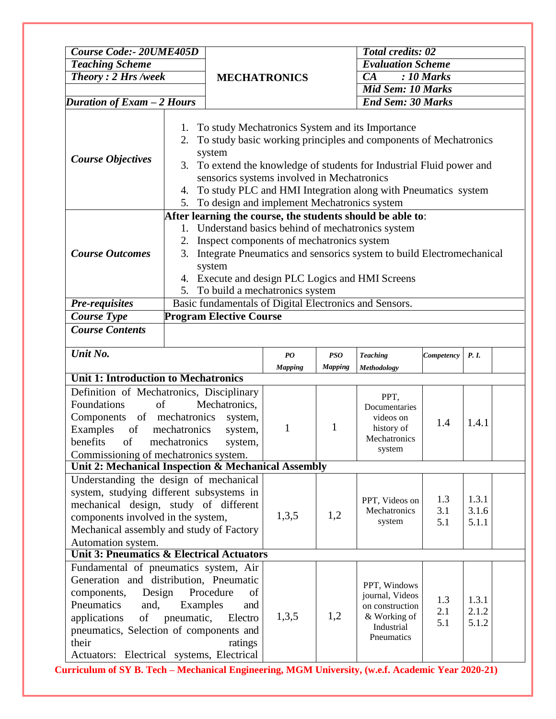| <b>Course Code:- 20UME405D</b>                                                                                                                                                                                                                                                                                                                                                                                              |                                                        |                                                                                                                                                                                                                                                                                                                                       |                                | <b>Total credits: 02</b>                 |                                                                                                |                         |                         |  |
|-----------------------------------------------------------------------------------------------------------------------------------------------------------------------------------------------------------------------------------------------------------------------------------------------------------------------------------------------------------------------------------------------------------------------------|--------------------------------------------------------|---------------------------------------------------------------------------------------------------------------------------------------------------------------------------------------------------------------------------------------------------------------------------------------------------------------------------------------|--------------------------------|------------------------------------------|------------------------------------------------------------------------------------------------|-------------------------|-------------------------|--|
| <b>Teaching Scheme</b>                                                                                                                                                                                                                                                                                                                                                                                                      |                                                        |                                                                                                                                                                                                                                                                                                                                       |                                |                                          | <b>Evaluation Scheme</b>                                                                       |                         |                         |  |
| <b>Theory: 2 Hrs /week</b>                                                                                                                                                                                                                                                                                                                                                                                                  |                                                        | <b>MECHATRONICS</b>                                                                                                                                                                                                                                                                                                                   |                                |                                          | CA<br>$: 10$ Marks                                                                             |                         |                         |  |
|                                                                                                                                                                                                                                                                                                                                                                                                                             |                                                        |                                                                                                                                                                                                                                                                                                                                       |                                |                                          | <b>Mid Sem: 10 Marks</b>                                                                       |                         |                         |  |
| Duration of Exam - 2 Hours                                                                                                                                                                                                                                                                                                                                                                                                  |                                                        |                                                                                                                                                                                                                                                                                                                                       |                                |                                          | <b>End Sem: 30 Marks</b>                                                                       |                         |                         |  |
| To study Mechatronics System and its Importance<br>1.<br>To study basic working principles and components of Mechatronics<br>2.<br>system<br><b>Course Objectives</b><br>To extend the knowledge of students for Industrial Fluid power and<br>3.<br>sensorics systems involved in Mechatronics<br>To study PLC and HMI Integration along with Pneumatics system<br>4.<br>To design and implement Mechatronics system<br>5. |                                                        |                                                                                                                                                                                                                                                                                                                                       |                                |                                          |                                                                                                |                         |                         |  |
|                                                                                                                                                                                                                                                                                                                                                                                                                             |                                                        |                                                                                                                                                                                                                                                                                                                                       |                                |                                          |                                                                                                |                         |                         |  |
| <b>Course Outcomes</b>                                                                                                                                                                                                                                                                                                                                                                                                      | 2.<br>3.<br>5.                                         | After learning the course, the students should be able to:<br>1. Understand basics behind of mechatronics system<br>Inspect components of mechatronics system<br>Integrate Pneumatics and sensorics system to build Electromechanical<br>system<br>4. Execute and design PLC Logics and HMI Screens<br>To build a mechatronics system |                                |                                          |                                                                                                |                         |                         |  |
| <b>Pre-requisites</b>                                                                                                                                                                                                                                                                                                                                                                                                       | Basic fundamentals of Digital Electronics and Sensors. |                                                                                                                                                                                                                                                                                                                                       |                                |                                          |                                                                                                |                         |                         |  |
| <b>Course Type</b>                                                                                                                                                                                                                                                                                                                                                                                                          | <b>Program Elective Course</b>                         |                                                                                                                                                                                                                                                                                                                                       |                                |                                          |                                                                                                |                         |                         |  |
| <b>Course Contents</b>                                                                                                                                                                                                                                                                                                                                                                                                      |                                                        |                                                                                                                                                                                                                                                                                                                                       |                                |                                          |                                                                                                |                         |                         |  |
| Unit No.                                                                                                                                                                                                                                                                                                                                                                                                                    |                                                        |                                                                                                                                                                                                                                                                                                                                       | $\boldsymbol{P}\boldsymbol{O}$ | <b>PSO</b>                               | <b>Teaching</b>                                                                                | Competency              | P. I.                   |  |
|                                                                                                                                                                                                                                                                                                                                                                                                                             |                                                        |                                                                                                                                                                                                                                                                                                                                       | <b>Mapping</b>                 | <b>Mapping</b>                           | Methodology                                                                                    |                         |                         |  |
| <b>Unit 1: Introduction to Mechatronics</b>                                                                                                                                                                                                                                                                                                                                                                                 |                                                        |                                                                                                                                                                                                                                                                                                                                       |                                |                                          |                                                                                                |                         |                         |  |
| Definition of Mechatronics, Disciplinary<br>Foundations<br>of<br>Components<br>Examples<br>of<br>of<br>benefits<br>Commissioning of mechatronics system.<br>Unit 2: Mechanical Inspection & Mechanical Assembly                                                                                                                                                                                                             | of mechatronics<br>mechatronics<br>mechatronics        | Mechatronics,<br>system,<br>system,<br>system,                                                                                                                                                                                                                                                                                        | 1                              | 1                                        | PPT,<br>Documentaries<br>videos on<br>history of<br>Mechatronics<br>system                     | 1.4                     | 1.4.1                   |  |
|                                                                                                                                                                                                                                                                                                                                                                                                                             |                                                        |                                                                                                                                                                                                                                                                                                                                       |                                |                                          |                                                                                                |                         |                         |  |
| Understanding the design of mechanical<br>system, studying different subsystems in<br>mechanical design, study of different<br>components involved in the system,<br>Mechanical assembly and study of Factory<br>Automation system.<br><b>Unit 3: Pneumatics &amp; Electrical Actuators</b>                                                                                                                                 |                                                        | 1,3,5                                                                                                                                                                                                                                                                                                                                 | 1,2                            | PPT, Videos on<br>Mechatronics<br>system | 1.3<br>3.1<br>5.1                                                                              | 1.3.1<br>3.1.6<br>5.1.1 |                         |  |
|                                                                                                                                                                                                                                                                                                                                                                                                                             |                                                        |                                                                                                                                                                                                                                                                                                                                       |                                |                                          |                                                                                                |                         |                         |  |
| Fundamental of pneumatics system, Air<br>Generation and distribution, Pneumatic<br>Design<br>components,<br>Pneumatics<br>and,<br>applications<br>of<br>pneumatics, Selection of components and<br>their<br>Actuators: Electrical systems, Electrical                                                                                                                                                                       | Examples<br>pneumatic,                                 | Procedure<br>of<br>and<br>Electro<br>ratings                                                                                                                                                                                                                                                                                          | 1,3,5                          | 1,2                                      | PPT, Windows<br>journal, Videos<br>on construction<br>& Working of<br>Industrial<br>Pneumatics | 1.3<br>2.1<br>5.1       | 1.3.1<br>2.1.2<br>5.1.2 |  |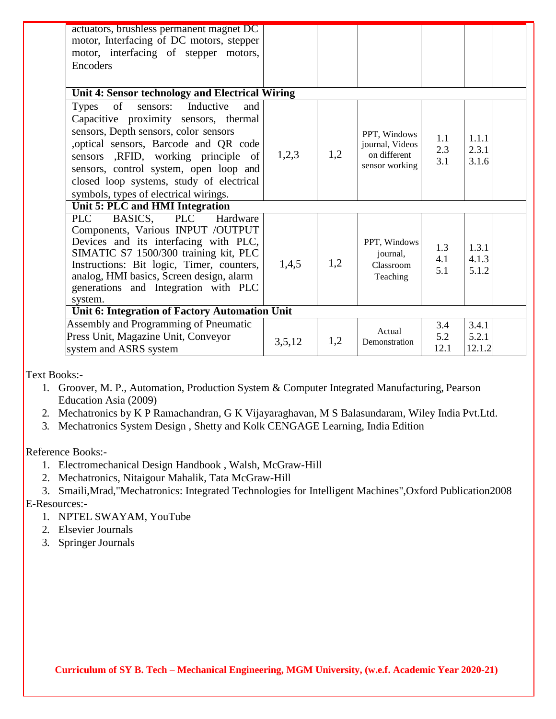| actuators, brushless permanent magnet DC<br>motor, Interfacing of DC motors, stepper<br>motor, interfacing of stepper motors,<br>Encoders                                                                                                                                                                                                         |        |     |                                                                   |                    |                          |
|---------------------------------------------------------------------------------------------------------------------------------------------------------------------------------------------------------------------------------------------------------------------------------------------------------------------------------------------------|--------|-----|-------------------------------------------------------------------|--------------------|--------------------------|
| Unit 4: Sensor technology and Electrical Wiring                                                                                                                                                                                                                                                                                                   |        |     |                                                                   |                    |                          |
| of<br>sensors: Inductive<br><b>Types</b><br>and<br>Capacitive proximity sensors, thermal<br>sensors, Depth sensors, color sensors<br>, optical sensors, Barcode and QR code<br>sensors ,RFID, working principle of<br>sensors, control system, open loop and<br>closed loop systems, study of electrical<br>symbols, types of electrical wirings. | 1,2,3  | 1,2 | PPT, Windows<br>journal, Videos<br>on different<br>sensor working | 1.1<br>2.3<br>3.1  | 1.1.1<br>2.3.1<br>3.1.6  |
| Unit 5: PLC and HMI Integration                                                                                                                                                                                                                                                                                                                   |        |     |                                                                   |                    |                          |
| PLC BASICS,<br>PLC Hardware<br>Components, Various INPUT /OUTPUT<br>Devices and its interfacing with PLC,<br>SIMATIC S7 1500/300 training kit, PLC<br>Instructions: Bit logic, Timer, counters,<br>analog, HMI basics, Screen design, alarm<br>generations and Integration with PLC<br>system.                                                    | 1,4,5  | 1,2 | PPT, Windows<br>journal,<br>Classroom<br>Teaching                 | 1.3<br>4.1<br>5.1  | 1.3.1<br>4.1.3<br>5.1.2  |
| Unit 6: Integration of Factory Automation Unit                                                                                                                                                                                                                                                                                                    |        |     |                                                                   |                    |                          |
| Assembly and Programming of Pneumatic<br>Press Unit, Magazine Unit, Conveyor<br>system and ASRS system                                                                                                                                                                                                                                            | 3,5,12 | 1,2 | Actual<br>Demonstration                                           | 3.4<br>5.2<br>12.1 | 3.4.1<br>5.2.1<br>12.1.2 |

Text Books:-

- 1. Groover, M. P., Automation, Production System & Computer Integrated Manufacturing, Pearson Education Asia (2009)
- 2. Mechatronics by K P Ramachandran, G K Vijayaraghavan, M S Balasundaram, Wiley India Pvt.Ltd.
- 3. Mechatronics System Design , Shetty and Kolk CENGAGE Learning, India Edition

Reference Books:-

- 1. Electromechanical Design Handbook , Walsh, McGraw-Hill
- 2. Mechatronics, Nitaigour Mahalik, Tata McGraw-Hill
- 3. Smaili,Mrad,"Mechatronics: Integrated Technologies for Intelligent Machines",Oxford Publication2008 E-Resources:-
	- 1. NPTEL SWAYAM, YouTube
	- 2. Elsevier Journals
	- 3. Springer Journals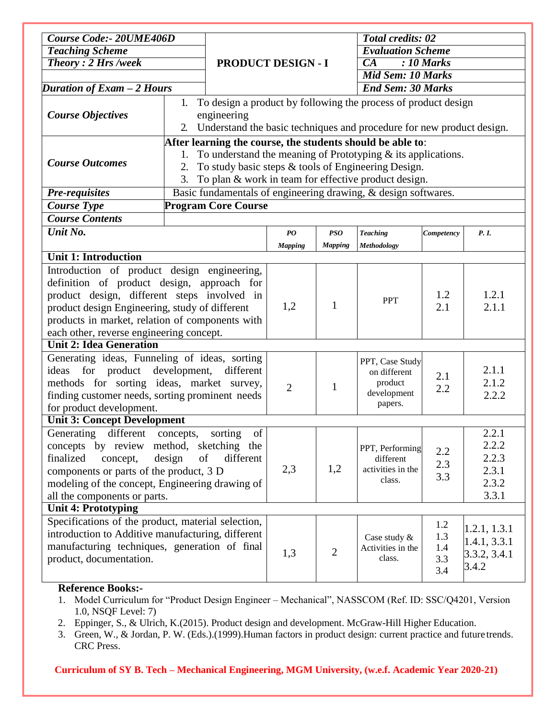| <b>Course Code:- 20UME406D</b>                      |                                                                 |                            |                                |                | <b>Total credits: 02</b>                                              |            |              |  |
|-----------------------------------------------------|-----------------------------------------------------------------|----------------------------|--------------------------------|----------------|-----------------------------------------------------------------------|------------|--------------|--|
| <b>Teaching Scheme</b>                              |                                                                 |                            |                                |                | <b>Evaluation Scheme</b>                                              |            |              |  |
| Theory: 2 Hrs /week                                 |                                                                 | <b>PRODUCT DESIGN - I</b>  |                                |                | $: 10$ Marks<br>CA                                                    |            |              |  |
|                                                     |                                                                 |                            |                                |                | <b>Mid Sem: 10 Marks</b>                                              |            |              |  |
| Duration of Exam - 2 Hours                          |                                                                 |                            | <b>End Sem: 30 Marks</b>       |                |                                                                       |            |              |  |
|                                                     | 1.                                                              |                            |                                |                | To design a product by following the process of product design        |            |              |  |
| <b>Course Objectives</b>                            |                                                                 | engineering                |                                |                |                                                                       |            |              |  |
|                                                     | 2.                                                              |                            |                                |                | Understand the basic techniques and procedure for new product design. |            |              |  |
|                                                     |                                                                 |                            |                                |                | After learning the course, the students should be able to:            |            |              |  |
|                                                     | To understand the meaning of Prototyping $\&$ its applications. |                            |                                |                |                                                                       |            |              |  |
| <b>Course Outcomes</b>                              | 2.                                                              |                            |                                |                | To study basic steps & tools of Engineering Design.                   |            |              |  |
|                                                     | 3.                                                              |                            |                                |                | To plan & work in team for effective product design.                  |            |              |  |
| <b>Pre-requisites</b>                               |                                                                 |                            |                                |                | Basic fundamentals of engineering drawing, & design softwares.        |            |              |  |
| <b>Course Type</b>                                  |                                                                 | <b>Program Core Course</b> |                                |                |                                                                       |            |              |  |
| <b>Course Contents</b>                              |                                                                 |                            |                                |                |                                                                       |            |              |  |
| Unit No.                                            |                                                                 |                            | $\boldsymbol{P}\boldsymbol{O}$ | <b>PSO</b>     | <b>Teaching</b>                                                       | Competency | P. I.        |  |
|                                                     |                                                                 |                            | <b>Mapping</b>                 | <b>Mapping</b> | Methodology                                                           |            |              |  |
| <b>Unit 1: Introduction</b>                         |                                                                 |                            |                                |                |                                                                       |            |              |  |
| Introduction of product design engineering,         |                                                                 |                            |                                |                |                                                                       |            |              |  |
| definition of product design, approach for          |                                                                 |                            |                                |                |                                                                       |            |              |  |
| product design, different steps involved in         |                                                                 |                            |                                |                |                                                                       | 1.2        | 1.2.1        |  |
| product design Engineering, study of different      |                                                                 |                            | 1,2                            | 1              | <b>PPT</b>                                                            | 2.1        | 2.1.1        |  |
| products in market, relation of components with     |                                                                 |                            |                                |                |                                                                       |            |              |  |
| each other, reverse engineering concept.            |                                                                 |                            |                                |                |                                                                       |            |              |  |
| <b>Unit 2: Idea Generation</b>                      |                                                                 |                            |                                |                |                                                                       |            |              |  |
| Generating ideas, Funneling of ideas, sorting       |                                                                 |                            |                                |                | PPT, Case Study                                                       |            |              |  |
| for product development, different<br>ideas         |                                                                 |                            |                                |                | on different                                                          | 2.1        | 2.1.1        |  |
| methods for sorting ideas, market survey,           |                                                                 |                            | $\overline{2}$                 | 1              | product                                                               | 2.2        | 2.1.2        |  |
| finding customer needs, sorting prominent needs     |                                                                 |                            |                                |                | development                                                           |            | 2.2.2        |  |
| for product development.                            |                                                                 |                            |                                |                | papers.                                                               |            |              |  |
| <b>Unit 3: Concept Development</b>                  |                                                                 |                            |                                |                |                                                                       |            |              |  |
| different concepts,<br>Generating                   |                                                                 | of<br>sorting              |                                |                |                                                                       |            | 2.2.1        |  |
| concepts by review method, sketching the            |                                                                 |                            |                                |                | PPT, Performing                                                       | 2.2        | 2.2.2        |  |
| finalized<br>concept,                               | of<br>design                                                    | different                  |                                |                | different                                                             | 2.3        | 2.2.3        |  |
| components or parts of the product, 3 D             |                                                                 |                            | 2,3                            | 1,2            | activities in the                                                     | 3.3        | 2.3.1        |  |
| modeling of the concept, Engineering drawing of     |                                                                 |                            |                                |                | class.                                                                |            | 2.3.2        |  |
| all the components or parts.                        |                                                                 |                            |                                |                |                                                                       |            | 3.3.1        |  |
| <b>Unit 4: Prototyping</b>                          |                                                                 |                            |                                |                |                                                                       |            |              |  |
| Specifications of the product, material selection,  |                                                                 |                            |                                |                |                                                                       | 1.2        | 1.2.1, 1.3.1 |  |
| introduction to Additive manufacturing, different   |                                                                 |                            |                                |                | Case study &                                                          | 1.3        | 1.4.1, 3.3.1 |  |
| manufacturing techniques, generation of final       |                                                                 |                            | 1,3                            | $\overline{2}$ | Activities in the                                                     | 1.4        | 3.3.2, 3.4.1 |  |
| product, documentation.                             |                                                                 |                            |                                |                | class.                                                                | 3.3        | 3.4.2        |  |
|                                                     |                                                                 |                            |                                |                |                                                                       | 3.4        |              |  |
| $\mathbf{D}$ of anomas $\mathbf{D}$ as $\mathbf{L}$ |                                                                 |                            |                                |                |                                                                       |            |              |  |

#### **Reference Books:-**

- 1. Model Curriculum for "Product Design Engineer Mechanical", NASSCOM (Ref. ID: SSC/Q4201, Version 1.0, NSQF Level: 7)
- 2. Eppinger, S., & Ulrich, K.(2015). Product design and development. McGraw-Hill Higher Education.
- 3. Green, W., & Jordan, P. W. (Eds.).(1999).Human factors in product design: current practice and future trends. CRC Press.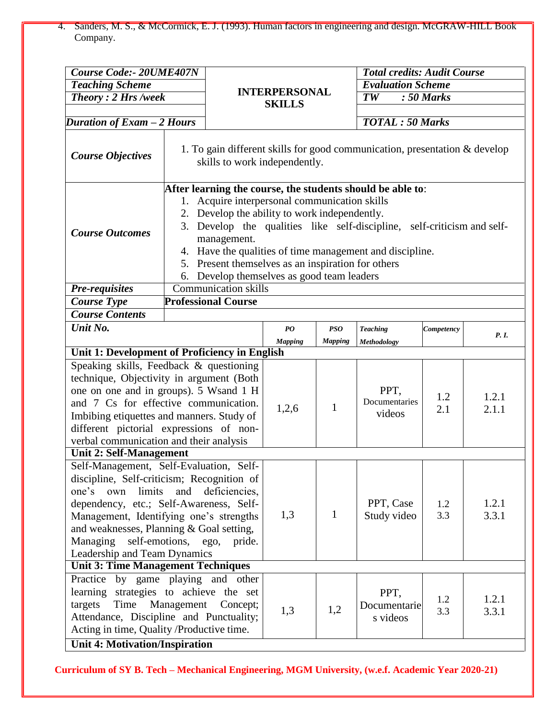4. Sanders, M. S., & McCormick, E. J. (1993). Human factors in engineering and design. McGRAW-HILL Book Company.

| <b>Course Code:- 20UME407N</b>                                                                                                                                                                                                                                                                                                                                                                      |                             |                                                                                                                                                                                                                                                                                                                                                                                                                     |                      |                          | <b>Total credits: Audit Course</b> |                |                |  |
|-----------------------------------------------------------------------------------------------------------------------------------------------------------------------------------------------------------------------------------------------------------------------------------------------------------------------------------------------------------------------------------------------------|-----------------------------|---------------------------------------------------------------------------------------------------------------------------------------------------------------------------------------------------------------------------------------------------------------------------------------------------------------------------------------------------------------------------------------------------------------------|----------------------|--------------------------|------------------------------------|----------------|----------------|--|
| <b>Teaching Scheme</b>                                                                                                                                                                                                                                                                                                                                                                              |                             |                                                                                                                                                                                                                                                                                                                                                                                                                     |                      |                          | <b>Evaluation Scheme</b>           |                |                |  |
| <b>Theory: 2 Hrs /week</b>                                                                                                                                                                                                                                                                                                                                                                          |                             |                                                                                                                                                                                                                                                                                                                                                                                                                     | <b>INTERPERSONAL</b> |                          | $\overline{TW}$                    | $: 50$ Marks   |                |  |
|                                                                                                                                                                                                                                                                                                                                                                                                     |                             | <b>SKILLS</b>                                                                                                                                                                                                                                                                                                                                                                                                       |                      |                          |                                    |                |                |  |
| Duration of Exam - 2 Hours                                                                                                                                                                                                                                                                                                                                                                          |                             |                                                                                                                                                                                                                                                                                                                                                                                                                     |                      |                          | <b>TOTAL</b> : 50 Marks            |                |                |  |
| 1. To gain different skills for good communication, presentation & develop<br><b>Course Objectives</b><br>skills to work independently.                                                                                                                                                                                                                                                             |                             |                                                                                                                                                                                                                                                                                                                                                                                                                     |                      |                          |                                    |                |                |  |
| <b>Course Outcomes</b>                                                                                                                                                                                                                                                                                                                                                                              | 1.                          | After learning the course, the students should be able to:<br>Acquire interpersonal communication skills<br>2. Develop the ability to work independently.<br>3. Develop the qualities like self-discipline, self-criticism and self-<br>management.<br>4. Have the qualities of time management and discipline.<br>5. Present themselves as an inspiration for others<br>6. Develop themselves as good team leaders |                      |                          |                                    |                |                |  |
| <b>Pre-requisites</b>                                                                                                                                                                                                                                                                                                                                                                               | <b>Communication skills</b> |                                                                                                                                                                                                                                                                                                                                                                                                                     |                      |                          |                                    |                |                |  |
| <b>Course Type</b>                                                                                                                                                                                                                                                                                                                                                                                  |                             | <b>Professional Course</b>                                                                                                                                                                                                                                                                                                                                                                                          |                      |                          |                                    |                |                |  |
| <b>Course Contents</b>                                                                                                                                                                                                                                                                                                                                                                              |                             |                                                                                                                                                                                                                                                                                                                                                                                                                     |                      |                          |                                    |                |                |  |
| Unit No.                                                                                                                                                                                                                                                                                                                                                                                            |                             |                                                                                                                                                                                                                                                                                                                                                                                                                     | PQ                   | <b>PSO</b>               | <b>Teaching</b>                    | Competency     | P. I.          |  |
| Unit 1: Development of Proficiency in English                                                                                                                                                                                                                                                                                                                                                       |                             |                                                                                                                                                                                                                                                                                                                                                                                                                     | <b>Mapping</b>       | <b>Mapping</b>           | Methodology                        |                |                |  |
| Speaking skills, Feedback & questioning                                                                                                                                                                                                                                                                                                                                                             |                             |                                                                                                                                                                                                                                                                                                                                                                                                                     |                      |                          |                                    |                |                |  |
| technique, Objectivity in argument (Both<br>one on one and in groups). 5 Wsand 1 H<br>and 7 Cs for effective communication.<br>Imbibing etiquettes and manners. Study of<br>different pictorial expressions of non-<br>verbal communication and their analysis                                                                                                                                      |                             |                                                                                                                                                                                                                                                                                                                                                                                                                     | 1,2,6                | $\mathbf{1}$             | PPT,<br>Documentaries<br>videos    | 1.2<br>2.1     | 1.2.1<br>2.1.1 |  |
| <b>Unit 2: Self-Management</b>                                                                                                                                                                                                                                                                                                                                                                      |                             |                                                                                                                                                                                                                                                                                                                                                                                                                     |                      |                          |                                    |                |                |  |
| Self-Management, Self-Evaluation, Self-<br>discipline, Self-criticism; Recognition of<br>limits<br>and<br>deficiencies,<br>one's<br>own<br>dependency, etc.; Self-Awareness, Self-<br>Management, Identifying one's strengths<br>and weaknesses, Planning & Goal setting,<br>self-emotions, ego,<br>Managing<br>pride.<br>Leadership and Team Dynamics<br><b>Unit 3: Time Management Techniques</b> |                             | 1,3                                                                                                                                                                                                                                                                                                                                                                                                                 | $\mathbf{1}$         | PPT, Case<br>Study video | 1.2<br>3.3                         | 1.2.1<br>3.3.1 |                |  |
|                                                                                                                                                                                                                                                                                                                                                                                                     |                             |                                                                                                                                                                                                                                                                                                                                                                                                                     |                      |                          |                                    |                |                |  |
| Practice by game playing and other<br>learning strategies to achieve the set<br>targets<br>Time<br>Attendance, Discipline and Punctuality;<br>Acting in time, Quality /Productive time.<br><b>Unit 4: Motivation/Inspiration</b>                                                                                                                                                                    | Management                  | Concept;                                                                                                                                                                                                                                                                                                                                                                                                            | 1,3                  | 1,2                      | PPT,<br>Documentarie<br>s videos   | 1.2<br>3.3     | 1.2.1<br>3.3.1 |  |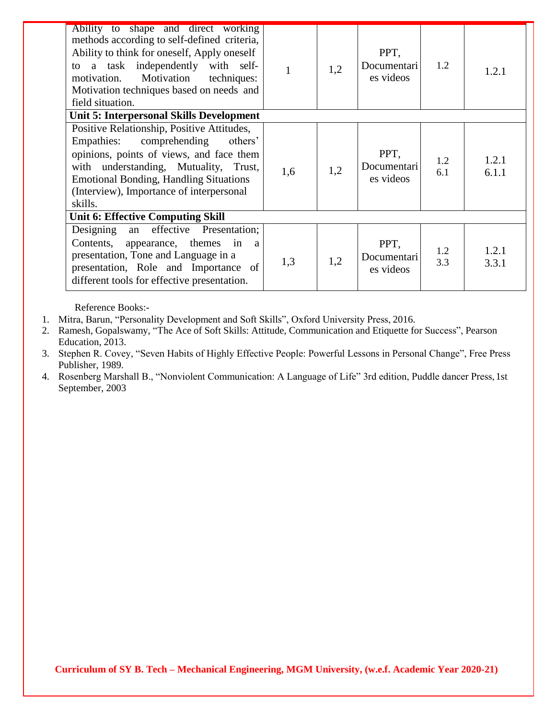| Ability to shape and direct working<br>methods according to self-defined criteria,<br>Ability to think for oneself, Apply oneself<br>to a task independently with self-<br>Motivation<br>motivation.<br>techniques:<br>Motivation techniques based on needs and<br>field situation. | 1   | 1,2 | PPT,<br>Documentari<br>es videos | 1.2        | 1.2.1          |
|-------------------------------------------------------------------------------------------------------------------------------------------------------------------------------------------------------------------------------------------------------------------------------------|-----|-----|----------------------------------|------------|----------------|
| <b>Unit 5: Interpersonal Skills Development</b>                                                                                                                                                                                                                                     |     |     |                                  |            |                |
| Positive Relationship, Positive Attitudes,<br>comprehending<br>Empathies:<br>others'<br>opinions, points of views, and face them<br>with understanding, Mutuality, Trust,<br><b>Emotional Bonding, Handling Situations</b><br>(Interview), Importance of interpersonal<br>skills.   | 1,6 | 1,2 | PPT,<br>Documentari<br>es videos | 1.2<br>6.1 | 1.2.1<br>6.1.1 |
| <b>Unit 6: Effective Computing Skill</b>                                                                                                                                                                                                                                            |     |     |                                  |            |                |
| effective Presentation;<br>Designing an<br>Contents, appearance, themes in a<br>presentation, Tone and Language in a<br>presentation, Role and Importance of<br>different tools for effective presentation.                                                                         | 1,3 | 1,2 | PPT,<br>Documentari<br>es videos | 1.2<br>3.3 | 1.2.1<br>3.3.1 |

Reference Books:-

1. Mitra, Barun, "Personality Development and Soft Skills", Oxford University Press, 2016.

2. Ramesh, Gopalswamy, "The Ace of Soft Skills: Attitude, Communication and Etiquette for Success", Pearson Education, 2013.

3. Stephen R. Covey, "Seven Habits of Highly Effective People: Powerful Lessons in Personal Change", Free Press Publisher, 1989.

4. Rosenberg Marshall B., "Nonviolent Communication: A Language of Life" 3rd edition, Puddle dancer Press,1st September, 2003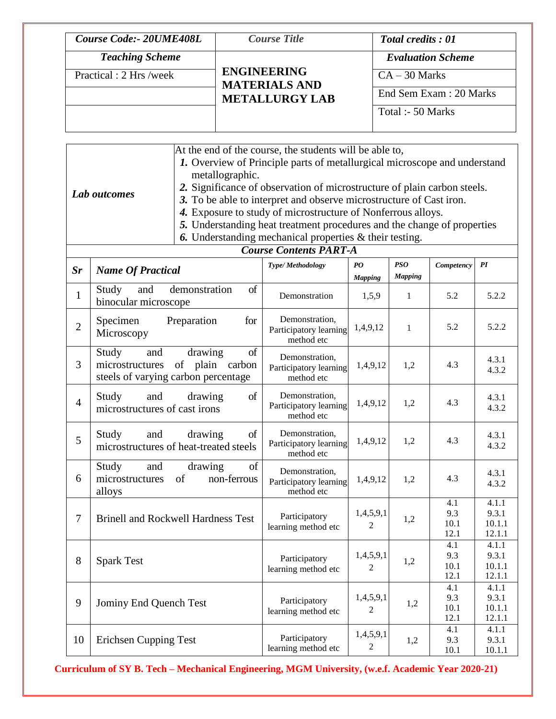| <b>Course Code:- 20UME408L</b>                    | <b>Course Title</b>                                                 | <b>Total credits: 01</b>                                                                    |
|---------------------------------------------------|---------------------------------------------------------------------|---------------------------------------------------------------------------------------------|
| <b>Teaching Scheme</b><br>Practical : 2 Hrs /week | <b>ENGINEERING</b><br><b>MATERIALS AND</b><br><b>METALLURGY LAB</b> | <b>Evaluation Scheme</b><br>$CA - 30$ Marks<br>End Sem Exam : 20 Marks<br>Total :- 50 Marks |
|                                                   |                                                                     |                                                                                             |

|                | At the end of the course, the students will be able to,<br>1. Overview of Principle parts of metallurgical microscope and understand<br>metallographic.<br>2. Significance of observation of microstructure of plain carbon steels.<br>Lab outcomes<br>3. To be able to interpret and observe microstructure of Cast iron.<br>4. Exposure to study of microstructure of Nonferrous alloys.<br>5. Understanding heat treatment procedures and the change of properties<br><b>6.</b> Understanding mechanical properties $\&$ their testing.<br><b>Course Contents PART-A</b> |                                                                               |                                                        |                             |                              |                            |                                    |
|----------------|-----------------------------------------------------------------------------------------------------------------------------------------------------------------------------------------------------------------------------------------------------------------------------------------------------------------------------------------------------------------------------------------------------------------------------------------------------------------------------------------------------------------------------------------------------------------------------|-------------------------------------------------------------------------------|--------------------------------------------------------|-----------------------------|------------------------------|----------------------------|------------------------------------|
|                |                                                                                                                                                                                                                                                                                                                                                                                                                                                                                                                                                                             |                                                                               |                                                        |                             |                              |                            |                                    |
| Sr             | <b>Name Of Practical</b>                                                                                                                                                                                                                                                                                                                                                                                                                                                                                                                                                    |                                                                               | Type/Methodology                                       | PO<br><b>Mapping</b>        | <b>PSO</b><br><b>Mapping</b> | Competency                 | PI                                 |
| $\mathbf{1}$   | Study<br>and<br>binocular microscope                                                                                                                                                                                                                                                                                                                                                                                                                                                                                                                                        | demonstration<br>of                                                           | Demonstration                                          | 1,5,9                       | 1                            | 5.2                        | 5.2.2                              |
| $\overline{2}$ | Specimen<br>Microscopy                                                                                                                                                                                                                                                                                                                                                                                                                                                                                                                                                      | Preparation<br>for                                                            | Demonstration,<br>Participatory learning<br>method etc | 1,4,9,12                    | 1                            | 5.2                        | 5.2.2                              |
| 3              | Study<br>and<br>microstructures                                                                                                                                                                                                                                                                                                                                                                                                                                                                                                                                             | of<br>drawing<br>of<br>plain<br>carbon<br>steels of varying carbon percentage | Demonstration,<br>Participatory learning<br>method etc | 1,4,9,12                    | 1,2                          | 4.3                        | 4.3.1<br>4.3.2                     |
| $\overline{4}$ | Study<br>and<br>microstructures of cast irons                                                                                                                                                                                                                                                                                                                                                                                                                                                                                                                               | of<br>drawing                                                                 | Demonstration,<br>Participatory learning<br>method etc | 1,4,9,12                    | 1,2                          | 4.3                        | 4.3.1<br>4.3.2                     |
| 5              | Study<br>and                                                                                                                                                                                                                                                                                                                                                                                                                                                                                                                                                                | of<br>drawing<br>microstructures of heat-treated steels                       | Demonstration,<br>Participatory learning<br>method etc | 1,4,9,12                    | 1,2                          | 4.3                        | 4.3.1<br>4.3.2                     |
| 6              | Study<br>and<br>microstructures<br>alloys                                                                                                                                                                                                                                                                                                                                                                                                                                                                                                                                   | of<br>drawing<br>non-ferrous<br>of                                            | Demonstration,<br>Participatory learning<br>method etc | 1,4,9,12                    | 1,2                          | 4.3                        | 4.3.1<br>4.3.2                     |
| $\tau$         |                                                                                                                                                                                                                                                                                                                                                                                                                                                                                                                                                                             | <b>Brinell and Rockwell Hardness Test</b>                                     | Participatory<br>learning method etc                   | 1,4,5,9,1<br>$\overline{c}$ | 1,2                          | 4.1<br>9.3<br>10.1<br>12.1 | 4.1.1<br>9.3.1<br>10.1.1<br>12.1.1 |
| 8              | <b>Spark Test</b>                                                                                                                                                                                                                                                                                                                                                                                                                                                                                                                                                           |                                                                               | Participatory<br>learning method etc                   | 1,4,5,9,1<br>2              | 1,2                          | 4.1<br>9.3<br>10.1<br>12.1 | 4.1.1<br>9.3.1<br>10.1.1<br>12.1.1 |
| 9              | Jominy End Quench Test                                                                                                                                                                                                                                                                                                                                                                                                                                                                                                                                                      |                                                                               | Participatory<br>learning method etc                   | 1,4,5,9,1<br>2              | 1,2                          | 4.1<br>9.3<br>10.1<br>12.1 | 4.1.1<br>9.3.1<br>10.1.1<br>12.1.1 |
| 10             | <b>Erichsen Cupping Test</b>                                                                                                                                                                                                                                                                                                                                                                                                                                                                                                                                                |                                                                               | Participatory<br>learning method etc                   | 1,4,5,9,1<br>2              | 1,2                          | 4.1<br>9.3<br>10.1         | 4.1.1<br>9.3.1<br>10.1.1           |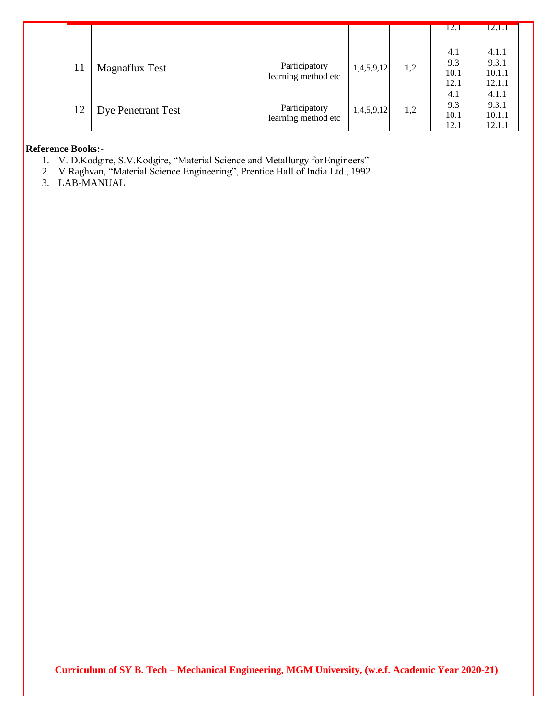|    |                           |                     |            |     | 12.1 | 12.1.1 |
|----|---------------------------|---------------------|------------|-----|------|--------|
|    |                           |                     |            |     |      |        |
|    |                           |                     |            |     | 4.1  | 4.1.1  |
|    |                           | Participatory       | 1,4,5,9,12 | 1,2 | 9.3  | 9.3.1  |
|    | <b>Magnaflux Test</b>     | learning method etc |            |     | 10.1 | 10.1.1 |
|    |                           |                     |            |     | 12.1 | 12.1.1 |
|    |                           |                     |            |     | 4.1  | 4.1.1  |
| 12 |                           | Participatory       | 1,4,5,9,12 | 1,2 | 9.3  | 9.3.1  |
|    | <b>Dye Penetrant Test</b> | learning method etc |            |     | 10.1 | 10.1.1 |
|    |                           |                     |            |     | 12.1 | 12.1.1 |

#### **Reference Books:-**

- 1. V. D.Kodgire, S.V.Kodgire, "Material Science and Metallurgy for Engineers"
- 2. V.Raghvan, "Material Science Engineering", Prentice Hall of India Ltd., 1992
- 3. LAB-MANUAL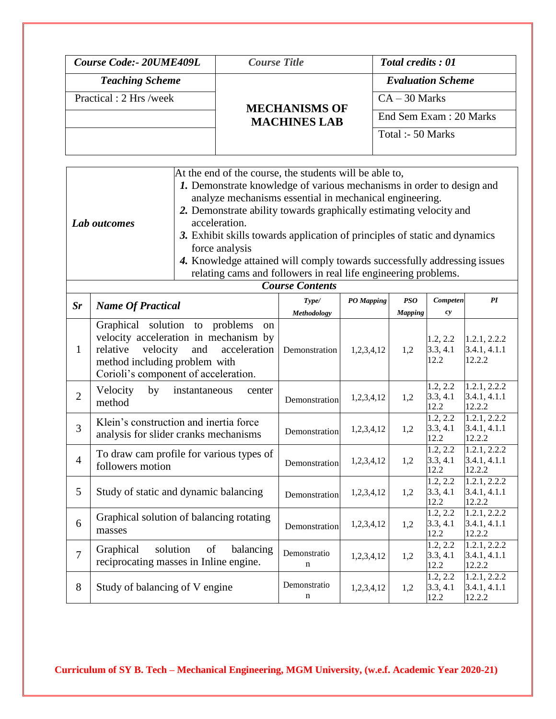| Course Code: 20UME409L  | <b>Course Title</b>  | <b>Total credits: 01</b> |
|-------------------------|----------------------|--------------------------|
| <b>Teaching Scheme</b>  |                      | <b>Evaluation Scheme</b> |
| Practical : 2 Hrs /week | <b>MECHANISMS OF</b> | $CA - 30$ Marks          |
|                         | <b>MACHINES LAB</b>  | End Sem Exam : 20 Marks  |
|                         |                      | Total :- 50 Marks        |
|                         |                      |                          |

|              | At the end of the course, the students will be able to,                    |
|--------------|----------------------------------------------------------------------------|
|              | 1. Demonstrate knowledge of various mechanisms in order to design and      |
|              | analyze mechanisms essential in mechanical engineering.                    |
|              | 2. Demonstrate ability towards graphically estimating velocity and         |
| Lab outcomes | acceleration.                                                              |
|              | 3. Exhibit skills towards application of principles of static and dynamics |
|              | force analysis                                                             |
|              | 4. Knowledge attained will comply towards successfully addressing issues   |
|              | relating cams and followers in real life engineering problems.             |

|                |                                                                                                                                                                                                                  | <b>Course Contents</b> |            |                       |                              |                                        |
|----------------|------------------------------------------------------------------------------------------------------------------------------------------------------------------------------------------------------------------|------------------------|------------|-----------------------|------------------------------|----------------------------------------|
| $S_{r}$        | <b>Name Of Practical</b>                                                                                                                                                                                         | Type/<br>Methodology   | PO Mapping | PSO<br><b>Mapping</b> | Competen<br>c <sub>y</sub>   | PI                                     |
| 1              | Graphical solution to problems<br><sub>on</sub><br>velocity acceleration in mechanism by<br>velocity<br>acceleration<br>and<br>relative<br>method including problem with<br>Corioli's component of acceleration. | Demonstration          | 1,2,3,4,12 | 1,2                   | 1.2, 2.2<br>3.3, 4.1<br>12.2 | 1.2.1, 2.2.2<br>3.4.1, 4.1.1<br>12.2.2 |
| $\overline{2}$ | Velocity<br>by<br>instantaneous<br>center<br>method                                                                                                                                                              | Demonstration          | 1,2,3,4,12 | 1,2                   | 1.2, 2.2<br>3.3, 4.1<br>12.2 | 1.2.1, 2.2.2<br>3.4.1, 4.1.1<br>12.2.2 |
| $\overline{3}$ | Klein's construction and inertia force<br>analysis for slider cranks mechanisms                                                                                                                                  | Demonstration          | 1,2,3,4,12 | 1,2                   | 1.2, 2.2<br>3.3, 4.1<br>12.2 | 1.2.1, 2.2.2<br>3.4.1, 4.1.1<br>12.2.2 |
| $\overline{4}$ | To draw cam profile for various types of<br>followers motion                                                                                                                                                     | Demonstration          | 1,2,3,4,12 | 1,2                   | 1.2, 2.2<br>3.3, 4.1<br>12.2 | 1.2.1, 2.2.2<br>3.4.1, 4.1.1<br>12.2.2 |
| 5              | Study of static and dynamic balancing                                                                                                                                                                            | Demonstration          | 1,2,3,4,12 | 1,2                   | 1.2, 2.2<br>3.3, 4.1<br>12.2 | 1.2.1, 2.2.2<br>3.4.1, 4.1.1<br>12.2.2 |
| 6              | Graphical solution of balancing rotating<br>masses                                                                                                                                                               | Demonstration          | 1,2,3,4,12 | 1,2                   | 1.2, 2.2<br>3.3, 4.1<br>12.2 | 1.2.1, 2.2.2<br>3.4.1, 4.1.1<br>12.2.2 |
| $\overline{7}$ | solution<br>of<br>Graphical<br>balancing<br>reciprocating masses in Inline engine.                                                                                                                               | Demonstratio<br>n      | 1,2,3,4,12 | 1,2                   | 1.2, 2.2<br>3.3, 4.1<br>12.2 | 1.2.1, 2.2.2<br>3.4.1, 4.1.1<br>12.2.2 |
| 8              | Study of balancing of V engine                                                                                                                                                                                   | Demonstratio<br>n      | 1,2,3,4,12 | 1,2                   | 1.2, 2.2<br>3.3, 4.1<br>12.2 | 1.2.1, 2.2.2<br>3.4.1, 4.1.1<br>12.2.2 |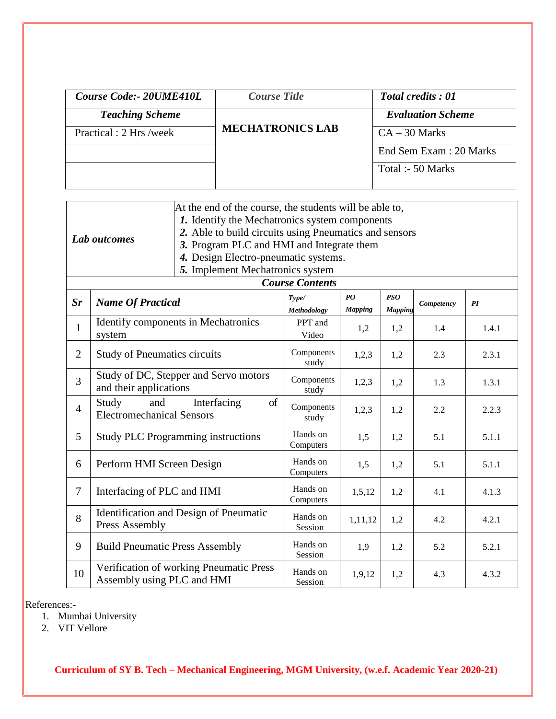| Course Code: - 20UME410L | <b>Course Title</b>     | <b>Total credits: 01</b> |
|--------------------------|-------------------------|--------------------------|
| <b>Teaching Scheme</b>   |                         | <b>Evaluation Scheme</b> |
| Practical : 2 Hrs /week  | <b>MECHATRONICS LAB</b> | $CA - 30$ Marks          |
|                          |                         | End Sem Exam : 20 Marks  |
|                          |                         | Total :- 50 Marks        |

|              | At the end of the course, the students will be able to, |
|--------------|---------------------------------------------------------|
|              | 1. Identify the Mechatronics system components          |
|              | 2. Able to build circuits using Pneumatics and sensors  |
| Lab outcomes | 3. Program PLC and HMI and Integrate them               |
|              | 4. Design Electro-pneumatic systems.                    |
|              | 5. Implement Mechatronics system                        |
|              | <b>Course Contents</b>                                  |

| Sr             | <b>Name Of Practical</b>                                              | Type/<br><b>Methodology</b> | PQ<br><b>Mapping</b> | PSO<br>Mapping | Competency | PI    |
|----------------|-----------------------------------------------------------------------|-----------------------------|----------------------|----------------|------------|-------|
| $\mathbf{1}$   | Identify components in Mechatronics<br>system                         | PPT and<br>Video            | 1,2                  | 1,2            | 1.4        | 1.4.1 |
| $\overline{2}$ | <b>Study of Pneumatics circuits</b>                                   | Components<br>study         | 1,2,3                | 1,2            | 2.3        | 2.3.1 |
| $\overline{3}$ | Study of DC, Stepper and Servo motors<br>and their applications       | Components<br>study         | 1,2,3                | 1,2            | 1.3        | 1.3.1 |
| $\overline{4}$ | of<br>Interfacing<br>Study<br>and<br><b>Electromechanical Sensors</b> | Components<br>study         | 1,2,3                | 1,2            | 2.2        | 2.2.3 |
| 5              | <b>Study PLC Programming instructions</b>                             | Hands on<br>Computers       | 1,5                  | 1,2            | 5.1        | 5.1.1 |
| 6              | Perform HMI Screen Design                                             | Hands on<br>Computers       | 1,5                  | 1,2            | 5.1        | 5.1.1 |
| $\overline{7}$ | Interfacing of PLC and HMI                                            | Hands on<br>Computers       | 1,5,12               | 1,2            | 4.1        | 4.1.3 |
| 8              | Identification and Design of Pneumatic<br>Press Assembly              | Hands on<br>Session         | 1,11,12              | 1,2            | 4.2        | 4.2.1 |
| 9              | <b>Build Pneumatic Press Assembly</b>                                 | Hands on<br>Session         | 1,9                  | 1,2            | 5.2        | 5.2.1 |
| 10             | Verification of working Pneumatic Press<br>Assembly using PLC and HMI | Hands on<br>Session         | 1,9,12               | 1,2            | 4.3        | 4.3.2 |

References:-

- 1. Mumbai University
- 2. VIT Vellore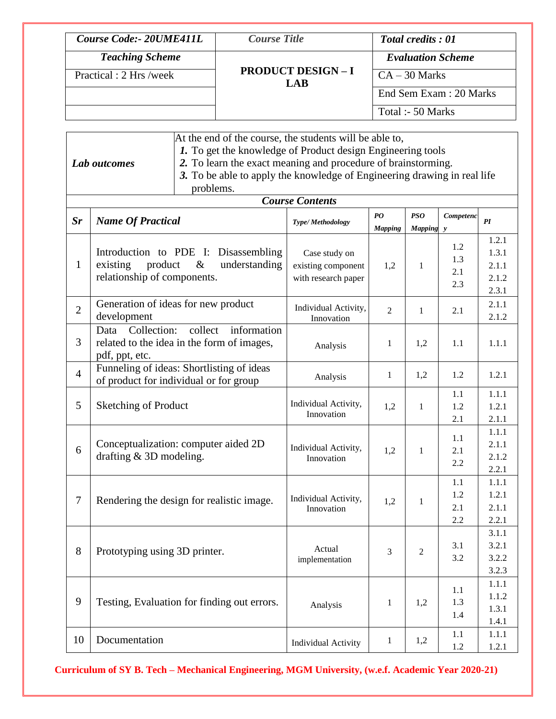| Course Code: 20UME411L  | <b>Course Title</b>            | <b>Total credits: 01</b> |
|-------------------------|--------------------------------|--------------------------|
| <b>Teaching Scheme</b>  |                                | <b>Evaluation Scheme</b> |
| Practical : 2 Hrs /week | <b>PRODUCT DESIGN-I</b><br>LAB | $CA - 30$ Marks          |
|                         |                                | End Sem Exam: 20 Marks   |
|                         |                                | Total :- 50 Marks        |

|                | Lab outcomes                                       | At the end of the course, the students will be able to,<br>1. To get the knowledge of Product design Engineering tools<br>2. To learn the exact meaning and procedure of brainstorming.<br>3. To be able to apply the knowledge of Engineering drawing in real life<br>problems. |                                                            |                      |                         |                          |                                           |
|----------------|----------------------------------------------------|----------------------------------------------------------------------------------------------------------------------------------------------------------------------------------------------------------------------------------------------------------------------------------|------------------------------------------------------------|----------------------|-------------------------|--------------------------|-------------------------------------------|
|                |                                                    |                                                                                                                                                                                                                                                                                  | <b>Course Contents</b>                                     |                      |                         |                          |                                           |
| $S_{r}$        | <b>Name Of Practical</b>                           |                                                                                                                                                                                                                                                                                  | Type/Methodology                                           | PO<br><b>Mapping</b> | <b>PSO</b><br>Mapping y | Competenc                | PI                                        |
| $\mathbf{1}$   | product<br>existing<br>relationship of components. | Introduction to PDE I: Disassembling<br>$\&$<br>understanding                                                                                                                                                                                                                    | Case study on<br>existing component<br>with research paper | 1,2                  | 1                       | 1.2<br>1.3<br>2.1<br>2.3 | 1.2.1<br>1.3.1<br>2.1.1<br>2.1.2<br>2.3.1 |
| $\mathfrak{2}$ | development                                        | Generation of ideas for new product                                                                                                                                                                                                                                              | Individual Activity,<br>Innovation                         | $\overline{2}$       | 1                       | 2.1                      | 2.1.1<br>2.1.2                            |
| 3              | Collection:<br>Data<br>pdf, ppt, etc.              | information<br>collect<br>related to the idea in the form of images,                                                                                                                                                                                                             | Analysis                                                   | 1                    | 1,2                     | 1.1                      | 1.1.1                                     |
| $\overline{4}$ |                                                    | Funneling of ideas: Shortlisting of ideas<br>of product for individual or for group                                                                                                                                                                                              | Analysis                                                   | $\mathbf{1}$         | 1,2                     | 1.2                      | 1.2.1                                     |
| 5              | <b>Sketching of Product</b>                        |                                                                                                                                                                                                                                                                                  | Individual Activity,<br>Innovation                         | 1,2                  | 1                       | 1.1<br>1.2<br>2.1        | 1.1.1<br>1.2.1<br>2.1.1                   |
| 6              | drafting $&$ 3D modeling.                          | Conceptualization: computer aided 2D                                                                                                                                                                                                                                             | Individual Activity,<br>Innovation                         | 1,2                  | 1                       | 1.1<br>2.1<br>2.2        | 1.1.1<br>2.1.1<br>2.1.2<br>2.2.1          |
| $\tau$         |                                                    | Rendering the design for realistic image.                                                                                                                                                                                                                                        | Individual Activity,<br>Innovation                         | 1,2                  | 1                       | 1.1<br>1.2<br>2.1<br>2.2 | 1.1.1<br>1.2.1<br>2.1.1<br>2.2.1          |
| 8              | Prototyping using 3D printer.                      |                                                                                                                                                                                                                                                                                  | Actual<br>implementation                                   | 3                    | $\overline{2}$          | 3.1<br>3.2               | 3.1.1<br>3.2.1<br>3.2.2<br>3.2.3          |
| 9              |                                                    | Testing, Evaluation for finding out errors.                                                                                                                                                                                                                                      | Analysis                                                   | $\mathbf{1}$         | 1,2                     | 1.1<br>1.3<br>1.4        | 1.1.1<br>1.1.2<br>1.3.1<br>1.4.1          |
| 10             | Documentation                                      |                                                                                                                                                                                                                                                                                  | Individual Activity                                        | $\mathbf{1}$         | 1,2                     | 1.1<br>1.2               | 1.1.1<br>1.2.1                            |